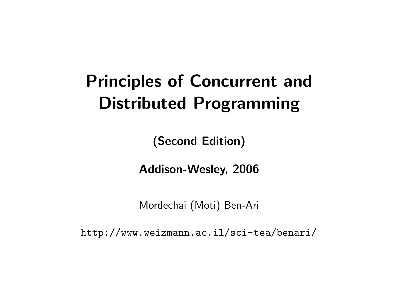# Principles of Concurrent andDistributed Programming

(Second Edition)

Addison-Wesley, <sup>2006</sup>

Mordechai (Moti) Ben-Ari

<http://www.weizmann.ac.il/sci-tea/benari/>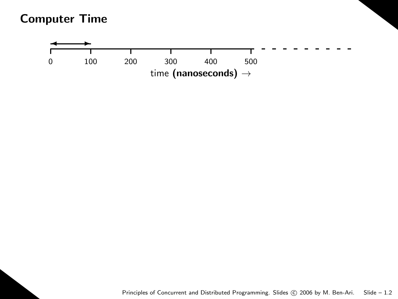#### Computer Time

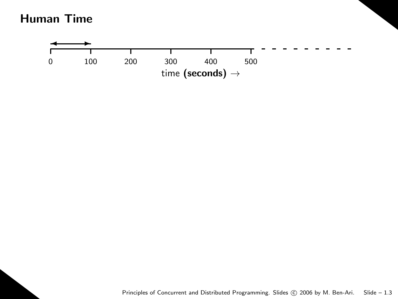## Human Time

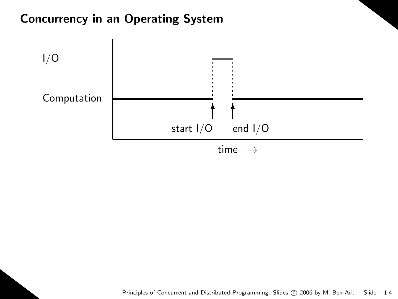## Concurrency in an Operating System

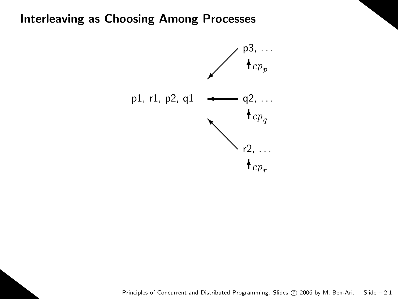#### Interleaving as Choosing Among Processes

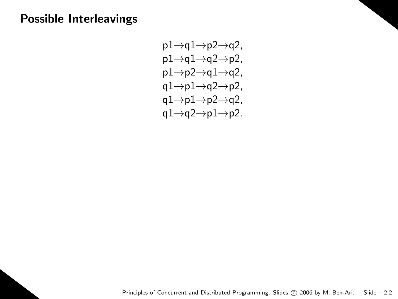# Possible Interleavings

$$
p1 \rightarrow q1 \rightarrow p2 \rightarrow q2,
$$
\n
$$
p1 \rightarrow q1 \rightarrow q2 \rightarrow p2,
$$
\n
$$
p1 \rightarrow p2 \rightarrow q1 \rightarrow q2,
$$
\n
$$
q1 \rightarrow p1 \rightarrow q2 \rightarrow p2,
$$
\n
$$
q1 \rightarrow p1 \rightarrow p2 \rightarrow q2,
$$
\n
$$
q1 \rightarrow q2 \rightarrow p1 \rightarrow p2.
$$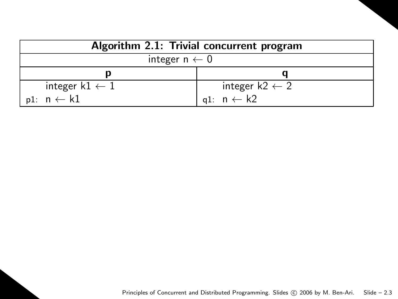| Algorithm 2.1: Trivial concurrent program |                           |  |
|-------------------------------------------|---------------------------|--|
| integer $n \leftarrow 0$                  |                           |  |
|                                           |                           |  |
| integer $k1 \leftarrow 1$                 | integer $k2 \leftarrow 2$ |  |
| p1: $n \leftarrow k1$                     | $q1: n \leftarrow k2$     |  |
|                                           |                           |  |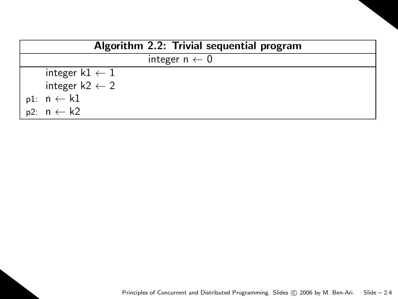| Algorithm 2.2: Trivial sequential program      |
|------------------------------------------------|
| integer $n \leftarrow 0$                       |
| integer k $1 \leftarrow 1$                     |
| integer $k2 \leftarrow 2$                      |
|                                                |
| p1: $n \leftarrow k1$<br>p2: $n \leftarrow k2$ |
|                                                |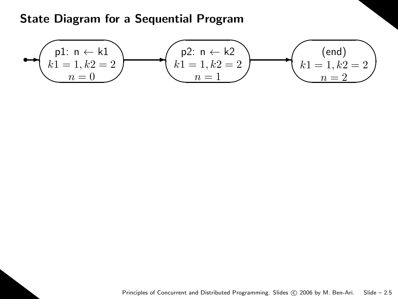State Diagram for <sup>a</sup> Sequential Program

$$
k1 = 1, k2 = 2
$$
\n
$$
k1 = 1, k2 = 2
$$
\n
$$
n = 0
$$
\n
$$
k1 = 1, k2 = 2
$$
\n
$$
n = 1
$$
\n
$$
k1 = 1, k2 = 2
$$
\n
$$
n = 2
$$
\n
$$
(end)
$$
\n
$$
k1 = 1, k2 = 2
$$
\n
$$
n = 2
$$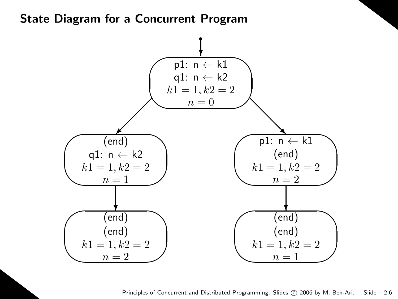## State Diagram for <sup>a</sup> Concurrent Program

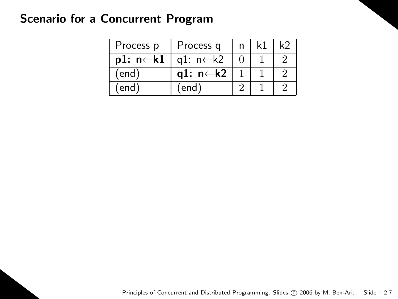# Scenario for <sup>a</sup> Concurrent Program

| Process p             | Process q             | k1 | k |
|-----------------------|-----------------------|----|---|
| $p1: n \leftarrow k1$ | q1: $n \leftarrow k2$ |    |   |
| (end)                 | q1: $n \leftarrow k2$ |    |   |
| (end)                 | (end)                 |    |   |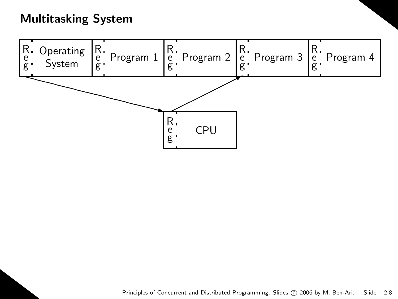# Multitasking System

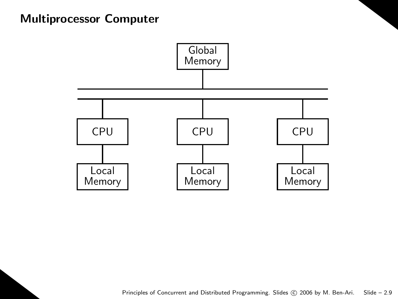## Multiprocessor Computer

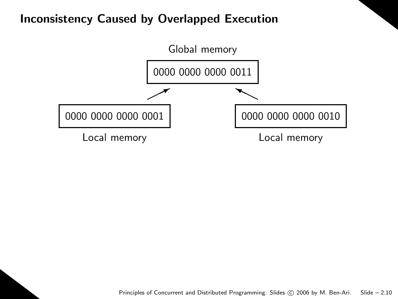#### Inconsistency Caused by Overlapped Execution

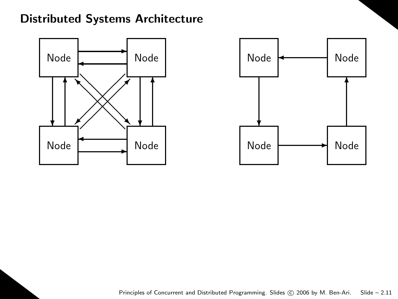# Distributed Systems Architecture



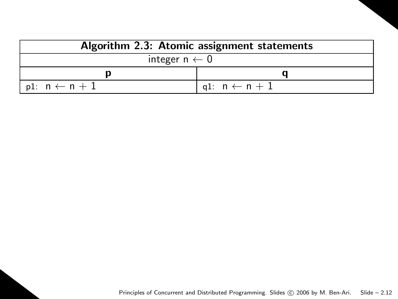| Algorithm 2.3: Atomic assignment statements |                                 |  |
|---------------------------------------------|---------------------------------|--|
| integer n $\leftarrow$ 0                    |                                 |  |
|                                             |                                 |  |
| p1: $n \leftarrow n + 1$                    | $\mid$ q1: $n \leftarrow n + 1$ |  |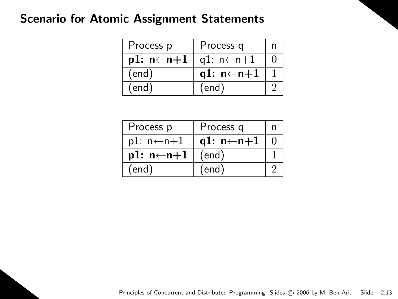#### Scenario for Atomic Assignment Statements

| Process p                    | Process q              |  |
|------------------------------|------------------------|--|
| $p$ 1: n $\leftarrow$ n $+1$ | q1: $n \leftarrow n+1$ |  |
| (end)                        | q1: $n \leftarrow n+1$ |  |
| (end)                        | (end)                  |  |

| Process p                 | Process q              |  |
|---------------------------|------------------------|--|
| pl: n $\leftarrow$ n $+1$ | q1: $n \leftarrow n+1$ |  |
| $p1: n \leftarrow n+1$    | (end)                  |  |
| (end)                     | (end)                  |  |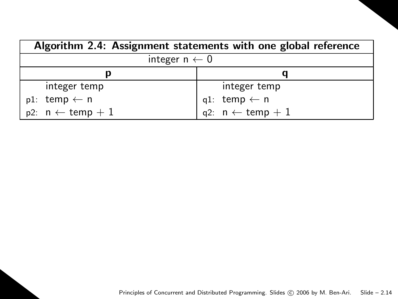| Algorithm 2.4: Assignment statements with one global reference |                                                          |  |  |
|----------------------------------------------------------------|----------------------------------------------------------|--|--|
| integer $n \leftarrow 0$                                       |                                                          |  |  |
| D                                                              |                                                          |  |  |
| integer temp                                                   | integer temp                                             |  |  |
| $p1: temp \leftarrow n$                                        | q1: temp $\leftarrow$ n<br>q2: n $\leftarrow$ temp $+$ 1 |  |  |
| p2: $n \leftarrow \text{temp} + 1$                             |                                                          |  |  |
|                                                                |                                                          |  |  |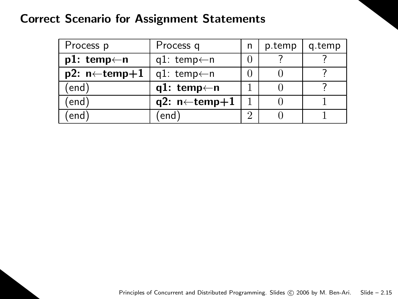#### Correct Scenario for Assignment Statements

| Process p                    | Process q                    |          | p temp | q.temp |
|------------------------------|------------------------------|----------|--------|--------|
| p1: temp $\leftarrow$ n      | q1: temp $\leftarrow$ n      |          |        |        |
| p2: $n \leftarrow$ temp $+1$ | q1: temp $\leftarrow$ n      |          |        |        |
| end)                         | q1: temp $\leftarrow$ n      |          |        |        |
| $($ end $)$                  | q2: $n \leftarrow$ temp $+1$ |          |        |        |
| end                          | end <sup>)</sup>             | $\Omega$ |        |        |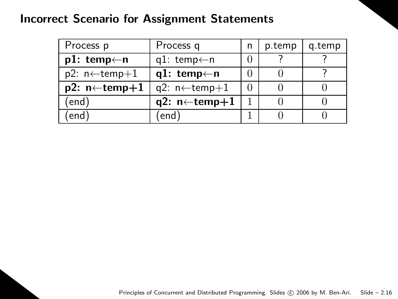#### Incorrect Scenario for Assignment Statements

| Process p                 | Process q                    | p temp | q temp |
|---------------------------|------------------------------|--------|--------|
| p1: temp $\leftarrow$ n   | q1: temp $\leftarrow$ n      |        |        |
| $p2: n \leftarrow temp+1$ | q1: temp $\leftarrow$ n      |        |        |
| $p2: n \leftarrow temp+1$ | q2: $n \leftarrow$ temp $+1$ |        |        |
| (end)                     | q2: $n \leftarrow$ temp $+1$ |        |        |
| [end]                     | [end]                        |        |        |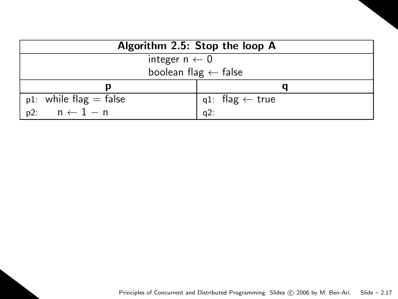| Algorithm 2.5: Stop the loop A  |                            |  |
|---------------------------------|----------------------------|--|
| integer $n \leftarrow 0$        |                            |  |
| boolean flag $\leftarrow$ false |                            |  |
| p                               |                            |  |
| p1: while flag $=$ false        | q1: flag $\leftarrow$ true |  |
| $p2: n \leftarrow 1 - n$        | $q2$ :                     |  |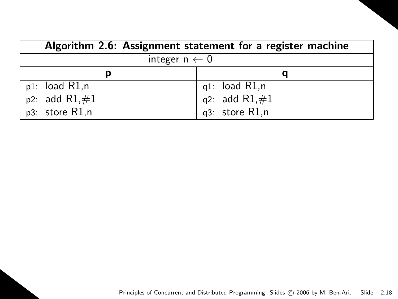| Algorithm 2.6: Assignment statement for a register machine |                    |  |  |
|------------------------------------------------------------|--------------------|--|--|
| integer $n \leftarrow 0$                                   |                    |  |  |
| p                                                          |                    |  |  |
| $p1:$ load R1,n                                            | $q1:$ load R1,n    |  |  |
| $p2:$ add $R1, \#1$                                        | q2: add $R1, \#1$  |  |  |
| p3: store R1,n                                             | $q3:$ store $R1,n$ |  |  |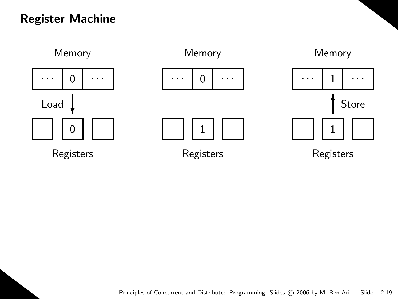## Register Machine

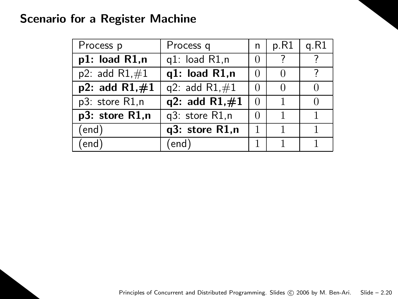## Scenario for <sup>a</sup> Register Machine

| Process p         | Process q           | $\mathsf{n}$   | p.R1         | q. $R1$     |
|-------------------|---------------------|----------------|--------------|-------------|
| p1: load R1,n     | $q1:$ load $R1$ , n | $\mathbf{0}$   |              |             |
| p2: add $R1, \#1$ | $q1:$ load $R1,n$   | $\theta$       |              |             |
| $p2: add R1, \#1$ | q2: add $R1, \#1$   | $\Omega$       |              |             |
| p3: store R1,n    | q2: add $R1, \#1$   | $\bigcap$      |              |             |
| p3: store R1,n    | q3: store R1,n      | $\overline{0}$ | $\mathbf{1}$ | $\mathbf 1$ |
| (end)             | q3: store R1,n      | $\overline{1}$ |              |             |
| (end)             | (end)               |                |              |             |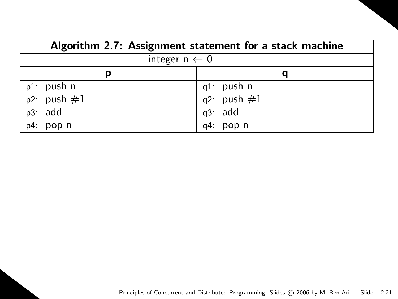| Algorithm 2.7: Assignment statement for a stack machine |                                                      |  |
|---------------------------------------------------------|------------------------------------------------------|--|
| integer $n \leftarrow 0$                                |                                                      |  |
| p                                                       |                                                      |  |
| p1: push n                                              |                                                      |  |
| $p2:$ push $#1$                                         |                                                      |  |
| $p3: \overline{a}$ dd                                   |                                                      |  |
| p4: pop n                                               | q1: push n<br>q2: push $\#1$<br>q3: add<br>q4: pop n |  |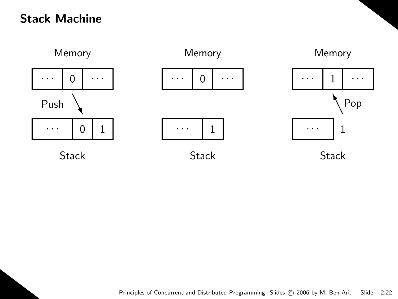## Stack Machine

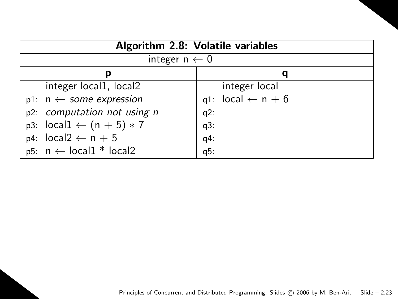| <b>Algorithm 2.8: Volatile variables</b> |                              |  |
|------------------------------------------|------------------------------|--|
| integer $n \leftarrow 0$                 |                              |  |
| p                                        |                              |  |
| integer local1, local2                   | integer local                |  |
| $p1: n \leftarrow some expression$       | q1: $local \leftarrow n + 6$ |  |
| p2: computation not using n              | $q2$ :                       |  |
| p3: $local1 \leftarrow (n + 5) * 7$      | $q3$ :                       |  |
| p4: $local2 \leftarrow n + 5$            | $q4$ :                       |  |
| $p5: n \leftarrow local1 * local2$       | q5:                          |  |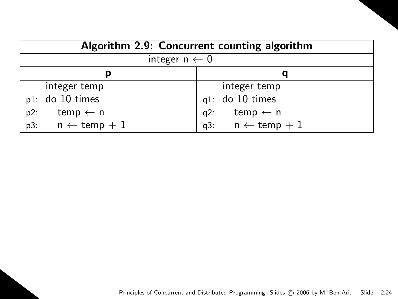| Algorithm 2.9: Concurrent counting algorithm |                               |  |
|----------------------------------------------|-------------------------------|--|
| integer $n \leftarrow 0$                     |                               |  |
| p                                            |                               |  |
| integer temp                                 | integer temp                  |  |
| p1: do 10 times                              | q1: do 10 times               |  |
| $p2$ :<br>temp $\leftarrow$ n                | temp $\leftarrow$ n<br>q2:    |  |
| $p3:$ $n \leftarrow temp + 1$                | $q3:$ $n \leftarrow temp + 1$ |  |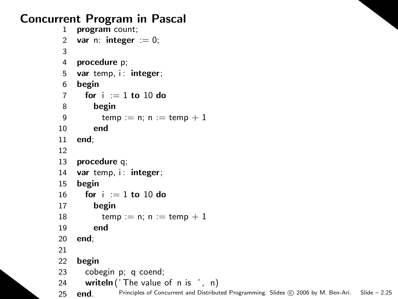## Concurrent Program in Pascal

```
11 program count;
2var n: integer := 0;344 procedure p;
5var temp, i: integer;
6 begin7 for i := 1 to 10 do
78 begin9 temp := n; n := temp +1910 end11 end;
12
133 procedure q;
14var temp, i: integer;
15 begin6 for i := 1 to 10 do
1617 begin8 temp := n; n := temp +11819 end20 end;
21
22 begin
 cobegin p; q coend;
23244 writeln ('The value of n is ', n)
25 end.
```
Principles of Concurrent and Distributed Programming. Slides  $\copyright$  2006 by M. Ben-Ari.  $\hspace{0.1cm}$  Slide – 2.25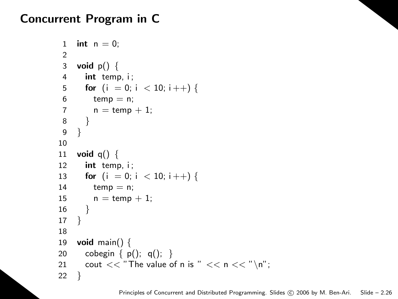# Concurrent Program in <sup>C</sup>

```
1int n = 0;
2
33 void p() {
4int temp, i;
55 for (i = 0; i < 10; i++) {
6temp = n;
7n = temp + 1;8 }9 }10111 void q() \{12int temp, i;
133 for (i = 0; i < 10; i++) {
14temp = n;
15n = temp + 1;16 }17 }18
199 \text{void } \text{main}() {
200 cobegin \{ p(); q(); \}211 cout << "The value of n is " << n << "\n";
22 }
```
Principles of Concurrent and Distributed Programming. Slides (c) 2006 by M. Ben-Ari. Slide - 2.26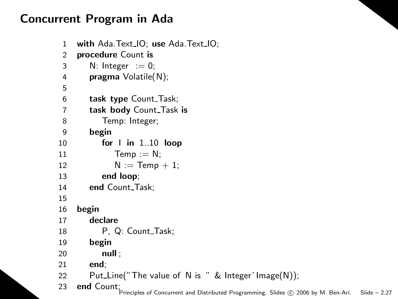# Concurrent Program in Ada

```
end Count;<br>Principles of Concurrent and Distributed Programming. Slides © 2006 by M. Ben-Ari.     Slide – 2.27
 11 with Ada.Text_IO; use Ada.Text_IO;
 22 procedure Count i<mark>s</mark>
 3N: Integer := 0;
 4 pragma Volatile(N);
 566          task  type  Count_Task;
 7 task body Count Task is
8 Temp: Integer;
9 begin0 for 1 in 1..10 loop
1011Temp := N;12N := Temp + 1;
13 end loop;
14 end Count Task;
1516 begin7 declare
17
 P, Q: Count Task;
1819 begin0 null ;
2021 end;
22Put_Line("The value of N is " & Integer' Image(N));
23
```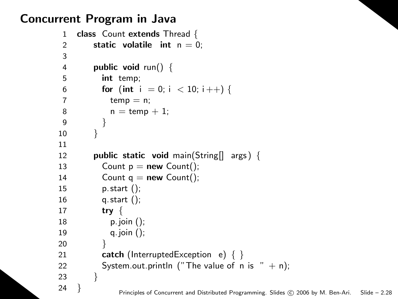# Concurrent Program in Java

```
Principles of Concurrent and Distributed Programming. Slides \copyright 2006 by M. Ben-Ari. \hspace{0.1cm} Slide – 2.28
11 class Count extends Thread \{2 static volatile int n = 0;
2344 public void run() \{5 int temp;
66 for (int i = 0; i < 10; i++) {
7temp = n;
8n = temp + 1;
9}10
11}
122 public static void main(String[] args) {
133 Count p = new Count();144 Count q = new Count();15p. start ();
16 q. start ();
177 try \{

 p.join ();
1819 q.join ();
20
21}1 catch (InterruptedException e) { }
22System.out.println ("The value of n is " + n);
23}24}
```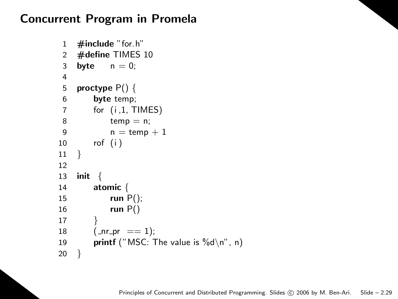# Concurrent Program in Promela

```
11 \#include "for.h"
 2 #define TIMES 10
233 byte n = 0;
4
55 \pmb{proctype} P() {
 6 byte temp;
67 for (i ,1, TIMES)
8temp = n;
9n = temp + 110 rof (i )
11
12}
133 init \{4 atomic \{145 run P();15166 run P()17
18}(\mathsf{snr} \_ \mathsf{pr} \ == 1);
199 printf ("MSC: The value is %d\n", n)
20}
```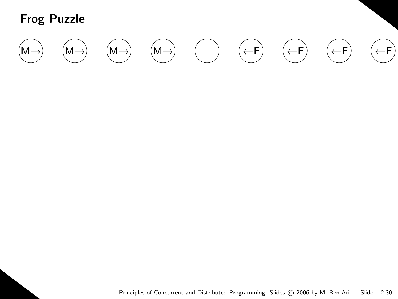#### Frog Puzzle

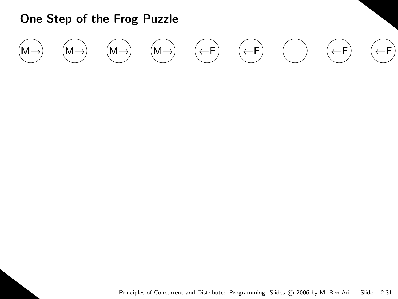#### One Step of the Frog Puzzle

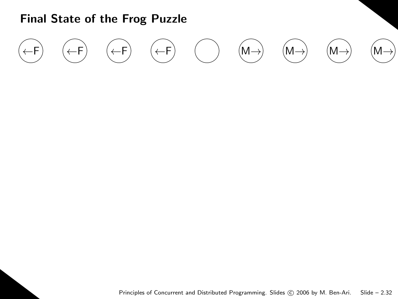#### Final State of the Frog Puzzle

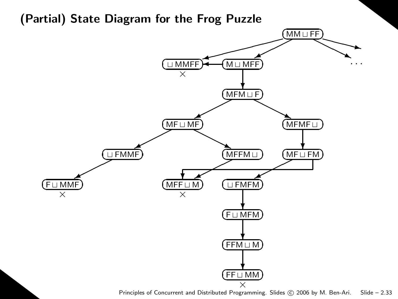

Principles of Concurrent and Distributed Programming. Slides  $\copyright$  2006 by M. Ben-Ari.  $\hspace{0.1cm}$  Slide – 2.33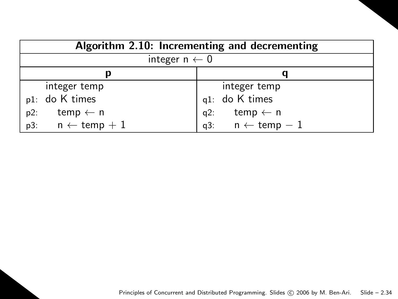| Algorithm 2.10: Incrementing and decrementing |                               |
|-----------------------------------------------|-------------------------------|
| integer $n \leftarrow 0$                      |                               |
| p                                             |                               |
| integer temp                                  | integer temp                  |
| p1: do K times                                | q1: do K times                |
| $p2$ :<br>temp $\leftarrow$ n                 | q2: temp $\leftarrow$ n       |
| $p3:$ $n \leftarrow temp + 1$                 | $q3:$ $n \leftarrow temp - 1$ |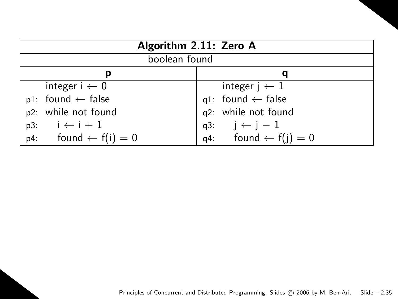| Algorithm 2.11: Zero A            |                                                             |
|-----------------------------------|-------------------------------------------------------------|
| boolean found                     |                                                             |
| p                                 |                                                             |
| integer $i \leftarrow 0$          | integer $j \leftarrow 1$                                    |
| $p1:$ found $\leftarrow$ false    | q1: found $\leftarrow$ false                                |
| p2: while not found               | q2: while not found                                         |
| p3: $i \leftarrow i + 1$          |                                                             |
| $p4:$ found $\leftarrow f(i) = 0$ | q3: $j \leftarrow j - 1$<br>q4: found $\leftarrow f(j) = 0$ |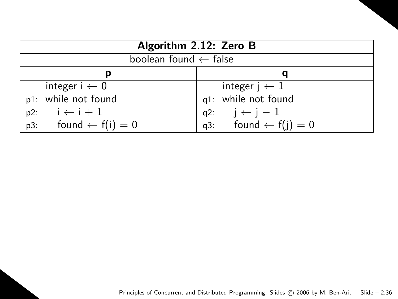| Algorithm 2.12: Zero B            |                                                             |
|-----------------------------------|-------------------------------------------------------------|
| boolean found $\leftarrow$ false  |                                                             |
|                                   |                                                             |
| integer $i \leftarrow 0$          | integer $j \leftarrow 1$                                    |
| p1: while not found               | q1: while not found                                         |
| p2: $i \leftarrow i + 1$          |                                                             |
| $p3:$ found $\leftarrow f(i) = 0$ | q2: $j \leftarrow j - 1$<br>q3: found $\leftarrow f(j) = 0$ |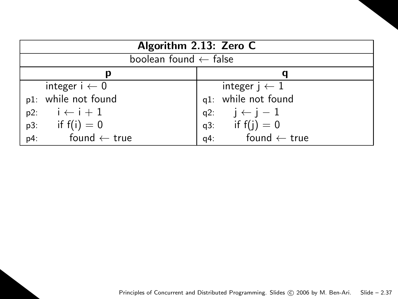| Algorithm 2.13: Zero C           |  |
|----------------------------------|--|
| boolean found $\leftarrow$ false |  |
| q                                |  |
| integer $j \leftarrow 1$         |  |
| q1: while not found              |  |
| q2: $j \leftarrow j - 1$         |  |
| q3: if $f(j) = 0$                |  |
| $q4:$ found $\leftarrow$ true    |  |
|                                  |  |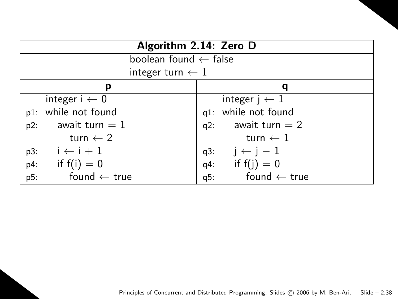|                                  | Algorithm 2.14: Zero D         |
|----------------------------------|--------------------------------|
| boolean found $\leftarrow$ false |                                |
| integer turn $\leftarrow 1$      |                                |
| p                                | q                              |
| integer $i \leftarrow 0$         | integer $j \leftarrow 1$       |
| p1: while not found              | q1: while not found            |
| await turn $=1$<br>$p2$ :        | $q2$ : await turn = 2          |
| turn $\leftarrow 2$              | turn $\leftarrow 1$            |
| $i \leftarrow i + 1$<br>p3:      | q3: $j \leftarrow j - 1$       |
| $p4$ :<br>if $f(i) = 0$          | q4: if $f(j) = 0$              |
| p5:<br>found $\leftarrow$ true   | found $\leftarrow$ true<br>q5: |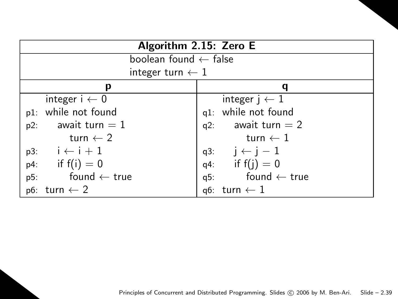| Algorithm 2.15: Zero E           |                               |
|----------------------------------|-------------------------------|
| boolean found $\leftarrow$ false |                               |
| integer turn $\leftarrow 1$      |                               |
| p                                | q                             |
| integer $i \leftarrow 0$         | integer j $\leftarrow$ 1      |
| p1: while not found              | q1: while not found           |
| await turn $=1$<br>$p2$ :        | $q2$ : await turn = 2         |
| turn $\leftarrow 2$              | turn $\leftarrow 1$           |
| p3: $i \leftarrow i + 1$         | q3: $j \leftarrow j - 1$      |
| $p4:$ if $f(i) = 0$              | q4: if $f(j) = 0$             |
| p5:<br>$found \leftarrow true$   | $q5:$ found $\leftarrow$ true |
| turn $\leftarrow 2$<br>$p6$ :    | turn $\leftarrow 1$<br>$q6$ : |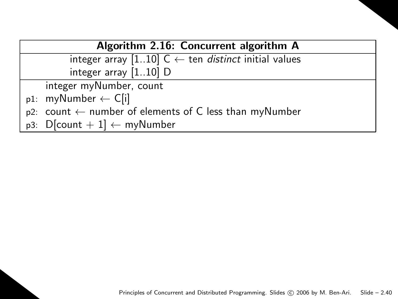| Algorithm 2.16: Concurrent algorithm A |                                                                          |
|----------------------------------------|--------------------------------------------------------------------------|
|                                        | integer array $[1.10]$ C $\leftarrow$ ten <i>distinct</i> initial values |
|                                        | integer array $[110]$ D                                                  |
|                                        | integer myNumber, count                                                  |
|                                        | p1: myNumber $\leftarrow$ C[i]                                           |
|                                        | $p2:$ count $\leftarrow$ number of elements of C less than myNumber      |
|                                        | p3: $D[count + 1] \leftarrow myNumber$                                   |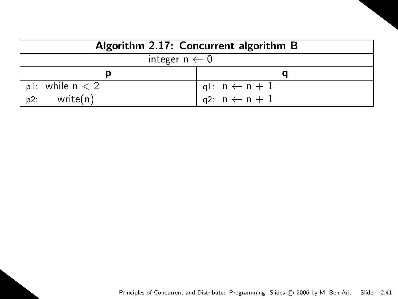| Algorithm 2.17: Concurrent algorithm B |                                                                                                                                         |
|----------------------------------------|-----------------------------------------------------------------------------------------------------------------------------------------|
| integer $n \leftarrow 0$               |                                                                                                                                         |
|                                        |                                                                                                                                         |
| p1: while $n < 2$                      | $\begin{array}{r}   \begin{array}{l} {\sf q1:} \end{array} \end{array} \begin{array}{r} {\sf n \leftarrow n+1} \ {\sf q2:} \end{array}$ |
| $p2:$ write(n)                         |                                                                                                                                         |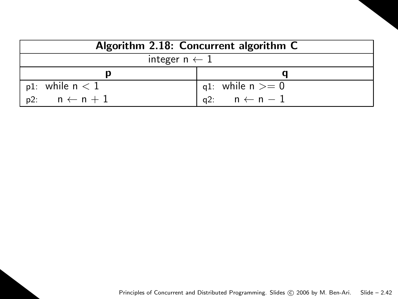|                          | Algorithm 2.18: Concurrent algorithm C |
|--------------------------|----------------------------------------|
| integer n $\leftarrow 1$ |                                        |
|                          |                                        |
| p1: while $n < 1$        | q1: while $n >= 0$                     |
| p2: $n \leftarrow n + 1$ | q2: $n \leftarrow n-1$                 |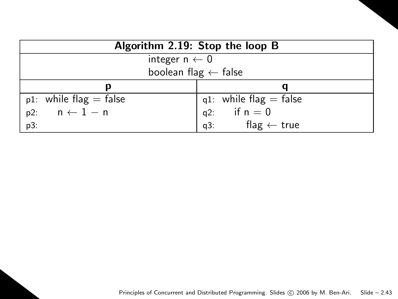| Algorithm 2.19: Stop the loop B |                              |
|---------------------------------|------------------------------|
| integer $n \leftarrow 0$        |                              |
| boolean flag $\leftarrow$ false |                              |
| p                               |                              |
| $p1:$ while flag = false        | $q1:$ while flag $=$ false   |
| p2: $n \leftarrow 1 - n$        | q2: if $n = 0$               |
| $p3$ :                          | $q3:$ flag $\leftarrow$ true |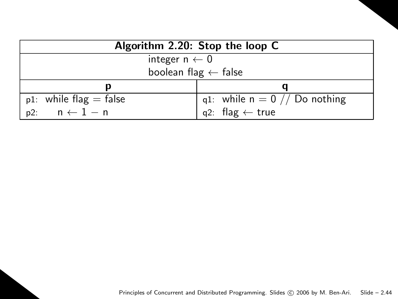| Algorithm 2.20: Stop the loop C                               |  |
|---------------------------------------------------------------|--|
| integer $n \leftarrow 0$                                      |  |
| boolean flag $\leftarrow$ false                               |  |
|                                                               |  |
| q1: while $n = 0 // Do nothing$<br>q2: flag $\leftarrow$ true |  |
|                                                               |  |
|                                                               |  |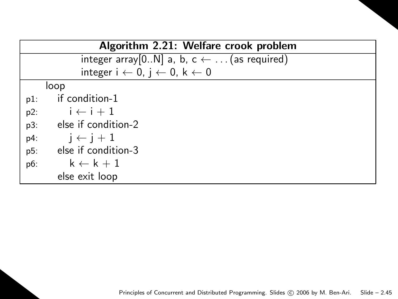|        | Algorithm 2.21: Welfare crook problem                          |
|--------|----------------------------------------------------------------|
|        | integer array [0. N] a, b, $c \leftarrow $ (as required)       |
|        | integer $i \leftarrow 0$ , $j \leftarrow 0$ , $k \leftarrow 0$ |
|        | loop                                                           |
| $p1$ : | if condition-1                                                 |
| p2:    | $i \leftarrow i + 1$                                           |
| p3:    | else if condition-2                                            |
| p4:    | $j \leftarrow j + 1$                                           |
| p5:    | else if condition-3                                            |
| p6:    | $k \leftarrow k + 1$                                           |
|        | else exit loop                                                 |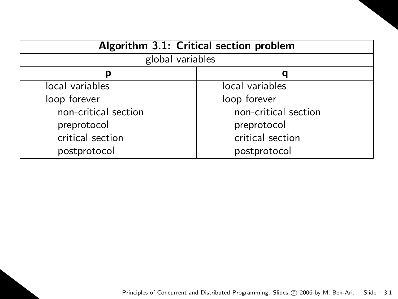| Algorithm 3.1: Critical section problem |                      |  |
|-----------------------------------------|----------------------|--|
| global variables                        |                      |  |
| р                                       |                      |  |
| local variables                         | local variables      |  |
| loop forever                            | loop forever         |  |
| non-critical section                    | non-critical section |  |
| preprotocol                             | preprotocol          |  |
| critical section                        | critical section     |  |
| postprotocol                            | postprotocol         |  |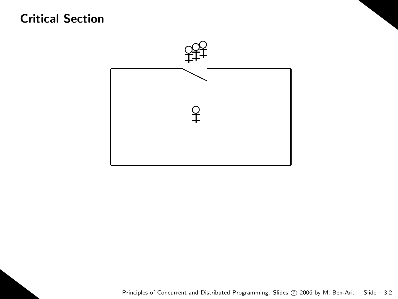## Critical Section

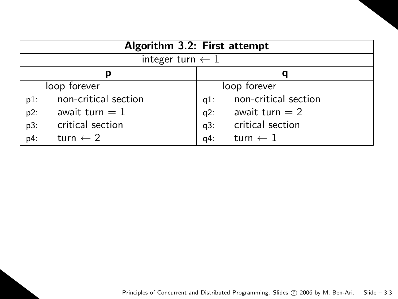|                          | <b>Algorithm 3.2: First attempt</b> |        |                      |  |
|--------------------------|-------------------------------------|--------|----------------------|--|
|                          | integer turn $\leftarrow$ 1         |        |                      |  |
|                          | p                                   |        |                      |  |
|                          | loop forever                        |        | loop forever         |  |
|                          | non-critical section                | $q1$ : | non-critical section |  |
| p1:<br>p2:<br>p3:<br>p4: | await turn $= 1$                    | $q2$ : | await turn $= 2$     |  |
|                          | critical section                    | $q3$ : | critical section     |  |
|                          | turn $\leftarrow$ 2                 | $q4$ : | turn $\leftarrow 1$  |  |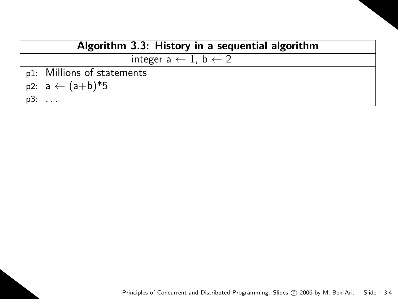# Algorithm 3.3: History in <sup>a</sup> sequential algorithm $\frac{\text{integer a} \leftarrow 1, \text{ b} \leftarrow 2}{\text{mts}}$ p1: Millions of statements

p2: a ← (a+b)\*5<br>p3: p3:. . .

Principles of Concurrent and Distributed Programming. Slides  $\copyright$  2006 by M. Ben-Ari.  $\hspace{0.1cm}$  Slide  $-$  3.4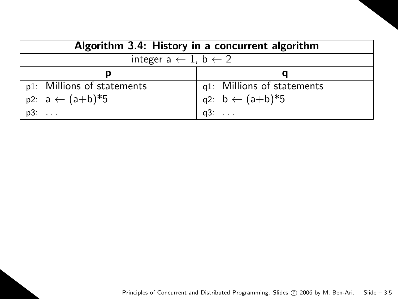| Algorithm 3.4: History in a concurrent algorithm |                             |  |
|--------------------------------------------------|-----------------------------|--|
| integer a $\leftarrow$ 1, b $\leftarrow$ 2       |                             |  |
| D                                                |                             |  |
| p1: Millions of statements                       | q1: Millions of statements  |  |
| $p2: a \leftarrow (a+b)*5$                       | q2: $b \leftarrow (a+b)^*5$ |  |
| p3:                                              | q3:                         |  |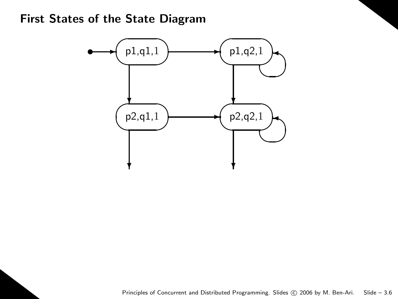## First States of the State Diagram

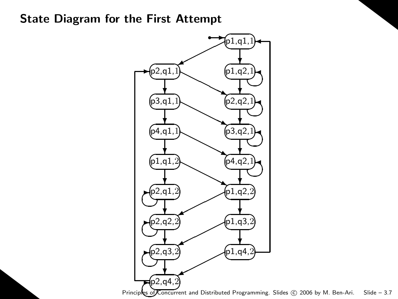State Diagram for the First Attempt



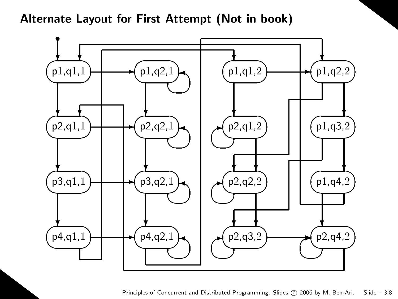Alternate Layout for First Attempt (Not in book)



Principles of Concurrent and Distributed Programming. Slides  $\copyright$  2006 by M. Ben-Ari.  $\hspace{0.1cm}$  Slide  $-$  3.8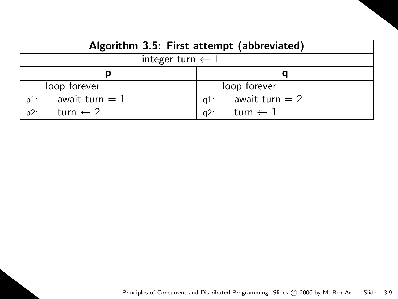| Algorithm 3.5: First attempt (abbreviated) |                            |  |  |
|--------------------------------------------|----------------------------|--|--|
| integer turn $\leftarrow$ 1                |                            |  |  |
| p                                          |                            |  |  |
| loop forever                               | loop forever               |  |  |
| await turn $=1$<br>$p1$ :                  | await turn $= 2$<br>$q1$ : |  |  |
| $p2$ :<br>turn $\leftarrow 2$              | q2: turn $\leftarrow$ 1    |  |  |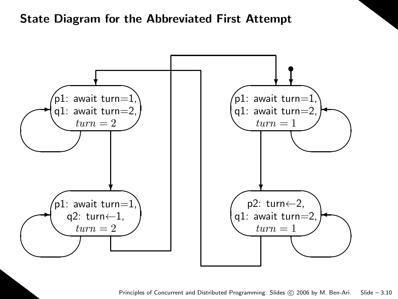#### State Diagram for the Abbreviated First Attempt

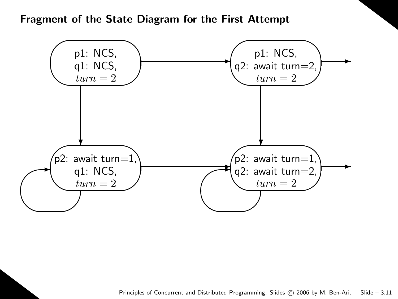Fragment of the State Diagram for the First Attempt

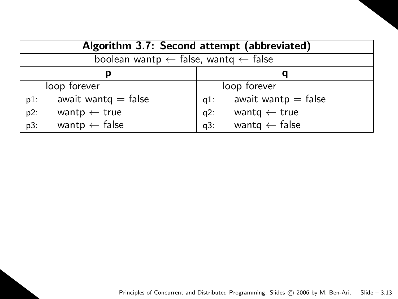|        | Algorithm 3.7: Second attempt (abbreviated)                |        |                          |  |
|--------|------------------------------------------------------------|--------|--------------------------|--|
|        | boolean wantp $\leftarrow$ false, wantq $\leftarrow$ false |        |                          |  |
|        | р                                                          |        |                          |  |
|        | loop forever                                               |        | loop forever             |  |
| $p1$ : | await wantq $=$ false                                      | $q1$ : | await wantp $=$ false    |  |
| $p2$ : | wantp $\leftarrow$ true                                    | $q2$ : | wantq $\leftarrow$ true  |  |
| $p3$ : | wantp $\leftarrow$ false                                   | $q3$ : | wantq $\leftarrow$ false |  |
|        |                                                            |        |                          |  |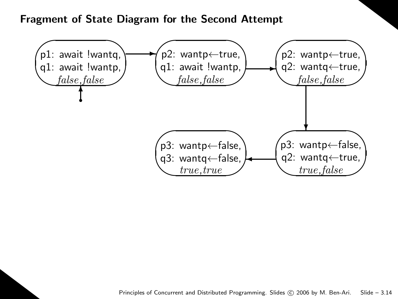Fragment of State Diagram for the Second Attempt

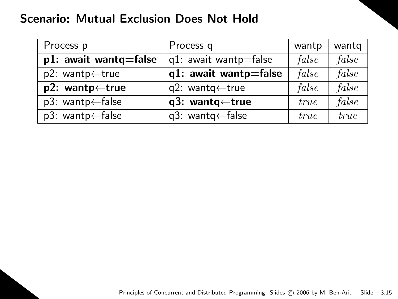## Scenario: Mutual Exclusion Does Not Hold

| Process p                      | Process q                      | wantp | wantq |
|--------------------------------|--------------------------------|-------|-------|
| p1: await wantq=false          | $q1$ : await wantp=false       | false | false |
| p2: wantp + true               | $q1:$ await wantp=false        | false | false |
| p2: wantp←true                 | $q2:$ wantq $\leftarrow$ true  | false | false |
| $p3:$ wantp $\leftarrow$ false | q3: wantq $\leftarrow$ true    | true  | false |
| $p3:$ wantp $\leftarrow$ false | $q3:$ wantq $\leftarrow$ false | true  | true  |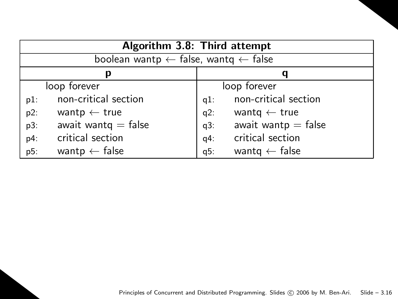|        | Algorithm 3.8: Third attempt                               |        |                          |  |
|--------|------------------------------------------------------------|--------|--------------------------|--|
|        | boolean wantp $\leftarrow$ false, wantq $\leftarrow$ false |        |                          |  |
|        | p                                                          |        | q                        |  |
|        | loop forever                                               |        | loop forever             |  |
| $p1$ : | non-critical section                                       | $q1$ : | non-critical section     |  |
| $p2$ : | wantp $\leftarrow$ true                                    | $q2$ : | wantq $\leftarrow$ true  |  |
| $p3$ : | await wantq $=$ false                                      | $q3$ : | await wantp $=$ false    |  |
| $p4$ : | critical section                                           | $q4$ : | critical section         |  |
| p5:    | wantp $\leftarrow$ false                                   | $q5$ : | wantq $\leftarrow$ false |  |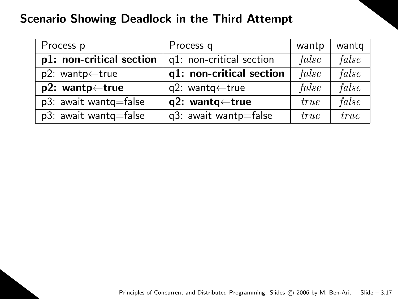## Scenario Showing Deadlock in the Third Attempt

| Process p                     | Process q                     | wantp | wantq |
|-------------------------------|-------------------------------|-------|-------|
| p1: non-critical section      | q1: non-critical section      | false | false |
| p2: wantp $\leftarrow$ true   | q1: non-critical section      | false | false |
| $p2:$ wantp $\leftarrow$ true | $q2:$ wantq $\leftarrow$ true | false | false |
| p3: await wantq=false         | $q2:$ wantq $\leftarrow$ true | true  | false |
| p3: await wantq=false         | q3: await wantp=false         | true  | true  |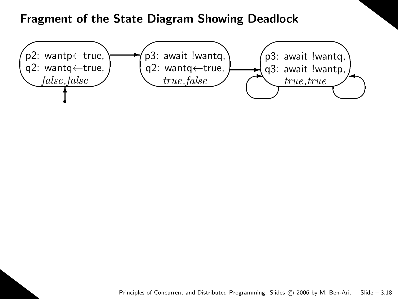Fragment of the State Diagram Showing Deadlock

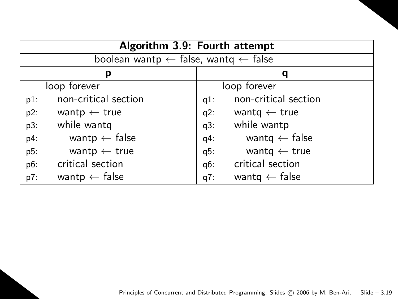|        | Algorithm 3.9: Fourth attempt                              |        |                          |  |
|--------|------------------------------------------------------------|--------|--------------------------|--|
|        | boolean wantp $\leftarrow$ false, wantq $\leftarrow$ false |        |                          |  |
|        | p                                                          |        | q                        |  |
|        | loop forever                                               |        | loop forever             |  |
| $p1$ : | non-critical section                                       | $q1$ : | non-critical section     |  |
| $p2$ : | wantp $\leftarrow$ true                                    | $q2$ : | wantq $\leftarrow$ true  |  |
| p3:    | while wantq                                                | q3:    | while wantp              |  |
| p4:    | wantp $\leftarrow$ false                                   | $q4$ : | wantq $\leftarrow$ false |  |
| p5:    | wantp $\leftarrow$ true                                    | $q5$ : | wantq $\leftarrow$ true  |  |
| p6:    | critical section                                           | $q6$ : | critical section         |  |
| p7:    | wantp $\leftarrow$ false                                   | $q7$ : | wantq $\leftarrow$ false |  |
|        |                                                            |        |                          |  |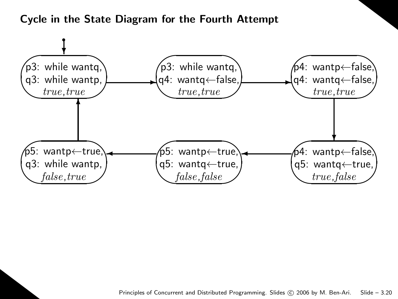Cycle in the State Diagram for the Fourth Attempt

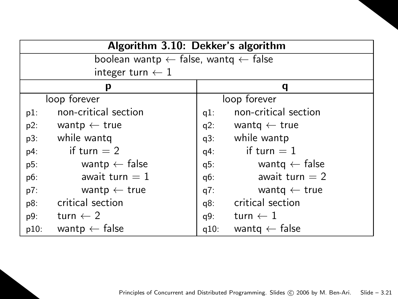|         | Algorithm 3.10: Dekker's algorithm                         |         |                          |  |
|---------|------------------------------------------------------------|---------|--------------------------|--|
|         | boolean wantp $\leftarrow$ false, wantq $\leftarrow$ false |         |                          |  |
|         | integer turn $\leftarrow$ 1                                |         |                          |  |
|         | p                                                          |         | q                        |  |
|         | loop forever                                               |         | loop forever             |  |
| $p1$ :  | non-critical section                                       | $q1$ :  | non-critical section     |  |
| $p2$ :  | wantp $\leftarrow$ true                                    | $q2$ :  | wantq $\leftarrow$ true  |  |
| $p3$ :  | while wantq                                                | $q3$ :  | while wantp              |  |
| p4:     | if turn $=2$                                               | $q4$ :  | if turn $=1$             |  |
| p5:     | wantp $\leftarrow$ false                                   | q5:     | wantq $\leftarrow$ false |  |
| p6:     | await turn $= 1$                                           | $q6$ :  | await turn $= 2$         |  |
| p7:     | wantp $\leftarrow$ true                                    | $q7$ :  | wantq $\leftarrow$ true  |  |
| p8:     | critical section                                           | q8:     | critical section         |  |
| p9:     | turn $\leftarrow 2$                                        | q9:     | turn $\leftarrow 1$      |  |
| $p10$ : | wantp $\leftarrow$ false                                   | $q10$ : | wantq $\leftarrow$ false |  |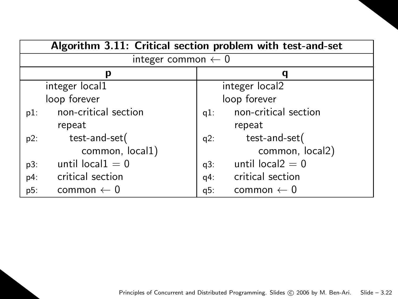| Algorithm 3.11: Critical section problem with test-and-set |                 |        |                       |
|------------------------------------------------------------|-----------------|--------|-----------------------|
| integer common $\leftarrow 0$                              |                 |        |                       |
| p                                                          |                 | q      |                       |
| integer local1                                             |                 |        | integer local2        |
| loop forever                                               |                 |        | loop forever          |
| non-critical section<br>$p1$ :                             |                 | $q1$ : | non-critical section  |
| repeat                                                     |                 |        | repeat                |
| test-and-set(<br>$p2$ :                                    |                 | $q2$ : | test-and-set(         |
|                                                            | common, local1) |        | common, local2)       |
| until $local1 = 0$<br>$p3$ :                               |                 | $q3$ : | until $local2 = 0$    |
| critical section<br>p4:                                    |                 | q4:    | critical section      |
| common $\leftarrow 0$<br>p5:                               |                 | $q5$ : | common $\leftarrow 0$ |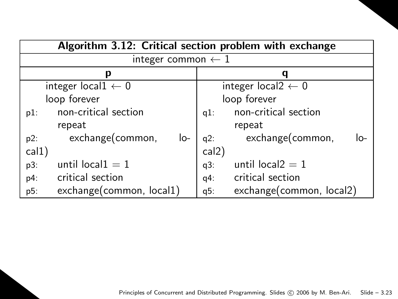| Algorithm 3.12: Critical section problem with exchange |                                  |                               |                          |
|--------------------------------------------------------|----------------------------------|-------------------------------|--------------------------|
| integer common $\leftarrow 1$                          |                                  |                               |                          |
| p                                                      |                                  | q                             |                          |
| integer local $1 \leftarrow 0$                         |                                  | integer local2 $\leftarrow$ 0 |                          |
| loop forever                                           |                                  | loop forever                  |                          |
| $p1$ :                                                 | non-critical section             | $q1$ :                        | non-critical section     |
| repeat                                                 |                                  | repeat                        |                          |
| $p2$ :                                                 | exchange (common,<br>$I_{\rm O}$ | $q2$ :                        | exchange(common,<br>ါဂ–  |
| cal(1)                                                 |                                  | cal(2)                        |                          |
| p3:                                                    | until $local = 1$                | $q3$ :                        | until $local2 = 1$       |
| $p4$ :                                                 | critical section                 | $q4$ :                        | critical section         |
| p5:                                                    | exchange(common, local1)         | $q5$ :                        | exchange(common, local2) |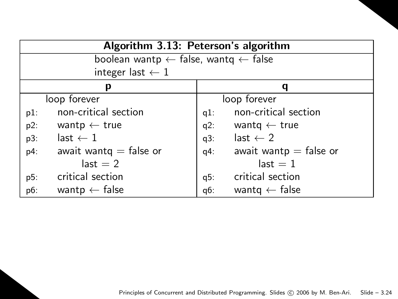| boolean wantp $\leftarrow$ false, wantq $\leftarrow$ false<br>integer last $\leftarrow 1$<br>p<br>q<br>loop forever<br>loop forever<br>non-critical section<br>non-critical section<br>$p1$ :<br>$q1$ :<br>$p2$ :<br>wantp $\leftarrow$ true<br>wantq $\leftarrow$ true<br>$q2$ :<br>last $\leftarrow$ 1<br>last $\leftarrow 2$<br>p3:<br>q3:<br>await wantq $=$ false or<br>await wantp $=$ false or<br>p4:<br>$q4$ :<br>$last = 2$<br>$last = 1$<br>critical section<br>critical section<br>p5:<br>$q5$ : |        | Algorithm 3.13: Peterson's algorithm |        |                          |
|-------------------------------------------------------------------------------------------------------------------------------------------------------------------------------------------------------------------------------------------------------------------------------------------------------------------------------------------------------------------------------------------------------------------------------------------------------------------------------------------------------------|--------|--------------------------------------|--------|--------------------------|
|                                                                                                                                                                                                                                                                                                                                                                                                                                                                                                             |        |                                      |        |                          |
|                                                                                                                                                                                                                                                                                                                                                                                                                                                                                                             |        |                                      |        |                          |
|                                                                                                                                                                                                                                                                                                                                                                                                                                                                                                             |        |                                      |        |                          |
|                                                                                                                                                                                                                                                                                                                                                                                                                                                                                                             |        |                                      |        |                          |
|                                                                                                                                                                                                                                                                                                                                                                                                                                                                                                             |        |                                      |        |                          |
|                                                                                                                                                                                                                                                                                                                                                                                                                                                                                                             |        |                                      |        |                          |
|                                                                                                                                                                                                                                                                                                                                                                                                                                                                                                             |        |                                      |        |                          |
|                                                                                                                                                                                                                                                                                                                                                                                                                                                                                                             |        |                                      |        |                          |
|                                                                                                                                                                                                                                                                                                                                                                                                                                                                                                             |        |                                      |        |                          |
|                                                                                                                                                                                                                                                                                                                                                                                                                                                                                                             |        |                                      |        |                          |
|                                                                                                                                                                                                                                                                                                                                                                                                                                                                                                             | $p6$ : | wantp $\leftarrow$ false             | $q6$ : | wantq $\leftarrow$ false |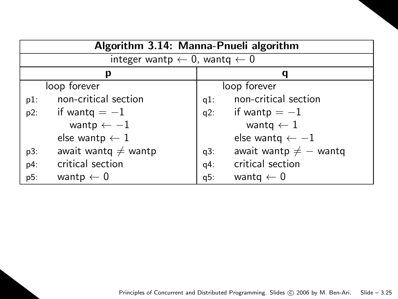|        | Algorithm 3.14: Manna-Pnueli algorithm              |        |                            |  |
|--------|-----------------------------------------------------|--------|----------------------------|--|
|        | integer wantp $\leftarrow 0$ , wantq $\leftarrow 0$ |        |                            |  |
|        | p                                                   |        | q                          |  |
|        | loop forever                                        |        | loop forever               |  |
| $p1$ : | non-critical section                                | $q1$ : | non-critical section       |  |
| $p2$ : | if wantq $=-1$                                      | $q2$ : | if wantp $=-1$             |  |
|        | wantp $\leftarrow -1$                               |        | wantq $\leftarrow 1$       |  |
|        | else wantp $\leftarrow$ 1                           |        | else wantq $\leftarrow -1$ |  |
| $p3$ : | await wantq $\neq$ wantp                            | $q3$ : | await wantp $\neq$ - wantq |  |
| p4:    | critical section                                    | $q4$ : | critical section           |  |
| p5:    | wantp $\leftarrow 0$                                | $q5$ : | wantq $\leftarrow 0$       |  |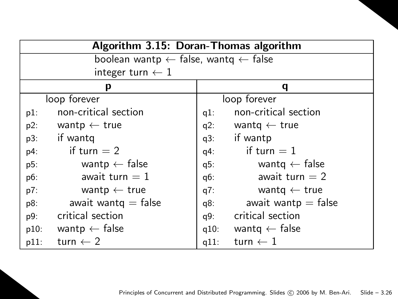| Algorithm 3.15: Doran-Thomas algorithm |                                                            |         |                          |  |
|----------------------------------------|------------------------------------------------------------|---------|--------------------------|--|
|                                        | boolean wantp $\leftarrow$ false, wantq $\leftarrow$ false |         |                          |  |
|                                        | integer turn $\leftarrow$ 1                                |         |                          |  |
|                                        | p                                                          |         | q                        |  |
|                                        | loop forever                                               |         | loop forever             |  |
| $p1$ :                                 | non-critical section                                       | $q1$ :  | non-critical section     |  |
| $p2$ :                                 | wantp $\leftarrow$ true                                    | $q2$ :  | wantq $\leftarrow$ true  |  |
| $p3$ :                                 | if wantq                                                   | q3:     | if wantp                 |  |
| p4:                                    | if turn $= 2$                                              | q4:     | if turn $=1$             |  |
| p5:                                    | wantp $\leftarrow$ false                                   | $q5$ :  | wantq $\leftarrow$ false |  |
| p6:                                    | await turn $= 1$                                           | $q6$ :  | await turn $= 2$         |  |
| $p7$ :                                 | wantp $\leftarrow$ true                                    | $q7$ :  | wantq $\leftarrow$ true  |  |
| p8:                                    | await wantq $=$ false                                      | q8:     | await wantp $=$ false    |  |
| p9:                                    | critical section                                           | q9:     | critical section         |  |
| p10:                                   | wantp $\leftarrow$ false                                   | q10:    | wantq $\leftarrow$ false |  |
| $p11$ :                                | turn $\leftarrow$ 2                                        | $q11$ : | turn $\leftarrow 1$      |  |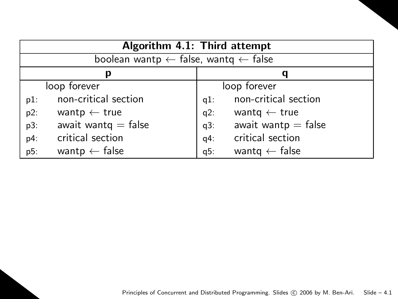| <b>Algorithm 4.1: Third attempt</b>                        |                          |  |  |
|------------------------------------------------------------|--------------------------|--|--|
| boolean wantp $\leftarrow$ false, wantq $\leftarrow$ false |                          |  |  |
| p                                                          |                          |  |  |
| loop forever                                               | loop forever             |  |  |
| non-critical section                                       | non-critical section     |  |  |
| $p1$ :                                                     | $q1$ :                   |  |  |
| $p2$ :                                                     | wantq $\leftarrow$ true  |  |  |
| wantp $\leftarrow$ true                                    | $q2$ :                   |  |  |
| $p3$ :                                                     | await wantp $=$ false    |  |  |
| await wantq $=$ false                                      | $q3$ :                   |  |  |
| $p4$ :                                                     | critical section         |  |  |
| critical section                                           | $q4$ :                   |  |  |
| p5:                                                        | wantq $\leftarrow$ false |  |  |
| wantp $\leftarrow$ false                                   | $q5$ :                   |  |  |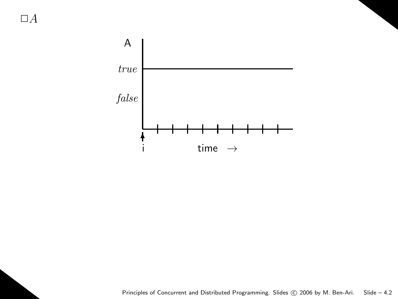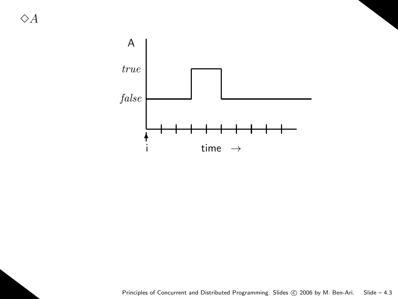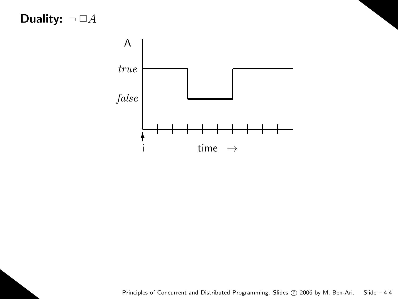## Duality:  $\neg\Box A$

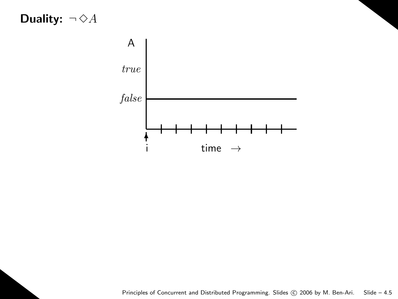## Duality:  $\neg \Diamond A$

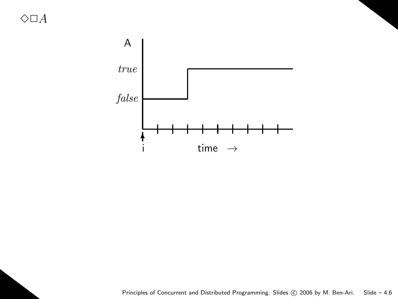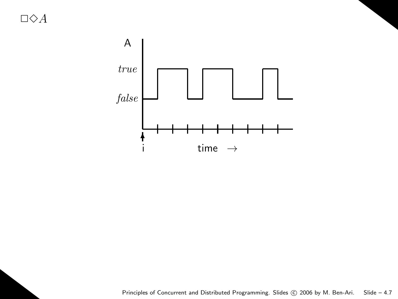$\Box \Diamond A$ 

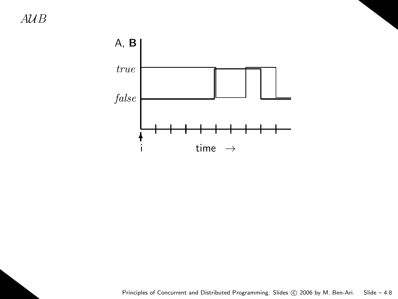$A \mathcal{U} B$ 

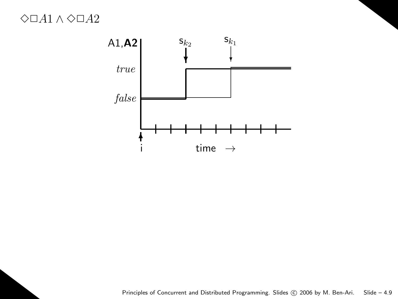# $\diamond\square A1 \wedge \diamond\square A2$

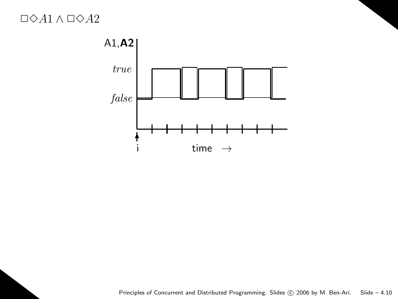# $\Box \diamond A1 \wedge \Box \diamond A2$

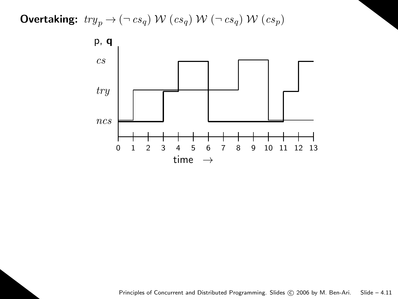Overtaking:  $\mathit{try}_p \rightarrow (\neg \; cs_q) \; \mathcal{W} \; (\mathit{cs}_q) \; \mathcal{W} \; (\neg \; cs_q) \; \mathcal{W} \; (\mathit{cs}_p)$ 

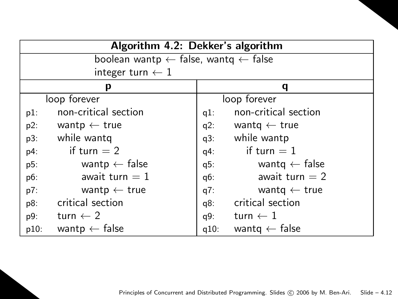|        | Algorithm 4.2: Dekker's algorithm                          |         |                          |
|--------|------------------------------------------------------------|---------|--------------------------|
|        | boolean wantp $\leftarrow$ false, wantq $\leftarrow$ false |         |                          |
|        | integer turn $\leftarrow$ 1                                |         |                          |
|        | p                                                          |         | q                        |
|        | loop forever                                               |         | loop forever             |
| $p1$ : | non-critical section                                       | $q1$ :  | non-critical section     |
| $p2$ : | wantp $\leftarrow$ true                                    | $q2$ :  | wantq $\leftarrow$ true  |
| $p3$ : | while wantq                                                | $q3$ :  | while wantp              |
| $p4$ : | if turn $= 2$                                              | $q4$ :  | if turn $=1$             |
| p5:    | wantp $\leftarrow$ false                                   | q5:     | wantq $\leftarrow$ false |
| p6:    | await turn $= 1$                                           | $q6$ :  | await turn $= 2$         |
| $p7$ : | wantp $\leftarrow$ true                                    | $q7$ :  | wantq $\leftarrow$ true  |
| p8:    | critical section                                           | q8:     | critical section         |
| p9:    | turn $\leftarrow 2$                                        | q9:     | turn $\leftarrow 1$      |
| p10:   | wantp $\leftarrow$ false                                   | $q10$ : | wantq $\leftarrow$ false |
|        |                                                            |         |                          |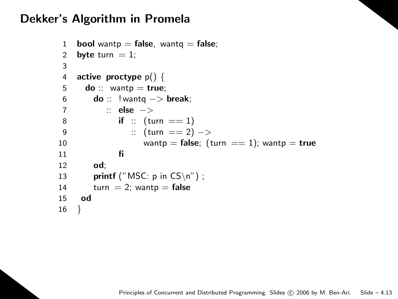#### Dekker's Algorithm in Promela

```
11 bool wantp = false, wantq = false;
 22 byte turn = 1;
 344 active proctype p() \; \{5 do :: wantp = true;
 566 do ∷‼wantq -> break;<br>7
  7 :: else −>
 78 if :: (turn == 1)899 \therefore (turn == 2)−>\begin{array}{lll} 0 & \quad \text{with} \; \mathbf{F} & \text{with} \; \mathbf{F} & \text{with} \; \mathbf{F} & \text{with} \; \mathbf{F} & \text{with} \; \mathbf{F} & \text{with} \; \mathbf{F} & \text{with} \; \mathbf{F} & \text{with} \; \mathbf{F} & \text{with} \; \mathbf{F} & \text{with} \; \mathbf{F} & \text{with} \; \mathbf{F} & \text{with} \; \mathbf{F} & \text{with} \; \mathbf{F} & \text{with} \; \mathbf{F} & \text{with} \; \mathbf{1011
12fi od;
133 printf ("MSC: p in CS\n\backslash n") ;
  4 turn = 2; wantp = false
1415 od16}
```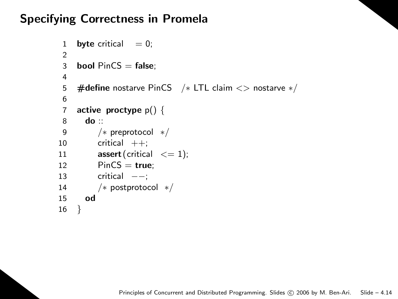### Specifying Correctness in Promela

```
11 byte critical = 0;2
33 bool PinCS = false;<br>4
4
55 #define nostarve PinCS /* LTL claim <> nostarve */<br>c
6
77 active proctype p() \; \{88 do ::
9
10/∗ preprotocol
∗/0 \quad critical ++;111 assert (critical \langle = 1 \rangle;
12 PinCS = true;
13 critical −−;
14
15/∗ postprotocol
∗/ od16}
```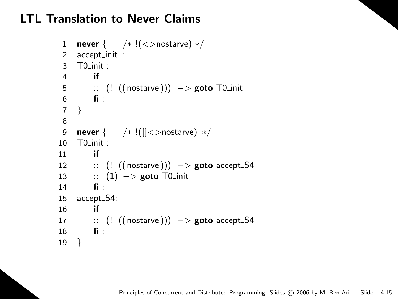### LTL Translation to Never Claims

```
11 never \{ \quad \}/* !( \lt > nostarve) *\!/2 accept_init :
 33 T0_init :
4 if
 5 \cdots (! ((nostarve)))
                               -> goto T0_init
 6 fi ;

7
8}
99     never {         /* !([]<>nostarve)  */
 0 \overline{10} init :
1011 if
12 :: (! (( nostarve )))
                               −> goto accept_S4<br>|ait

13 :: (1)
                 -> goto T0_init
14
15fi ;
    accept S4:
16 if
17 :: (! (( nostarve )))
                               -> {\bf goto} accept_{\sf S4}18fi ;
19 \quad \}
```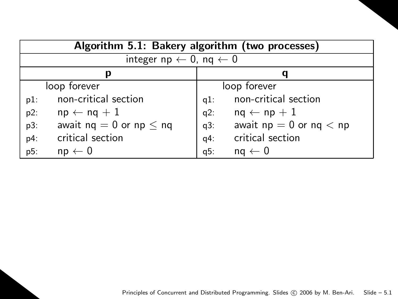|              | Algorithm 5.1: Bakery algorithm (two processes) |        |                             |  |
|--------------|-------------------------------------------------|--------|-----------------------------|--|
|              | integer np $\leftarrow$ 0, nq $\leftarrow$ 0    |        |                             |  |
|              | p                                               |        |                             |  |
| loop forever |                                                 |        | loop forever                |  |
| $p1$ :       | non-critical section                            | $q1$ : | non-critical section        |  |
| $p2$ :       | $np \leftarrow nq + 1$                          | $q2$ : | nq $\leftarrow$ np $+$ $1$  |  |
| $p3$ :       | await $nq = 0$ or $np \le nq$                   | $q3$ : | await $np = 0$ or $nq < np$ |  |
| $p4$ :       | critical section                                | $q4$ : | critical section            |  |
| p5:          | $np \leftarrow 0$                               | $q5$ : | $nq \leftarrow 0$           |  |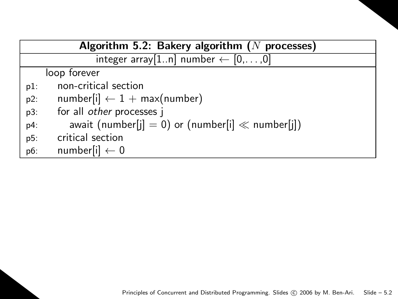|        | Algorithm 5.2: Bakery algorithm ( $N$ processes)     |  |  |
|--------|------------------------------------------------------|--|--|
|        | integer array [1n] number $\leftarrow$ [0,,0]        |  |  |
|        | loop forever                                         |  |  |
| $p1$ : | non-critical section                                 |  |  |
| $p2$ : | $number[i] \leftarrow 1 + max(number)$               |  |  |
| $p3$ : | for all <i>other</i> processes j                     |  |  |
| $p4$ : | await (number[j] = 0) or (number[i] $\ll$ number[j]) |  |  |
| p5:    | critical section                                     |  |  |
| $p6$ : | number[i] $\leftarrow 0$                             |  |  |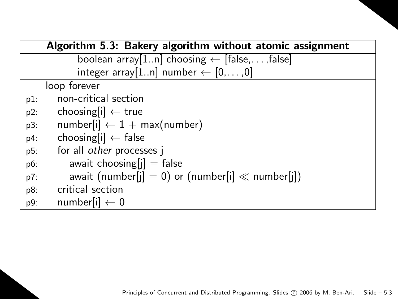|        | Algorithm 5.3: Bakery algorithm without atomic assignment   |
|--------|-------------------------------------------------------------|
|        | boolean array $[1n]$ choosing $\leftarrow$ [false, , false] |
|        | integer array $[1n]$ number $\leftarrow [0,,0]$             |
|        | loop forever                                                |
| $p1$ : | non-critical section                                        |
| $p2$ : | choosing[i] $\leftarrow$ true                               |
| $p3$ : | $number[i] \leftarrow 1 + max(number)$                      |
| $p4$ : | choosing[i] $\leftarrow$ false                              |
| $p5$ : | for all <i>other</i> processes j                            |
| p6:    | await choosing[j] = false                                   |
| p7:    | await (number[j] = 0) or (number[i] $\ll$ number[j])        |
| p8:    | critical section                                            |
| p9:    | number[i] $\leftarrow 0$                                    |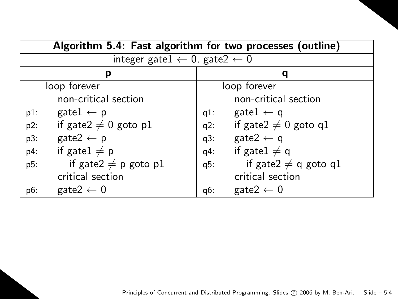|        | Algorithm 5.4: Fast algorithm for two processes (outline) |        |                           |
|--------|-----------------------------------------------------------|--------|---------------------------|
|        | integer gate1 $\leftarrow$ 0, gate2 $\leftarrow$ 0        |        |                           |
|        | p                                                         |        | q                         |
|        | loop forever                                              |        | loop forever              |
|        | non-critical section                                      |        | non-critical section      |
| $p1$ : | gate $1 \leftarrow p$                                     | $q1$ : | gate $1 \leftarrow q$     |
| $p2$ : | if gate2 $\neq$ 0 goto p1                                 | q2:    | if gate2 $\neq$ 0 goto q1 |
| p3:    | gate $2 \leftarrow p$                                     | $q3$ : | gate2 $\leftarrow$ q      |
| p4:    | if gate $1\neq$ p                                         | $q4$ : | if gate $1\neq q$         |
| p5:    | if gate2 $\neq$ p goto p1                                 | $q5$ : | if gate2 $\neq$ q goto q1 |
|        | critical section                                          |        | critical section          |
| $p6$ : | gate2 $\leftarrow$ 0                                      | $q6$ : | gate2 $\leftarrow$ 0      |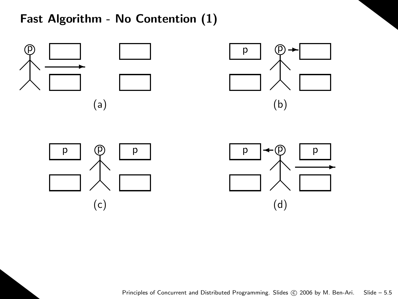Fast Algorithm - No Contention (1)

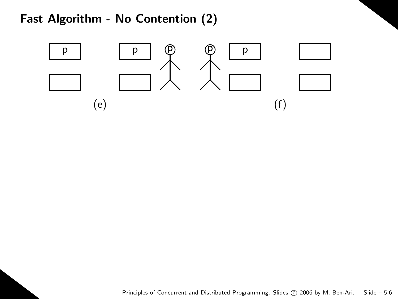Fast Algorithm - No Contention (2)

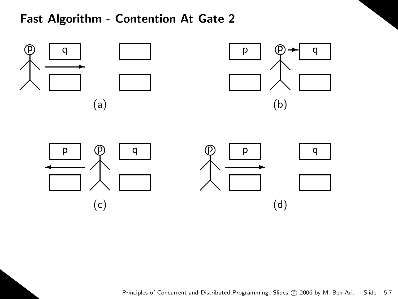#### Fast Algorithm - Contention At Gate <sup>2</sup>

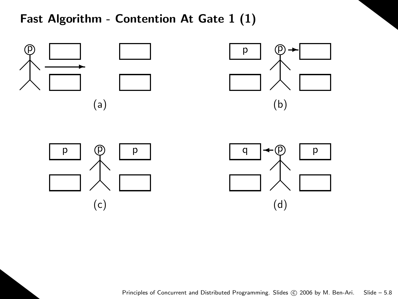Fast Algorithm - Contention At Gate 1 (1)

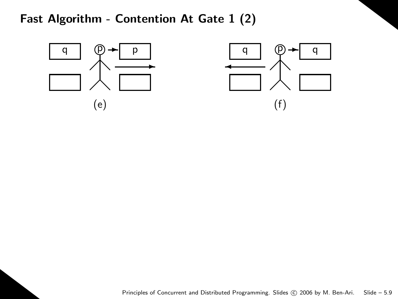Fast Algorithm - Contention At Gate 1 (2)

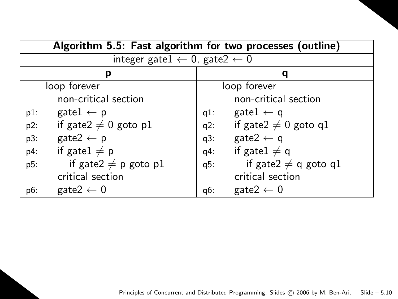|        | Algorithm 5.5: Fast algorithm for two processes (outline) |        |                           |
|--------|-----------------------------------------------------------|--------|---------------------------|
|        | integer gate1 $\leftarrow$ 0, gate2 $\leftarrow$ 0        |        |                           |
|        | p                                                         |        | q                         |
|        | loop forever                                              |        | loop forever              |
|        | non-critical section                                      |        | non-critical section      |
| $p1$ : | gate $1 \leftarrow p$                                     | $q1$ : | gate $1 \leftarrow q$     |
| $p2$ : | if gate2 $\neq$ 0 goto p1                                 | q2:    | if gate2 $\neq$ 0 goto q1 |
| p3:    | gate $2 \leftarrow p$                                     | $q3$ : | gate2 $\leftarrow$ q      |
| p4:    | if gate $1\neq$ p                                         | $q4$ : | if gate $1\neq q$         |
| p5:    | if gate2 $\neq$ p goto p1                                 | $q5$ : | if gate2 $\neq$ q goto q1 |
|        | critical section                                          |        | critical section          |
| $p6$ : | gate2 $\leftarrow$ 0                                      | $q6$ : | gate2 $\leftarrow$ 0      |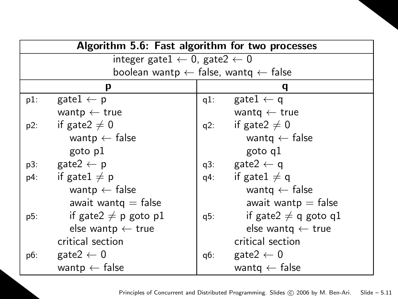|        | Algorithm 5.6: Fast algorithm for two processes            |        |                                                                              |
|--------|------------------------------------------------------------|--------|------------------------------------------------------------------------------|
|        | integer gate1 $\leftarrow$ 0, gate2 $\leftarrow$ 0         |        |                                                                              |
|        | boolean wantp $\leftarrow$ false, wantq $\leftarrow$ false |        |                                                                              |
|        | p                                                          |        | q                                                                            |
| $p1$ : | gate $1 \leftarrow \texttt{p}$                             | $q1$ : | gate $1 \leftarrow$ q                                                        |
|        | wantp $\leftarrow$ true                                    |        | wantq $\leftarrow$ true                                                      |
| $p2$ : | if gate $2\neq 0$                                          |        | q2: if gate $2 \neq 0$                                                       |
|        | wantp $\leftarrow$ false                                   |        | wantq $\leftarrow$ false                                                     |
|        | goto pl                                                    |        | gotoq1                                                                       |
| p3:    | gate $2 \leftarrow p$                                      |        | q3: gate2 $\leftarrow$ q                                                     |
| p4:    | if gate $1\neq$ p                                          |        | $q4:$ if gate $1 \neq q$                                                     |
|        | wantp $\leftarrow$ false                                   |        | wantq $\leftarrow$ false                                                     |
|        | await wantq $=$ false                                      |        | await wantp $=$ false                                                        |
| p5:    | if gate2 $\neq$ p goto p1                                  | q5:    | $\mathsf{if} \ \mathsf{gate2} \neq \mathsf{q} \ \mathsf{goto} \ \mathsf{q1}$ |
|        | else wantp $\leftarrow$ true                               |        | else wantq $\leftarrow$ true                                                 |
|        | critical section                                           |        | critical section                                                             |
| p6:    | gate $2 \leftarrow 0$                                      | q6:    | gate $2 \leftarrow 0$                                                        |
|        | wantp $\leftarrow$ false                                   |        | wantq $\leftarrow$ false                                                     |
|        |                                                            |        |                                                                              |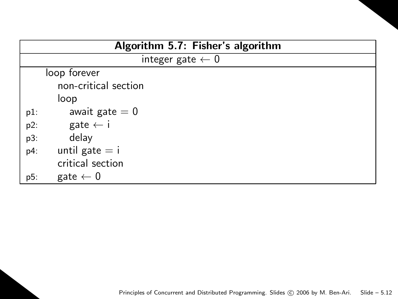|                | Algorithm 5.7: Fisher's algorithm |
|----------------|-----------------------------------|
|                | integer gate $\leftarrow 0$       |
|                | loop forever                      |
|                | non-critical section              |
|                | loop                              |
|                | await gate $= 0$                  |
| $p1:$<br>$p2:$ | gate $\leftarrow$ i               |
| $p3$ :         | delay                             |
| $p4$ :         | until gate $=$ i                  |
|                | critical section                  |
| $p5$ :         | gate $\leftarrow 0$               |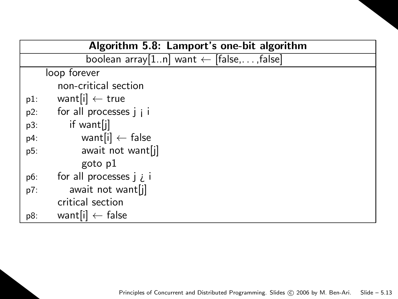| Algorithm 5.8: Lamport's one-bit algorithm            |                                |  |  |  |
|-------------------------------------------------------|--------------------------------|--|--|--|
| boolean $array[1n]$ want $\leftarrow$ [false,, false] |                                |  |  |  |
|                                                       | loop forever                   |  |  |  |
|                                                       | non-critical section           |  |  |  |
| $p1$ :                                                | want[i] $\leftarrow$ true      |  |  |  |
| $p2$ :                                                | for all processes <i>i i i</i> |  |  |  |
| p3:                                                   | $if$ want[j]                   |  |  |  |
| p4:                                                   | want[i] $\leftarrow$ false     |  |  |  |
| p5:                                                   | await not want[j]              |  |  |  |
|                                                       | goto $p1$                      |  |  |  |
| p6:                                                   | for all processes $i \, i$     |  |  |  |
| $p7$ :                                                | await not want[j]              |  |  |  |
|                                                       | critical section               |  |  |  |
| p8:                                                   | want $[i] \leftarrow$ false    |  |  |  |
|                                                       |                                |  |  |  |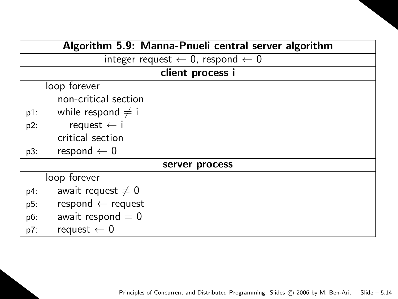| Algorithm 5.9: Manna-Pnueli central server algorithm    |  |  |  |  |
|---------------------------------------------------------|--|--|--|--|
| integer request $\leftarrow 0$ , respond $\leftarrow 0$ |  |  |  |  |
| client process i                                        |  |  |  |  |
| loop forever                                            |  |  |  |  |
| non-critical section                                    |  |  |  |  |
| while respond $\neq$ i<br>$p1$ :                        |  |  |  |  |
| request $\leftarrow$ i<br>$p2$ :                        |  |  |  |  |
| critical section                                        |  |  |  |  |
| respond $\leftarrow$ 0<br>$p3$ :                        |  |  |  |  |
| server process                                          |  |  |  |  |
| loop forever                                            |  |  |  |  |
| await request $\neq 0$<br>$p4$ :                        |  |  |  |  |
| respond $\leftarrow$ request<br>p5:                     |  |  |  |  |
| await respond $= 0$<br>p6:                              |  |  |  |  |
| request $\leftarrow 0$<br>$p7$ :                        |  |  |  |  |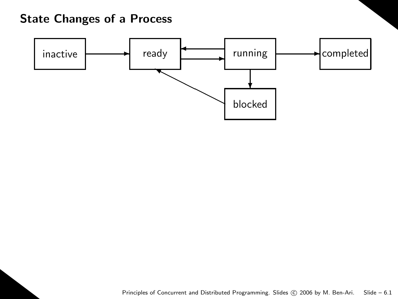#### State Changes of <sup>a</sup> Process

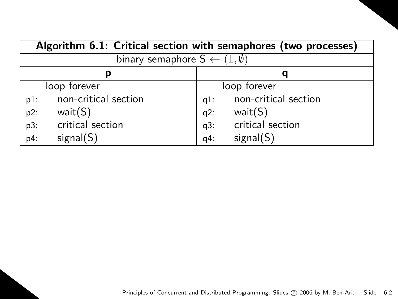| Algorithm 6.1: Critical section with semaphores (two processes) |                      |              |                      |  |
|-----------------------------------------------------------------|----------------------|--------------|----------------------|--|
| binary semaphore $S \leftarrow (1, \emptyset)$                  |                      |              |                      |  |
| p                                                               |                      |              |                      |  |
| loop forever                                                    |                      | loop forever |                      |  |
| $p1$ :                                                          | non-critical section | $q1$ :       | non-critical section |  |
| $p2$ :                                                          | wait(S)              | $q2$ :       | wait(S)              |  |
| p3:                                                             | critical section     | $q3$ :       | critical section     |  |
| $p4$ :                                                          | signal(S)            | $q4$ :       | signal(S)            |  |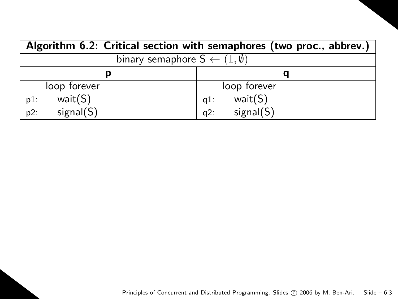| Algorithm 6.2: Critical section with semaphores (two proc., abbrev.) |                     |  |  |  |  |  |
|----------------------------------------------------------------------|---------------------|--|--|--|--|--|
| binary semaphore $S \leftarrow (1, \emptyset)$                       |                     |  |  |  |  |  |
| D                                                                    |                     |  |  |  |  |  |
| loop forever                                                         | loop forever        |  |  |  |  |  |
| wait(S)<br>$p1$ :                                                    | wait(S)<br>$q1$ :   |  |  |  |  |  |
| $p2$ :<br>signal(S)                                                  | signal(S)<br>$q2$ : |  |  |  |  |  |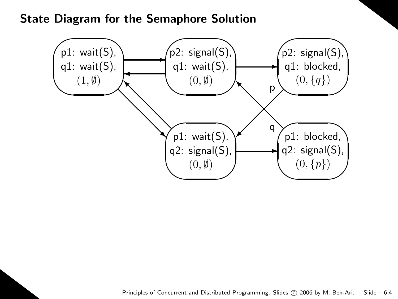State Diagram for the Semaphore Solution

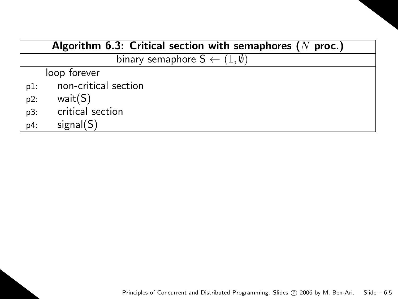|                | Algorithm 6.3: Critical section with semaphores ( $N$ proc.) |  |  |
|----------------|--------------------------------------------------------------|--|--|
|                | binary semaphore $S \leftarrow (1, \emptyset)$               |  |  |
|                | loop forever                                                 |  |  |
| $p1$ :         | non-critical section                                         |  |  |
| $p2:$<br>$p3:$ | wait(S)                                                      |  |  |
|                | critical section                                             |  |  |
| $p4$ :         | signal(S)                                                    |  |  |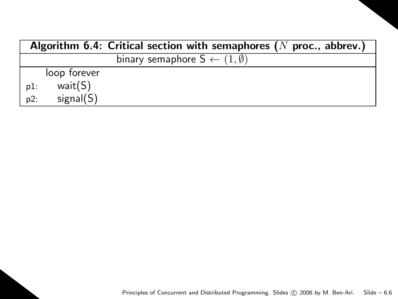|        |              |                                                | Algorithm 6.4: Critical section with semaphores $(N \text{ proc.}, \text{ abbrev.})$ |  |
|--------|--------------|------------------------------------------------|--------------------------------------------------------------------------------------|--|
|        |              | binary semaphore $S \leftarrow (1, \emptyset)$ |                                                                                      |  |
|        | loop forever |                                                |                                                                                      |  |
| $p1$ : | wait $(S)$   |                                                |                                                                                      |  |
| $p2$ : | signal(S)    |                                                |                                                                                      |  |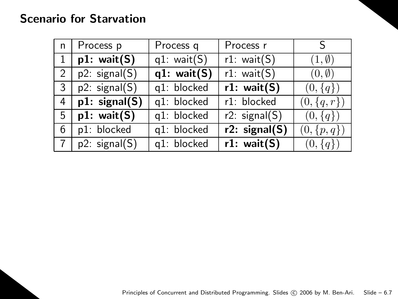## Scenario for Starvation

| n              | Process p          | Process q   | Process r          | S S             |
|----------------|--------------------|-------------|--------------------|-----------------|
|                | p1: wait(S)        | q1: wait(S) | r1: wait(S)        | $(1,\emptyset)$ |
| 2 <sup>1</sup> | $p2:$ signal $(S)$ | q1: wait(S) | r1: wait(S)        | $(0,\emptyset)$ |
| 3 <sup>1</sup> | $p2:$ signal $(S)$ | q1: blocked | r1: wait(S)        | $(0,\{q\})$     |
| $\overline{4}$ | p1: signal(S)      | q1: blocked | r1: blocked        | $(0,\{q,r\})$   |
| 5 <sup>1</sup> | p1: wait(S)        | q1: blocked | $r2:$ signal $(S)$ | $(0,\{q\})$     |
| 6              | p1: blocked        | q1: blocked | $r2:$ signal $(S)$ | $(0,\{p,q\})$   |
|                | $p2:$ signal(S)    | q1: blocked | r1: wait(S)        | $(0,\{q\})$     |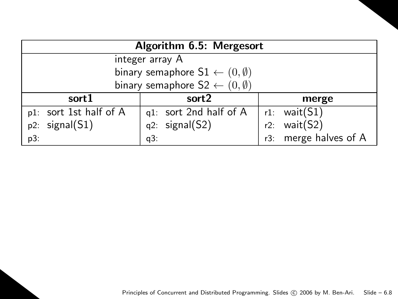| <b>Algorithm 6.5: Mergesort</b> |                                                 |                       |  |  |  |
|---------------------------------|-------------------------------------------------|-----------------------|--|--|--|
|                                 | integer array A                                 |                       |  |  |  |
|                                 | binary semaphore $S1 \leftarrow (0, \emptyset)$ |                       |  |  |  |
|                                 | binary semaphore $S2 \leftarrow (0, \emptyset)$ |                       |  |  |  |
| sort1                           | sort2                                           | merge                 |  |  |  |
| p1: sort 1st half of A          | q1: sort 2nd half of A                          | $r1:$ wait(S1)        |  |  |  |
| $p2:$ signal(S1)                | $q2:$ signal(S2)                                | $r2:$ wait(S2)        |  |  |  |
| p3:                             | $q3$ :                                          | r3: merge halves of A |  |  |  |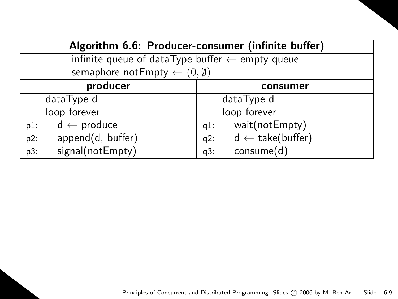|        | Algorithm 6.6: Producer-consumer (infinite buffer)          |        |                             |  |  |
|--------|-------------------------------------------------------------|--------|-----------------------------|--|--|
|        | infinite queue of data Type buffer $\leftarrow$ empty queue |        |                             |  |  |
|        | semaphore notEmpty $\leftarrow (0, \emptyset)$              |        |                             |  |  |
|        | producer<br>consumer                                        |        |                             |  |  |
|        | dataType d                                                  |        | dataType d                  |  |  |
|        | loop forever                                                |        | loop forever                |  |  |
| $p1$ : | $d \leftarrow$ produce                                      | $q1$ : | wait(notEmpty)              |  |  |
| $p2$ : | append(d, buffer)                                           | q2:    | $d \leftarrow$ take(buffer) |  |  |
| $p3$ : | signal(notEmpty)                                            | $q3$ : | consume(d)                  |  |  |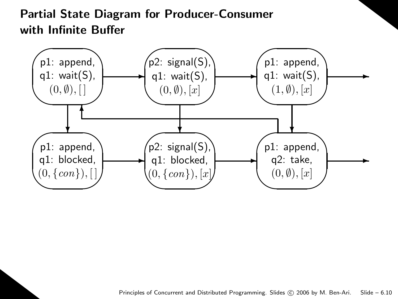# Partial State Diagram for Producer-Consumer with Infinite Buffer

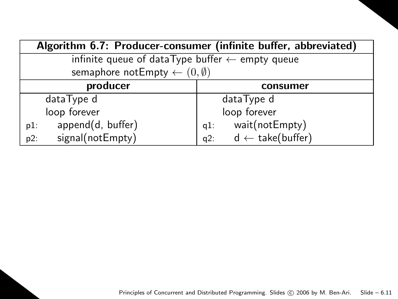| Algorithm 6.7: Producer-consumer (infinite buffer, abbreviated) |                                       |  |  |  |
|-----------------------------------------------------------------|---------------------------------------|--|--|--|
| infinite queue of data Type buffer $\leftarrow$ empty queue     |                                       |  |  |  |
| semaphore not Empty $\leftarrow (0, \emptyset)$                 |                                       |  |  |  |
| producer<br>consumer                                            |                                       |  |  |  |
| dataType d                                                      | dataType d                            |  |  |  |
| loop forever                                                    | loop forever                          |  |  |  |
| append(d, buffer)<br>$p1$ :                                     | wait(notEmpty)<br>$q1$ :              |  |  |  |
| signal(notEmpty)<br>$p2$ :                                      | $d \leftarrow$ take(buffer)<br>$q2$ : |  |  |  |
|                                                                 |                                       |  |  |  |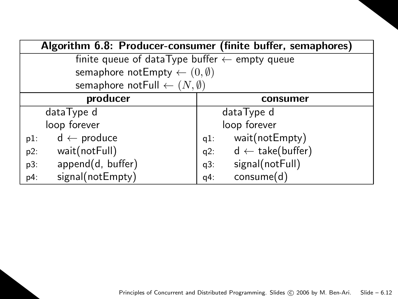|        | Algorithm 6.8: Producer-consumer (finite buffer, semaphores) |        |                             |  |  |
|--------|--------------------------------------------------------------|--------|-----------------------------|--|--|
|        | finite queue of dataType buffer $\leftarrow$ empty queue     |        |                             |  |  |
|        | semaphore not Empty $\leftarrow (0, \emptyset)$              |        |                             |  |  |
|        | semaphore notFull $\leftarrow (N, \emptyset)$                |        |                             |  |  |
|        | producer<br>consumer                                         |        |                             |  |  |
|        | dataType d                                                   |        | dataType d                  |  |  |
|        | loop forever                                                 |        | loop forever                |  |  |
| $p1$ : | $d \leftarrow$ produce                                       | $q1$ : | wait(notEmpty)              |  |  |
| p2:    | wait(notFull)                                                | $q2$ : | $d \leftarrow$ take(buffer) |  |  |
| p3:    | append(d, buffer)                                            | q3:    | signal(notFull)             |  |  |
| p4:    | signal(notEmpty)                                             | $q4$ : | consume(d)                  |  |  |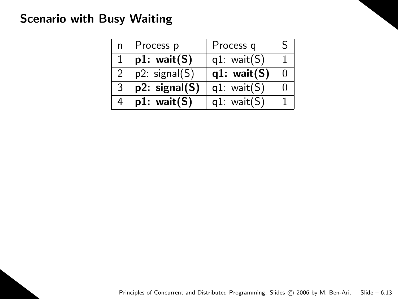#### Scenario with Busy Waiting

|                | $n \mid$ Process p | Process q   | -S             |
|----------------|--------------------|-------------|----------------|
| $\mathbf{1}$   | p1: wait(S)        | q1: wait(S) | $\overline{1}$ |
| 2 <sup>1</sup> | $p2:$ signal(S)    | q1: wait(S) |                |
| $\mathcal{S}$  | p2: signal(S)      | q1: wait(S) |                |
|                | 4   p1: wait(S)    | q1: wait(S) |                |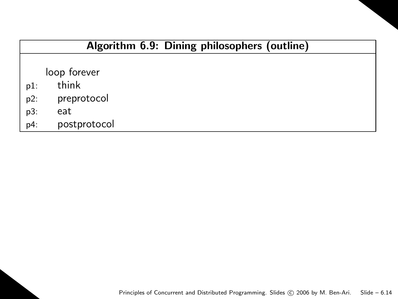#### Algorithm 6.9: Dining philosophers (outline)

loop forever

- p1:think
- preprotocolp2:
- p3:eat

 postprotocolp4: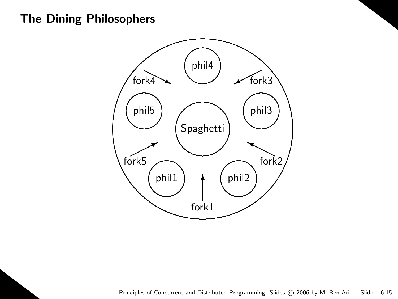### **The Dining Philosophers**

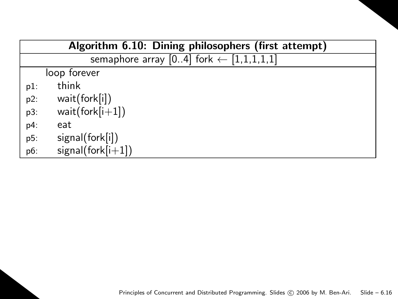|                                                    | Algorithm 6.10: Dining philosophers (first attempt) |  |  |  |
|----------------------------------------------------|-----------------------------------------------------|--|--|--|
| semaphore array [04] fork $\leftarrow$ [1,1,1,1,1] |                                                     |  |  |  |
|                                                    | loop forever                                        |  |  |  |
| $p1$ :                                             | think                                               |  |  |  |
| $p2$ :                                             | wait(fork[i])                                       |  |  |  |
| $p3$ :                                             | wait(fork $[i+1]$ )                                 |  |  |  |
| $p4$ :                                             | eat                                                 |  |  |  |
| p5:                                                | signal(fork[i])                                     |  |  |  |
| p6:                                                | $signal(fork[i+1])$                                 |  |  |  |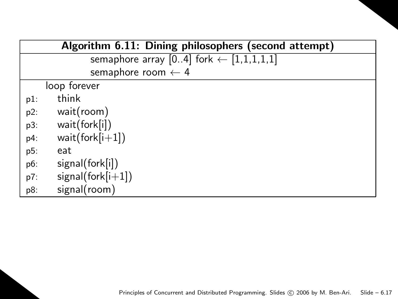|        | Algorithm 6.11: Dining philosophers (second attempt) |  |  |
|--------|------------------------------------------------------|--|--|
|        | semaphore array [04] fork $\leftarrow$ [1,1,1,1,1]   |  |  |
|        | semaphore room $\leftarrow$ 4                        |  |  |
|        | loop forever                                         |  |  |
| $p1$ : | think                                                |  |  |
| p2:    | wait(room)                                           |  |  |
| p3:    | wait(fork[i])                                        |  |  |
| p4:    | wait(fork $[i+1]$ )                                  |  |  |
| p5:    | eat                                                  |  |  |
| p6:    | signal(fork[i])                                      |  |  |
| p7:    | $signal(fork[i+1])$                                  |  |  |
| p8:    | signal(room)                                         |  |  |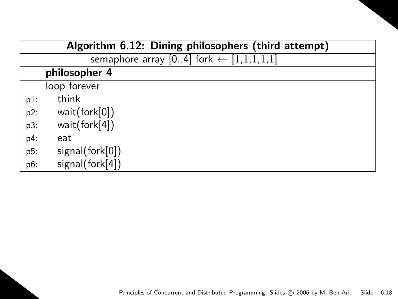|                | Algorithm 6.12: Dining philosophers (third attempt) |  |  |  |  |
|----------------|-----------------------------------------------------|--|--|--|--|
|                | semaphore array [04] fork $\leftarrow$ [1,1,1,1,1]  |  |  |  |  |
|                | philosopher 4                                       |  |  |  |  |
|                | loop forever                                        |  |  |  |  |
| $p1$ :         | think                                               |  |  |  |  |
| $p2:$<br>$p3:$ | wait(fork $[0]$ )                                   |  |  |  |  |
|                | wait(fork[4])                                       |  |  |  |  |
| p4:            | eat                                                 |  |  |  |  |
| p5:            | signal(fork[0])                                     |  |  |  |  |
| p6:            | signal(fork[4])                                     |  |  |  |  |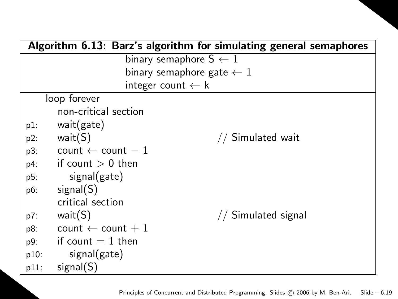|         | Algorithm 6.13: Barz's algorithm for simulating general semaphores |                     |  |  |  |
|---------|--------------------------------------------------------------------|---------------------|--|--|--|
|         | binary semaphore $S \leftarrow 1$                                  |                     |  |  |  |
|         | binary semaphore gate $\leftarrow$ 1                               |                     |  |  |  |
|         | integer count $\leftarrow$ k                                       |                     |  |  |  |
|         | loop forever                                                       |                     |  |  |  |
|         | non-critical section                                               |                     |  |  |  |
| $p1$ :  | wait(gate)                                                         |                     |  |  |  |
| $p2$ :  | wait $(S)$                                                         | // Simulated wait   |  |  |  |
| $p3$ :  | count $\leftarrow$ count $-1$                                      |                     |  |  |  |
| $p4$ :  | if count $> 0$ then                                                |                     |  |  |  |
| $p5$ :  | signal(gate)                                                       |                     |  |  |  |
| p6:     | signal(S)                                                          |                     |  |  |  |
|         | critical section                                                   |                     |  |  |  |
| p7:     | wait $(S)$                                                         | // Simulated signal |  |  |  |
| p8:     | count $\leftarrow$ count $+1$                                      |                     |  |  |  |
| p9:     | if count $= 1$ then                                                |                     |  |  |  |
| $p10$ : | signal(gate)                                                       |                     |  |  |  |
| $p11$ : | signal(S)                                                          |                     |  |  |  |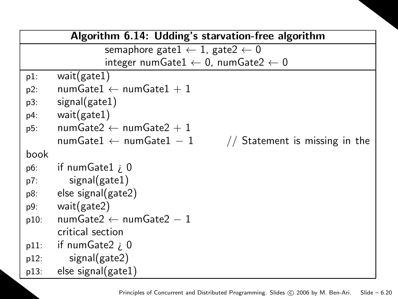| Algorithm 6.14: Udding's starvation-free algorithm |                                                                          |  |  |
|----------------------------------------------------|--------------------------------------------------------------------------|--|--|
|                                                    | semaphore gate1 $\leftarrow$ 1, gate2 $\leftarrow$ 0                     |  |  |
|                                                    | integer numGate1 $\leftarrow$ 0, numGate2 $\leftarrow$ 0                 |  |  |
| $p1$ :                                             | wait( $gate1$ )                                                          |  |  |
| $p2$ :                                             | $numGate1 \leftarrow numGate1 + 1$                                       |  |  |
| $p3$ :                                             | signal(gate1)                                                            |  |  |
| $p4$ :                                             | wait $(gate1)$                                                           |  |  |
| $p5$ :                                             | $numGate2 \leftarrow numGate2 + 1$                                       |  |  |
|                                                    | numGate $1 \leftarrow$ numGate $1 - 1$<br>// Statement is missing in the |  |  |
| book                                               |                                                                          |  |  |
| p6:                                                | if numGate1 $i$ 0                                                        |  |  |
| $p7$ :                                             | signal(gate1)                                                            |  |  |
| p8:                                                | else signal(gate2)                                                       |  |  |
| p9:                                                | wait(gate2)                                                              |  |  |
| $p10$ :                                            | $numGate2 \leftarrow numGate2 - 1$                                       |  |  |
|                                                    | critical section                                                         |  |  |
| p11:                                               | if numGate2 $i$ 0                                                        |  |  |
| $p12$ :                                            | signal(gate2)                                                            |  |  |
| p13:                                               | else signal(gate1)                                                       |  |  |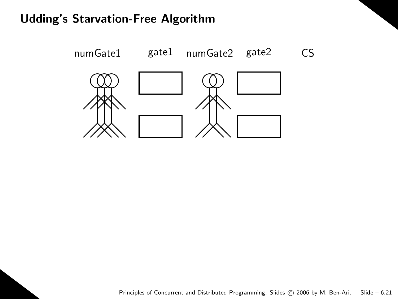## Udding's Starvation-Free Algorithm

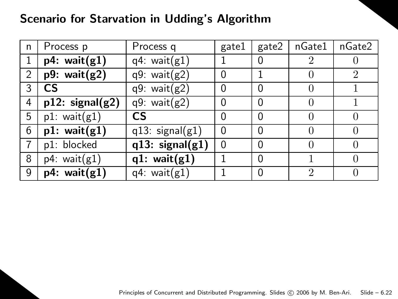#### Scenario for Starvation in Udding's Algorithm

| $\mathsf{n}$   | Process p          | Process q            | gate1          | gate $2 \mid$  | $\,$ nGate $1$ | nGate2         |
|----------------|--------------------|----------------------|----------------|----------------|----------------|----------------|
|                | p4: wait(g1)       | $q4$ : wait $(g1)$   |                | $\overline{0}$ |                |                |
| $\overline{2}$ | p9: wait(g2)       | q9: wait(g2)         | $\overline{0}$ |                |                | $\overline{2}$ |
| 3 <sup>1</sup> | <b>CS</b>          | q9: wait(g2)         | $\overline{0}$ | $\overline{0}$ |                |                |
| 4              | $p12:$ signal(g2)  | q9: wait(g2)         | $\overline{0}$ | $\overline{0}$ |                |                |
| 5              | p1: wait $(g1)$    | <b>CS</b>            | $\Omega$       | $\overline{0}$ |                |                |
| 6              | p1: wait(g1)       | $q13:$ signal(g1)    | $\overline{0}$ | $\overline{0}$ |                |                |
|                | p1: blocked        | $q13:$ signal $(g1)$ | $\overline{0}$ | $\overline{0}$ |                |                |
| 8              | $p4$ : wait $(g1)$ | q1: wait(g1)         |                | $\overline{0}$ |                |                |
| 9              | p4: wait(g1)       | $q4$ : wait $(g1)$   |                | $\Omega$       | $\Omega$       |                |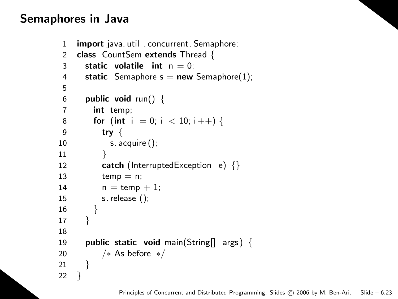## Semaphores in Java

```
1import java. util . concurrent. Semaphore;
 22 class CountSem extends Thread {
 3static volatile int n = 0;
 44   static Semaphore s = new Semaphore(1);<br><del>-</del>
 566 public void run() \{7 int temp;
88 for (int i = 0; i < 10; i++) {
99 \qquad \qquad \textbf{try} \; \{
 s. acquire ();
1011\begin{matrix} 1 & & \end{matrix}2 catch (InterruptedException e) {}
1213temp = n;
14n = temp + 1;
15 s. release ();
16 }17 }18
199 public static void main(String[] args) {
200 * As before */21 }22 }
```
Principles of Concurrent and Distributed Programming. Slides (c) 2006 by M. Ben-Ari. Slide - 6.23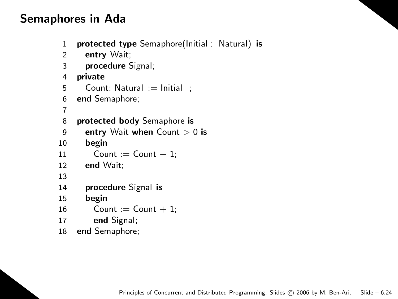#### Semaphores in Ada

```
1 protected type Semaphore(Initial : Natural) is
```

```
22 entry Wait;
```
**procedure** Signal;

```
4 private
```

```
5 Count: Natural := Initial ;
5
```

```
66     end Semaphore;
```

```

8 protected body Semaphore is
```

```
99 entry Wait when Count > 0 is
```

```
10 begin
```

```
\begin{array}{ll} 1 \qquad & \textup{Count} := \textup{Count} - 1; \end{array}11
```

```
122 end Wait;
```

```
13
```

```

144 procedure Signal is
```

```
15 begin
```

```
6 Count := Count + 1;
16
```

```
177 end Signal;
```

```
188     end Semaphore;
```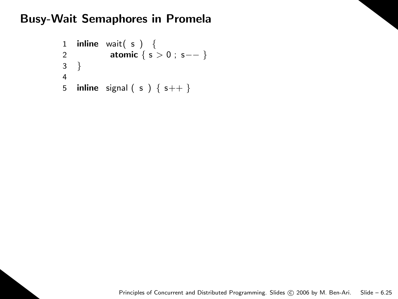#### Busy-Wait Semaphores in Promela

```
11 inline wait(s) \{2 atomic \{s > 0 ; s-- \}23
4}
55 inline signal (s) \{s++\}
```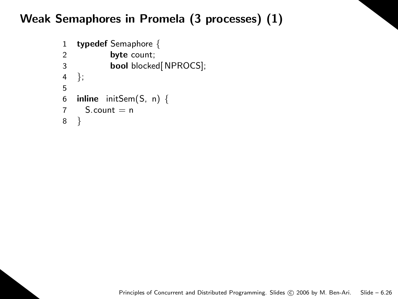#### Weak Semaphores in Promela (3 processes) (1)

```
11 typedef Semaphore {
2 byte count;
23 bool blocked[ NPROCS];
4
5};66 inline initSem(S, n) {
7S.count = n8}
```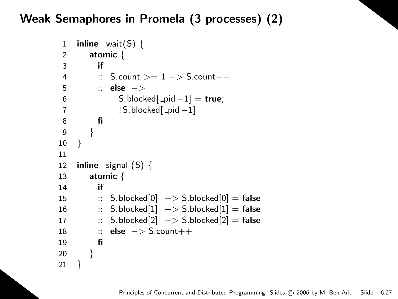# Weak Semaphores in Promela (3 processes) (2)

```
11 inline wait(S) \{22 atomic \{3 if
4 :: S.count
>= 1−> S.count−−
55 :: else −>
 S. blocked[ _pid -1] = true;
6
 ! S.blocked[ pid−1]78
9fi
10}}11
122 inline signal (S) {
133 atomic \{14 if
15 :: S.blocked[0]
                     -> S.blocked[0] = false
 6 \qquad :: \quad S. blocked[1]16-> S.blocked[1] = false

 :: S.blocked[2]
17-> S.blocked[2] = false

18 :: else−> S.count++
19fi20
21}}
```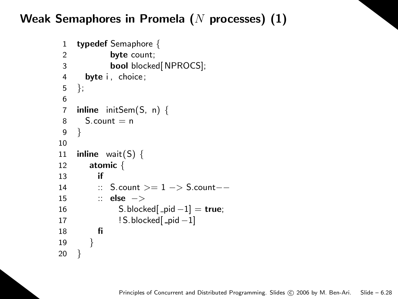# Weak Semaphores in Promela ( $N$  processes) (1)

```
11 typedef Semaphore {
 2 byte count;
23 bool blocked[ NPROCS];
44 byte i , choice ;
5};6
77 inline initSem(S, n) {
8S.count = n9
10}111 inline wait(S) \{122 atomic \{13 if
14 :: S.count
>= 1−> S.count−− 155 :: else −>
 S. blocked[ _pid −1] = true;
167                              ! S. blocked[ _pid −1]
1718
19fi}20}
```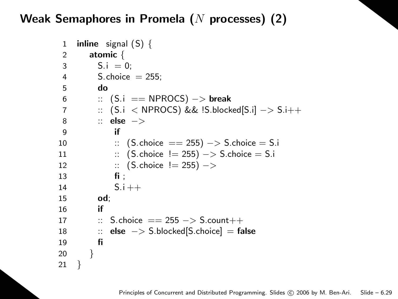# Weak Semaphores in Promela ( $N$  processes) (2)

```
11 inline signal (S) {
 22 atomic \{3 S.i = 0;34S.choice = 255;
 5 do6 \qquad \qquad \qquad ( \qquad \qquad ( \qquad \qquad \qquad \qquad \qquad \qquad \qquad \qquad \qquad \qquad \qquad \qquad \qquad \qquad \qquad \qquad \qquad \qquad \qquad \qquad \qquad \qquad \qquad \qquad \qquad \qquad \qquad \qquad \qquad \qquad6−> break<br>® JS bleak

 :: (S.i
< NPROCS) && !S.blocked[S.i]
 7−> S.i++
 8 :: else−>if
 99 if
100 :: (S.choice == 255)
                                              −> S.choice = S.i
 1 :: (S.choice != 255) -
11−> S.choice = S.i
 2 :: (S.choice != 255)
12−>13fi ;
14S.i++15 od;
16 if
17 :: S.choice == 255−> S.count++

 :: else−> S.blocked[S.choice] = false
1819fi20
21}}
```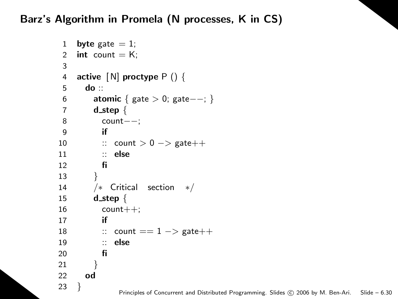Barz's Algorithm in Promela (N processes, <sup>K</sup> in CS)

```
11 byte gate = 1;
2int count = K;
344 active [N] proctype P() \{55 do ∷
6 atomic{ gate
> 0; gate−−; }
       d_step \{7
8
 count−−;
9 if
10 :: count
>0−> gate++
11 :: else12
13fi

14/∗ Critical section∗/}15 \mathbf{d}\_\mathbf{step} {
16count++;17 if
18 :: count == 1−> gate++
19 :: else20
21fi
22}2 \qquad \qquad od
23}
```
Principles of Concurrent and Distributed Programming. Slides  $\copyright$  2006 by M. Ben-Ari.  $\hspace{0.1cm}$  Slide – 6.30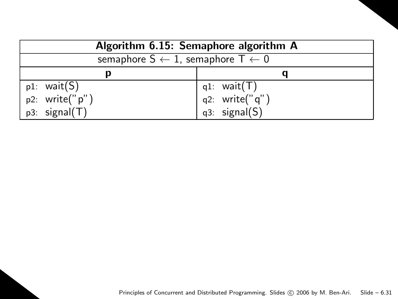| Algorithm 6.15: Semaphore algorithm A                   |                                     |  |  |
|---------------------------------------------------------|-------------------------------------|--|--|
| semaphore $S \leftarrow 1$ , semaphore $T \leftarrow 0$ |                                     |  |  |
|                                                         |                                     |  |  |
| $p1:$ wait $(S)$                                        | q1: wait $(T)$<br>q2: write $("q")$ |  |  |
| $p2:$ write("p")                                        |                                     |  |  |
| $p3:$ signal $(T)$                                      | $q3:$ signal $(S)$                  |  |  |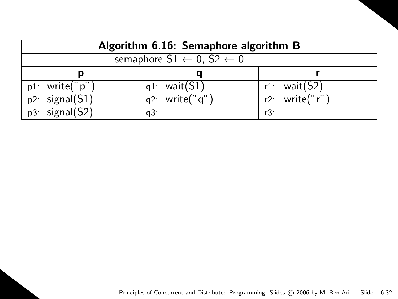| Algorithm 6.16: Semaphore algorithm B           |                |                  |  |  |
|-------------------------------------------------|----------------|------------------|--|--|
| semaphore $51 \leftarrow 0$ , $52 \leftarrow 0$ |                |                  |  |  |
| D                                               |                |                  |  |  |
| $p1:$ write(" $p"$ )                            | q1: $wait(S1)$ | $r1:$ wait(S2)   |  |  |
| $p2:$ signal $(S1)$                             | q2: write("q") | $r2:$ write("r") |  |  |
| $p3:$ signal(S2)                                | $q3$ :         | $r3$ :           |  |  |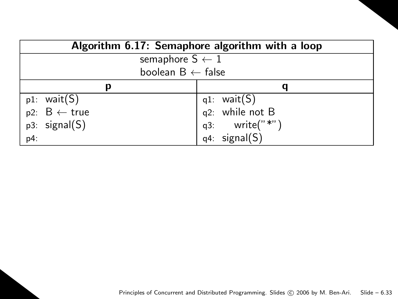| Algorithm 6.17: Semaphore algorithm with a loop |                   |  |  |
|-------------------------------------------------|-------------------|--|--|
| semaphore $S \leftarrow 1$                      |                   |  |  |
| boolean $B \leftarrow$ false                    |                   |  |  |
| p                                               | q                 |  |  |
| p1: wait(S)                                     | $q1:$ wait(S)     |  |  |
| $p2: B \leftarrow true$                         | q2: while not B   |  |  |
| $p3:$ signal $(S)$                              | q3: $write(" *")$ |  |  |
| $p4$ :                                          | $q4:$ signal(S)   |  |  |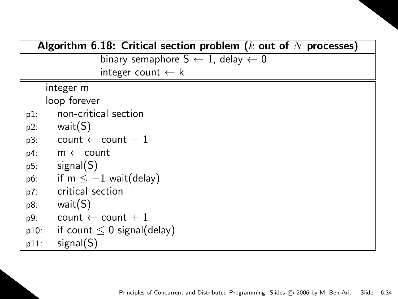|         | Algorithm 6.18: Critical section problem ( $k$ out of $N$ processes) |
|---------|----------------------------------------------------------------------|
|         | binary semaphore $S \leftarrow 1$ , delay $\leftarrow 0$             |
|         | integer count $\leftarrow$ k                                         |
|         | integer m                                                            |
|         | loop forever                                                         |
| $p1$ :  | non-critical section                                                 |
| $p2$ :  | wait $(\mathsf{S})$                                                  |
| $p3$ :  | count $\leftarrow$ count $-1$                                        |
| $p4$ :  | $m \leftarrow$ count                                                 |
| p5:     | signal(S)                                                            |
| p6:     | if $m \leq -1$ wait(delay)                                           |
| p7:     | critical section                                                     |
| p8:     | wait(S)                                                              |
| p9:     | count $\leftarrow$ count $+1$                                        |
| $p10$ : | if count $\leq 0$ signal(delay)                                      |
| $p11$ : | signal(S)                                                            |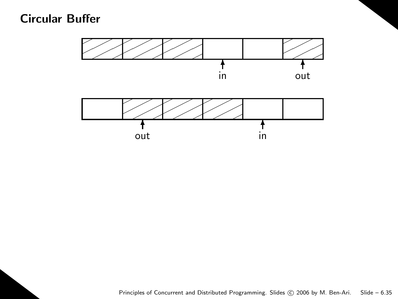#### Circular Buffer

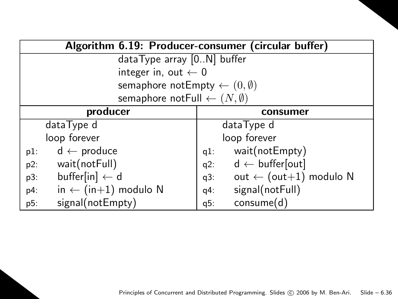|                                                | Algorithm 6.19: Producer-consumer (circular buffer) |        |                                                     |
|------------------------------------------------|-----------------------------------------------------|--------|-----------------------------------------------------|
|                                                | dataType array [0N] buffer                          |        |                                                     |
|                                                | integer in, out $\leftarrow 0$                      |        |                                                     |
| semaphore notEmpty $\leftarrow (0, \emptyset)$ |                                                     |        |                                                     |
| semaphore notFull $\leftarrow (N, \emptyset)$  |                                                     |        |                                                     |
|                                                | producer                                            |        | consumer                                            |
|                                                | dataType d                                          |        | dataType d                                          |
|                                                | loop forever                                        |        | loop forever                                        |
| $p1$ :                                         | $d \leftarrow$ produce                              | $q1$ : | wait(notEmpty)                                      |
| $p2$ :                                         | wait(notFull)                                       | $q2$ : | $\mathsf{d}\leftarrow\mathsf{buffer}[\mathsf{out}]$ |
| p3:                                            | buffer[in] $\leftarrow$ d                           | $q3$ : | out $\leftarrow$ (out+1) modulo N                   |
| $p4$ :                                         | in $\leftarrow$ (in+1) modulo N                     | $q4$ : | signal(notFull)                                     |
| $p5$ :                                         | signal(notEmpty)                                    | $q5$ : | consume(d)                                          |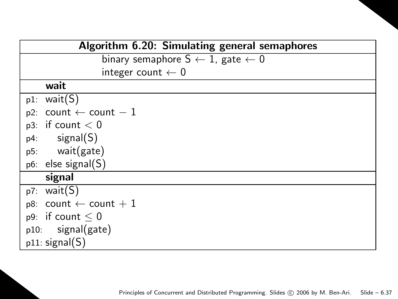| Algorithm 6.20: Simulating general semaphores                                   |
|---------------------------------------------------------------------------------|
| binary semaphore $S \leftarrow 1$ , gate $\leftarrow 0$                         |
| integer count $\leftarrow 0$                                                    |
| wait                                                                            |
| $p1:$ wait(S)                                                                   |
| <code>count</code> $\leftarrow$ <code>count</code> $-$ <code>1</code><br>$p2$ : |
| p3: if count $< 0$                                                              |
| $p4:$ signal(S)                                                                 |
| p5: wait(gate)                                                                  |
| $p6:$ else signal $(S)$                                                         |
| signal                                                                          |
| $p7:$ wait $(S)$                                                                |
| p8: count $\leftarrow$ count $+$ 1                                              |
| p9: if count $< 0$                                                              |
| $p10:$ signal(gate)                                                             |
| p11: signal(S)                                                                  |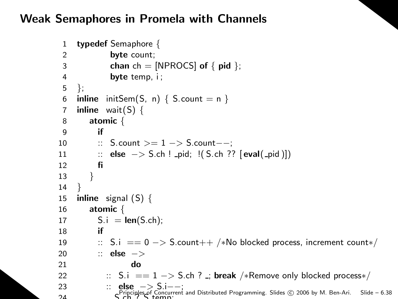#### Weak Semaphores in Promela with Channels

```
Principles of Concurrent and Distributed Programming. Slides

c 2006 by M. Ben-Ari. Slide – 6.3811 typedef Semaphore {
22 byte count;
33 chan ch = [NPROCS] of \{pid\};
44 byte temp, i;
5};66 inline initSem(S, n) \{ S.count = n \}77 inline wait(S) \{88 atomic \{99 if
10 :: S.count
>= 1−> S.count−−;

 :: else−> S.ch ! pid; !( S.ch ?? [ eval
( pid )])
1112fi13}14}5 inline signal (S) \{15166 atomic \{S.i = \text{len}(S.ch);1718 if
19 :: S.i == 0−> S.count++ /
∗No blocked process, increment count
∗/0 :: else −>
20---
21 do
 :: S.i == 1−> S.ch ? ; break
/∗Remove only blocked process
∗/223 \therefore else \Rightarrow S.i––;<br>Principles of Concurrent and Distributed Pros
23> S.i−−;
24\alpha S.ch ? S.temp;
```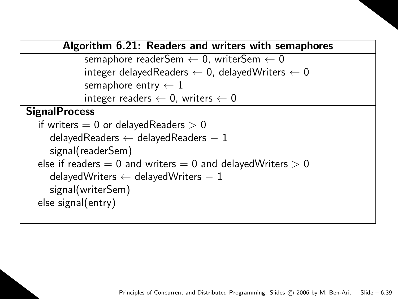```
Algorithm 6.21: Readers and writers with semaphores
                  semaphore readerSem ← 0, writerSem ← 0<br>integer delavedReaders ← 0, delavedWriters
                                             \overline{P}rs \leftarrow U deiaved vir
                  integer delayedReaders ← 0, delayedWriters ← 0<br>semanhore entry ← 1
                  semaphore entry \leftarrow 1\frac{\mathsf{integer}\,\, \mathsf{readers}}{\mathsf{ss}} \leftarrow 0,\,\, \mathsf{writes}\leftarrow 0SignalProcess
    if writers
= 0 or delayedReaders
>0delayedReaders ← delayedReaders<br>signal(readerSem)

signal(readerSem)−1else if readers
= 0 and writers
= 0 and delayedWriters
>0delayedWriters ← delayedWriters<br>signal(writerSem)

signal(writerSem)−1else signal(entry)
```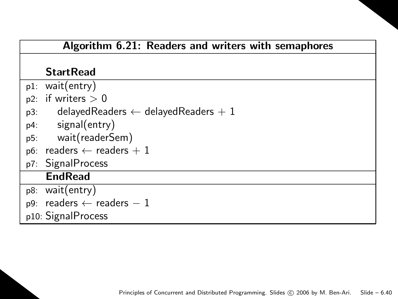#### Algorithm 6.21: Readers and writers with semaphores **StartRead**  wait(entry)p1: p2: if writers >0: delayedReaders ← delayedReaders + 1<br>· signal(entry) p3:p4: signal(entry) p5: wait(readerSem)p6: readers ← readers + 1<br>p7: SignalProcess p7: SignalProcess**EndRead**  p8: wait(entry)p9: readers← readers<br>p10: SignalProcess p10: SignalProcess−1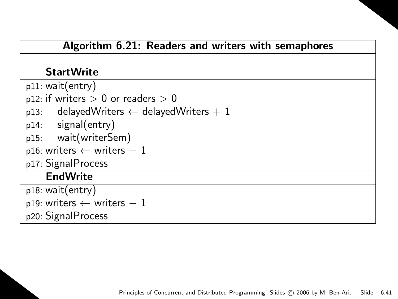#### Algorithm 6.21: Readers and writers with semaphores

#### **StartWrite**

p11: wait(entry)

p12: if writers > 0 or readers > 0

: delayedWriters ← delayedWriters + 1<br>· signal(entry) p13:

p14: signal(entry)

- p15: wait(writerSem)
- p16: writers ← writers + 1<br>p17: SignalProcess

p17: SignalProcess

#### **EndWrite**

p18: wait(entry)

p19: writers ← writers<br>p20: SignalProcess −1

p20: SignalProcess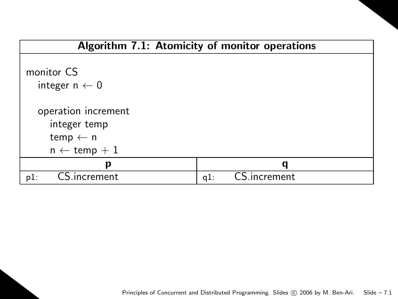| <b>Algorithm 7.1: Atomicity of monitor operations</b>                                 |                        |  |  |
|---------------------------------------------------------------------------------------|------------------------|--|--|
| monitor CS<br>integer $n \leftarrow 0$                                                |                        |  |  |
| operation increment<br>integer temp<br>temp $\leftarrow$ n<br>$n \leftarrow temp + 1$ |                        |  |  |
| р                                                                                     |                        |  |  |
| CS.increment                                                                          | CS.increment<br>$q1$ : |  |  |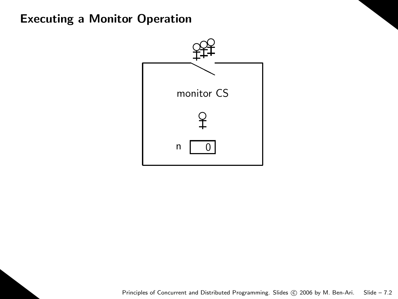#### Executing <sup>a</sup> Monitor Operation

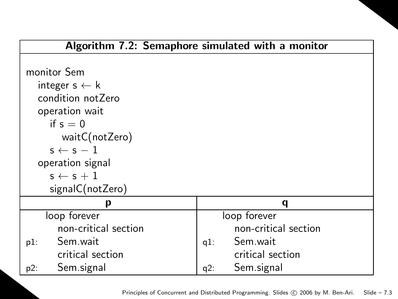#### Algorithm 7.2: Semaphore simulated with <sup>a</sup> monitor

| monitor Sem              |                      |
|--------------------------|----------------------|
| integer $s \leftarrow k$ |                      |
| condition notZero        |                      |
| operation wait           |                      |
| if $s = 0$               |                      |
| waitC(notZero)           |                      |
| $s \leftarrow s - 1$     |                      |
| operation signal         |                      |
| $s \leftarrow s + 1$     |                      |
| signalC(notZero)         |                      |
| p                        | q                    |
| loop forever             | loop forever         |
| non-critical section     | non-critical section |
| Sem wait<br>$p1$ :       | Sem wait<br>$q1$ :   |
| critical section         | critical section     |
| Sem signal<br>$p2$ :     | Sem signal<br>$q2$ : |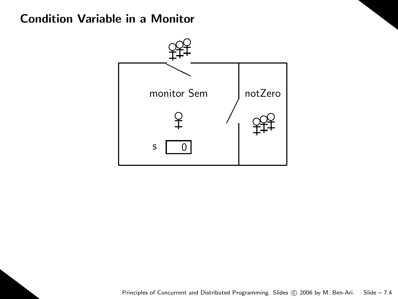#### Condition Variable in <sup>a</sup> Monitor

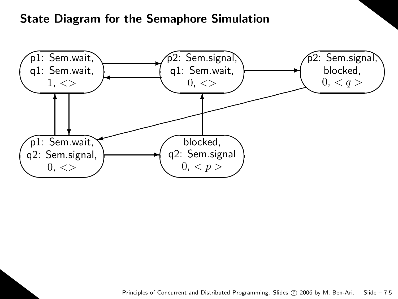#### State Diagram for the Semaphore Simulation

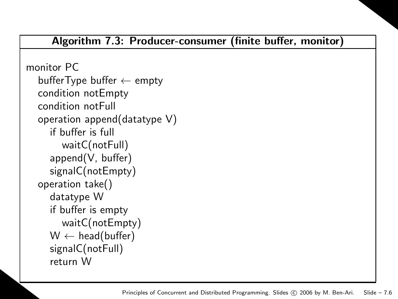#### Algorithm 7.3: Producer-consumer (finite buffer, monitor)

```
monitor PCbufferType buffer ← empty<br>condition notEmpty
  condition notEmpty
  condition notFull
  operation append(datatype V)
     if buffer is full
        waitC(notFull)
append(V, buffer)
     signalC(notEmpty)operation take()
     datatype Wif buffer is empty
        waitC(notEmpty)W ← head(buffer)<br>signalC(notEull)
      signalC(notFull)return W
```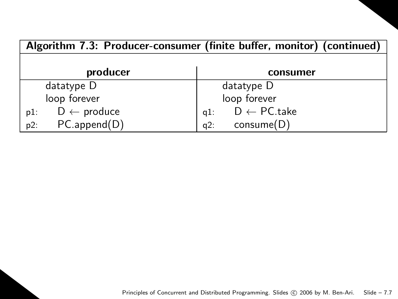| Algorithm 7.3: Producer-consumer (finite buffer, monitor) (continued) |                                   |  |  |
|-----------------------------------------------------------------------|-----------------------------------|--|--|
|                                                                       |                                   |  |  |
| producer                                                              | consumer                          |  |  |
| datatype D                                                            | datatype D                        |  |  |
| loop forever                                                          | loop forever                      |  |  |
| $D \leftarrow$ produce<br>$p1$ :                                      | $D \leftarrow PC$ .take<br>$q1$ : |  |  |
| PC.append(D)<br>$p2$ :                                                | consume(D)<br>$q2$ :              |  |  |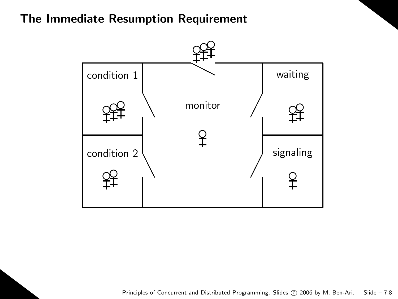## The Immediate Resumption Requirement

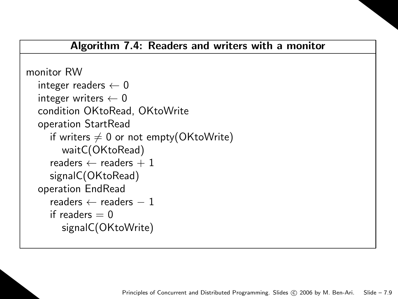#### Algorithm 7.4: Readers and writers with <sup>a</sup> monitor

```
monitor RW\mathsf{integer}\ \mathsf{readers}\leftarrow\mathsf{0}\mathsf{integer} writers \leftarrow 0
condition OKtoRead, OKtoWrite
   operation StartReadif writers \neq 0 or not empty(OKtoWrite)<br>writC(OKtoBead)
           waitC(OKtoRead)readers ← readers + 1<br>signalC(OKtoRead)

signalC(OKtoRead)operation EndReadreaders ← readers<br>if readers — 0
        \mathsf{if} \;\mathsf{readers} = 0−1

signalC(OKtoWrite)
```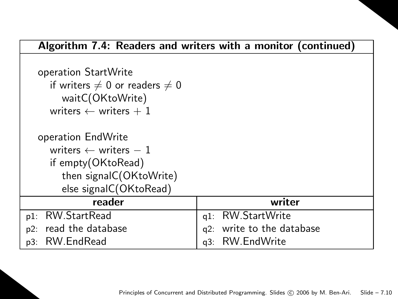#### Algorithm 7.4: Readers and writers with <sup>a</sup> monitor (continued)

```
operation StartWrite
      \text{if writers} \neq 0 \text{ or readers} \neq 0waitC(OKtoWrite)writers \leftarrow writers + 1
  operation EndWrite
      writers ← writers<br>if emntv(OKtoRe
                          −1
if empty(OKtoRead)
        then signalC(OKtoWrite)
        else signalC(OKtoRead)
               reader writer
p1: RW.StartRead q1: RW.StartWrite
p2: read the database
                                          q2: write to the database
p3: RW.EndRead q3: RW.EndWrite
```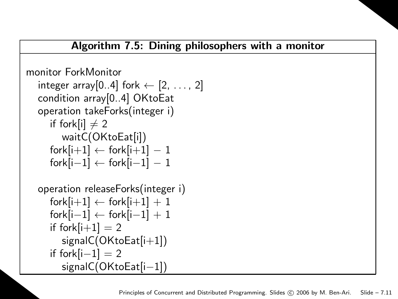#### Algorithm 7.5: Dining philosophers with <sup>a</sup> monitor

```
monitor ForkMonitor
      {\sf integer} array[0..4] fork \leftarrow [2,\ \dots,\ 2]condition array[0\ \ A] \capKtoEat
     condition array[0..4] OKtoEat
    operation takeForks(integer i)
           if fork[i] \neq 2

waitC(OKtoEat[i])fork[i+1] ← fork[i+1]<br>fork[i=1] ← fork[i=1]
                                                        −1{\sf fork}[{\sf i}{-}1] \leftarrow {\sf fork}[{\sf i}{-}1] - \emptyset−1operation releaseForks(integer i)
           {\sf fork}[{\sf i+1}] \leftarrow {\sf fork}[{\sf i+1}] + 1 \nonumber \\\text{\sf fork}[{\sf i-1}] \leftarrow {\sf fork}[{\sf i-1}] + 1 \nonumberfork[i-1] \leftarrow \textsf{fork}[i{-}1] + 1if fork[i+1] - 2
           if fork[i+1] = 2\mathsf{signalC}(\mathsf{OKto}\mathsf{Ext}[\mathsf{i}{+}1])\textsf{if fork}[i{-}1] = 2signal\mathsf{C}(\mathsf{OKto}\mathsf{Eat}[\mathsf{i}{-}1])
```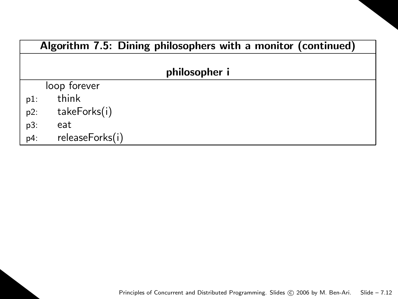|        |                 | Algorithm 7.5: Dining philosophers with a monitor (continued) |
|--------|-----------------|---------------------------------------------------------------|
|        |                 |                                                               |
|        |                 | philosopher i                                                 |
|        | loop forever    |                                                               |
| $p1$ : | think           |                                                               |
| $p2$ : | takeForks(i)    |                                                               |
| p3:    | eat             |                                                               |
| $p4$ : | releaseForks(i) |                                                               |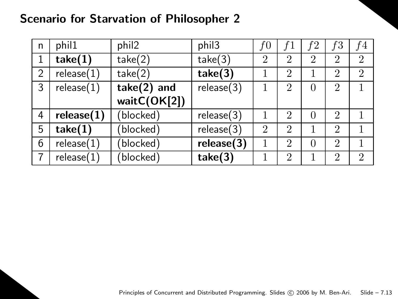#### Scenario for Starvation of Philosopher <sup>2</sup>

| n              | phil1      | phil2           | phil3      | $f_{\rm 0}$    | f1             | f2               | f3                          | f4             |
|----------------|------------|-----------------|------------|----------------|----------------|------------------|-----------------------------|----------------|
|                | take(1)    | take(2)         | take(3)    | $\overline{2}$ | $\overline{2}$ | $\overline{2}$   | $\overline{2}$              | $\overline{2}$ |
| 2              | release(1) | take(2)         | take(3)    |                | $\overline{2}$ | 1                | $\overline{2}$              | $\overline{2}$ |
| $\mathfrak{Z}$ | relcase(1) | $take(2)$ and   | release(3) |                | $\overline{2}$ | $\left( \right)$ | $\overline{2}$              |                |
|                |            | wait $C(OK[2])$ |            |                |                |                  |                             |                |
| $\overline{4}$ | relcase(1) | (blocked)       | relesse(3) |                | $\overline{2}$ | $\left( \right)$ | $\mathcal{D}$               |                |
| 5              | take(1)    | (blocked)       | release(3) | $\overline{2}$ | $\overline{2}$ |                  | $\mathcal{D}_{\mathcal{A}}$ |                |
| 6              | relesse(1) | (blocked)       | release(3) |                | $\overline{2}$ | $\left( \right)$ | $\overline{2}$              |                |
|                | relesse(1) | (blocked)       | take(3)    |                | $\overline{2}$ |                  | $\mathcal{D}_{\mathcal{A}}$ | $\mathcal{D}$  |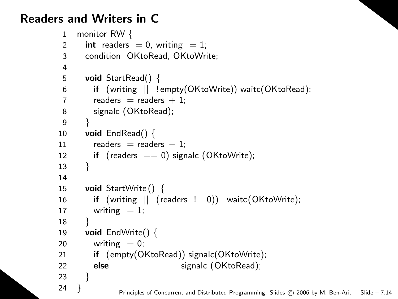## Readers and Writers in <sup>C</sup>

```
Principles of Concurrent and Distributed Programming. Slides (c) 2006 by M. Ben-Ari. Slide - 7.14
 11 monitor RW {<br>2 int readers
 2int readers = 0, writing = 1;
 3 condition OKtoRead, OKtoWrite;
 455 void StartRead() {
 6 if (writing || ! empty(OKtoWrite)) waitc(OKtoRead);
 7readers = readers +1;
 8 signalc (OKtoRead);
 9 }0 \bullet void EndRead() {
1011\begin{array}{lll} 1 & \quad \text{readers} \, = \, \text{readers} \, - \, 1; \ \end{array}12if (readers == 0) signalc (OKtoWrite);
13 }14155 void StartWrite() {
166 \quad if (writing || (readers !=0)) waitc(OKtoWrite);
17writing = 1;
18 }9 void EndWrite() {
1920writing = 0;
21 if (empty(OKtoRead)) signalc(OKtoWrite);
22 else signalc (OKtoRead);
23 }24 }
```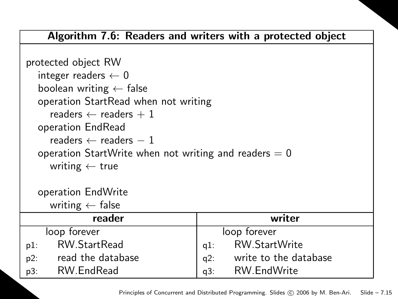#### Algorithm 7.6: Readers and writers with <sup>a</sup> protected object

```
protected object RW\mathsf{integer}\ \mathsf{readers}\leftarrow\mathsf{0}boolean writing ← false<br>operation StartRead wh
   operation StartRead when not writing
       readers ← readers + 1<br>eration EndRead
   operation EndReadreaders ← readers<br>eration StartWrite
                               −1operation \sf StartWrite when not writing and readers =0writing← true
   operation EndWrite
       \frac{\text{writing} \gets \text{false}}{\text{reade}}reader writer
     loop forever and loop forever
p1: RW.StartReadRW StartRead<br>read the database \begin{vmatrix} q1: & RW \end{vmatrix} write to the data
p2:q2: write to the database
p3: RW.EndRead q3: RW.EndWrite
```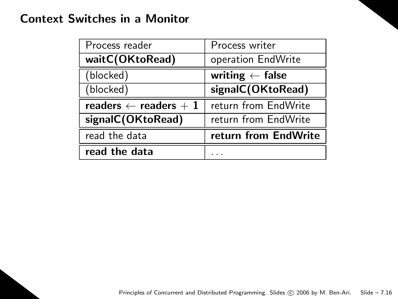#### Context Switches in <sup>a</sup> Monitor

| Process reader                     | Process writer             |  |
|------------------------------------|----------------------------|--|
| waitC(OKtoRead)                    | operation EndWrite         |  |
| (blocked)                          | writing $\leftarrow$ false |  |
| (blocked)                          | signalC(OKtoRead)          |  |
| readers $\leftarrow$ readers $+$ 1 | return from EndWrite       |  |
| signalC(OKtoRead)                  | return from EndWrite       |  |
| read the data                      | return from EndWrite       |  |
| read the data                      |                            |  |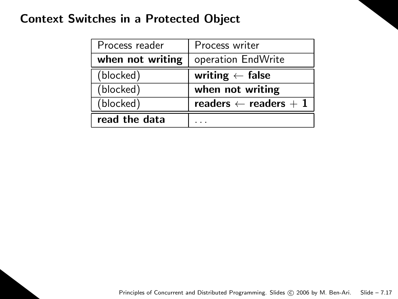#### Context Switches in <sup>a</sup> Protected Object

| Process reader   | Process writer                     |
|------------------|------------------------------------|
| when not writing | operation EndWrite                 |
| (blocked)        | writing $\leftarrow$ false         |
| (blocked)        | when not writing                   |
| (blocked)        | readers $\leftarrow$ readers $+$ 1 |
| read the data    |                                    |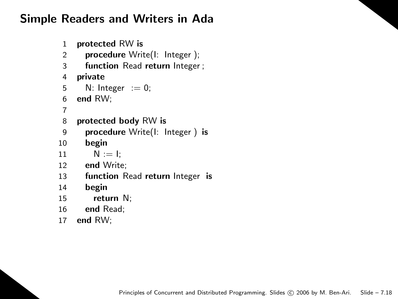#### Simple Readers and Writers in Ada

```
11 \, protected RW is<br>2 \, procedure \rm{M/ri}22 procedure Write(I: Integer);
 33 function Read return Integer ;
4 private5 N: Integer := 0;566 \, end RW;
 7
88 protected body RW is<br>0  procodure \\/rite(1:_l
9 procedure Write(I: Integer ) is
10 begin1 N := I;11122 end Write;
133 function Read return Integer is
14 begin5 return N;
15166 end Read;
177 end RW;
```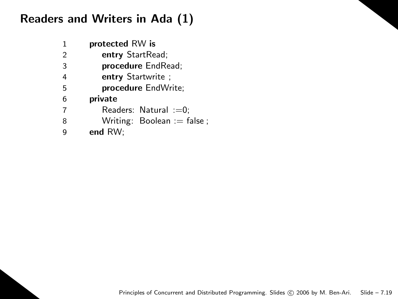#### Readers and Writers in Ada (1)

|   | protected RW is               |
|---|-------------------------------|
| 2 | entry StartRead;              |
| 3 | procedure EndRead;            |
| 4 | entry Startwrite ;            |
| 5 | procedure EndWrite;           |
| 6 | private                       |
| 7 | Readers: Natural $:=0$ ;      |
| 8 | Writing: Boolean : $=$ false; |
|   | end RW;                       |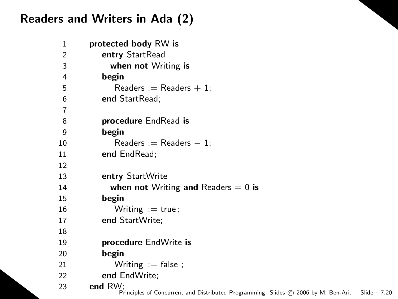## Readers and Writers in Ada (2)

| $\mathbf{1}$   | protected body RW is                                                                 |
|----------------|--------------------------------------------------------------------------------------|
| $\overline{2}$ | entry StartRead                                                                      |
| 3              | when not Writing is                                                                  |
| $\overline{4}$ | begin                                                                                |
| 5              | Readers := Readers $+1$ ;                                                            |
| 6              | end StartRead;                                                                       |
| $\overline{7}$ |                                                                                      |
| 8              | procedure EndRead is                                                                 |
| 9              | begin                                                                                |
| 10             | Readers := Readers $-1$ ;                                                            |
| 11             | end EndRead;                                                                         |
| 12             |                                                                                      |
| 13             | entry StartWrite                                                                     |
| 14             | when not Writing and Readers $= 0$ is                                                |
| 15             | begin                                                                                |
| 16             | Writing $:=$ true;                                                                   |
| 17             | end StartWrite;                                                                      |
| 18             |                                                                                      |
| 19             | procedure EndWrite is                                                                |
| 20             | begin                                                                                |
| 21             | Writing $:=$ false;                                                                  |
| 22             | end EndWrite;                                                                        |
| 23             | end RW:<br>Principles of Concurrent and Distributed Programming. Slides © 2006 by M. |

Ben-Ari. Slide  $-7.20$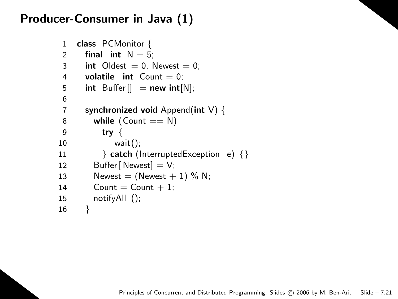## Producer-Consumer in Java (1)

```
11 class PCMonitor {
 2 final int N = 5;
23int Oldest = 0, Newest = 0;
4volatile int Count = 0;
55 int Buffer[] = new int[N];
6
77 synchronized void Append(int V) {
88 while ( Count == N)99 \qquad \qquad \textbf{try} \; \{0 wait();
1011
12\} catch (InterruptedException e) \{\}Buffer [ Newest] = V;13Newest = (Newest + 1) % N;
14Count = Count +1;
15 notifyAll ();
16}
```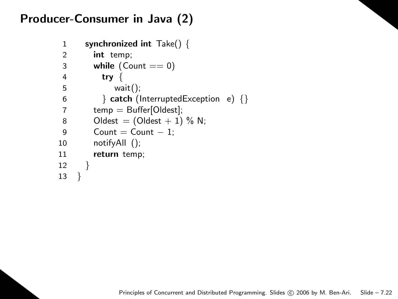## Producer-Consumer in Java (2)

```
11 Synchronized int Take() {
2 int temp;
33 while ( Count == 0)44 try \{
 wait();
56
7\} catch (InterruptedException e) \{\}temp = Buffer[Oldest];8Oldest = (Oldest + 1) % N;
9 Count = Count
− 1;
10 notifyAll ();
111 return temp;
12
13}}
```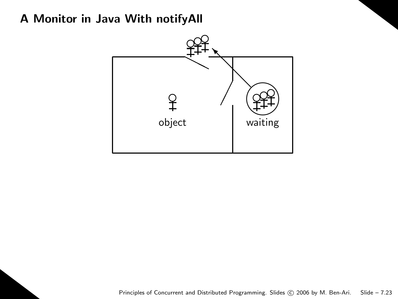#### <sup>A</sup> Monitor in Java With notifyAll

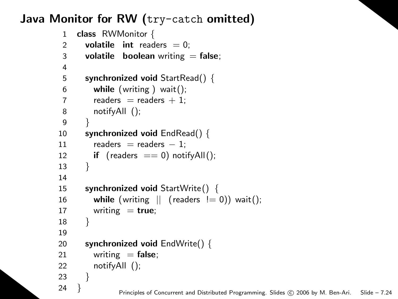# Java Monitor for  ${\sf RW}$   $({\tt try\text{-}catch}$  omitted)

```
1 class RWMonitor {2 volatile int readers = 0;
 233 volatile boolean writing = false;<br>4
 455 synchronized void StartRead() {
 66 while (writing ) wait();
 7readers = readers +1;
8 notifyAll ();
9 }0 synchronized void EndRead() {
1011r = 1; readers r = 1;12if (readers == 0) notifyAll();
13 }14155 synchronized void StartWrite() {
166 while (writing || (readers != 0)) wait();
17 writing = true;
18 }19200 synchronized void EndWrite() {
21\begin{array}{lll} 1 & \text{writing} & = \textsf{false}; \end{array}22notifyAll ();<br>}
23 }24 }
```
Principles of Concurrent and Distributed Programming. Slides (c) 2006 by M. Ben-Ari. Slide - 7.24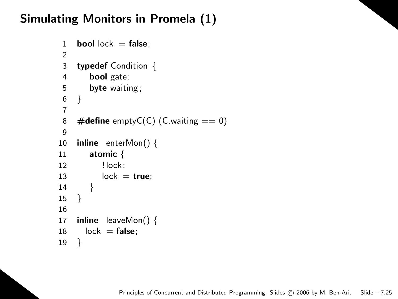## Simulating Monitors in Promela (1)

```
1\begin{array}{ll} 1 & \textbf{bool lock} \ = \textbf{false}; \end{array}2
33 typedef Condition {
 4 bool gate;
 55 byte waiting;
 6
7}
88 \#define empty\mathsf{C}(\mathsf{C}) (\mathsf{C} waiting ==0)9
100 inline enterMon() {
111 atomic \{2 llock;
1213\begin{aligned} \texttt{3} \qquad & \textsf{lock} \, = \textsf{true}; \end{aligned}14
15}
16}
177 inline leaveMon() {
18\begin{array}{lll} 8 & \quad \textsf{lock} \, = \textsf{false}; \end{array}19}
```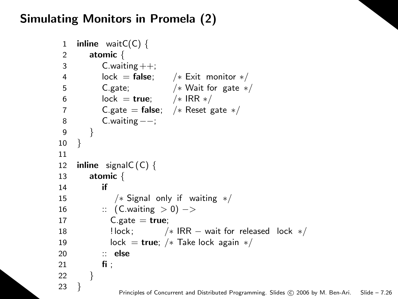## Simulating Monitors in Promela (2)

```
Principles of Concurrent and Distributed Programming. Slides \copyright 2006 by M. Ben-Ari. \hspace{0.1cm} Slide – 7.26
 11 inline waitC(C) {
 22 atomic \{3 C.waiting ++;34\begin{array}{ccc} 4 & \quad & \mathsf{lock} = \mathsf{false}; \end{array} \quad \mathsf{/*} \; \mathsf{Exit} \; \mathsf{monitor} \; *\mathsf{?} \end{array}

 C.gate; /∗ Wait for gate
∗/5\begin{array}{ccc} 6 & \quad & \mathsf{lock} = \mathsf{true}; \ \mathsf{r} & \quad & \mathsf{AR} \ast / \ \mathsf{r} & \quad & \mathsf{f} \ast \mathsf{lex} & \mathsf{f} \ast \mathsf{lex} \end{array}67 C.gate = false; /* Reset gate */78 C.waiting−−;
 9
10}}11
122 inline signalC(C) {
133 atomic \{144 if
15/* Signal only if waiting */\begin{array}{lll} 6 & \hspace{1.5mm} : \hspace{1.5mm} \text{(C.waiting $>0$)} \ \end{array}167 C.gate = true;
                                           −>1718 ! lock; /∗ IRR− wait for released lock
∗/

 lock = true; /
∗ Take lock again∗/1920 :: else21fi ;
22
23}}
```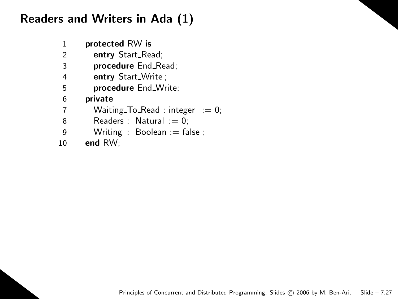#### Readers and Writers in Ada (1)

| $\mathbf 1$    | protected RW is                   |
|----------------|-----------------------------------|
| 2              | entry Start_Read;                 |
| 3              | procedure End_Read;               |
| $\overline{4}$ | entry Start_Write;                |
| 5              | procedure End_Write;              |
| 6              | private                           |
| 7              | Waiting_To_Read : integer $:= 0;$ |
| 8              | Readers : Natural $:= 0$ ;        |
| 9              | Writing : Boolean := false;       |
| 10             | end RW;                           |
|                |                                   |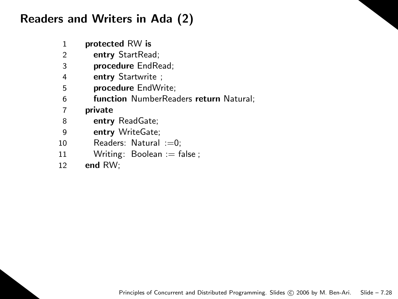## Readers and Writers in Ada (2)

| 1 | protected RW is        |
|---|------------------------|
| ⌒ | $\alpha$ ntry $StortR$ |

- 2 entry StartRead;
- **procedure** EndRead;
- **entry** Startwrite;
- **procedure** EndWrite;
- **function** NumberReaders return Natural;

#### private

- entry ReadGate;
- **entry** WriteGate;
- Readers: Natural  $:=0;$
- Writing: Boolean  $:=$  false;
- 2 end RW;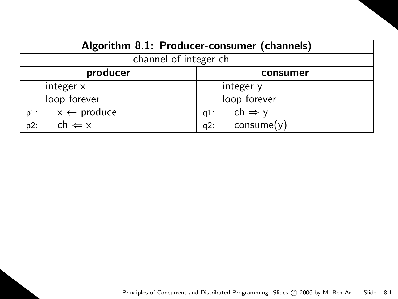| Algorithm 8.1: Producer-consumer (channels) |                                         |  |
|---------------------------------------------|-----------------------------------------|--|
| channel of integer ch                       |                                         |  |
| producer                                    | consumer                                |  |
| integer $\times$                            | integer y                               |  |
| loop forever                                | loop forever                            |  |
| $x \leftarrow$ produce<br>$p1$ :            | $ch \Rightarrow y$<br>$q1$ :            |  |
| $p2$ :<br>$ch \Leftarrow x$                 | $\mathsf{cosume}(\mathsf{y})$<br>$q2$ : |  |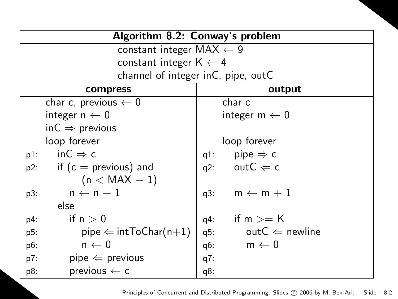| Algorithm 8.2: Conway's problem     |                                       |        |                           |  |
|-------------------------------------|---------------------------------------|--------|---------------------------|--|
| constant integer MAX $\leftarrow$ 9 |                                       |        |                           |  |
| constant integer $K \leftarrow 4$   |                                       |        |                           |  |
| channel of integer inC, pipe, outC  |                                       |        |                           |  |
|                                     | compress                              |        | output                    |  |
|                                     | char c, previous $\leftarrow 0$       |        | char c                    |  |
|                                     | integer $n \leftarrow 0$              |        | integer m $\leftarrow 0$  |  |
|                                     | in $C \Rightarrow$ previous           |        |                           |  |
|                                     | loop forever                          |        | loop forever              |  |
| $p1$ :                              | $\mathsf{inc} \Rightarrow \mathsf{c}$ |        | q1: $pipe \Rightarrow c$  |  |
| $p2$ :                              | if (c $=$ previous) and               |        | q2: outC $\Leftarrow$ c   |  |
|                                     | $(n < MAX-1)$                         |        |                           |  |
| $p3$ :                              | $n \leftarrow n + 1$                  | $q3$ : | $m \leftarrow m + 1$      |  |
|                                     | else                                  |        |                           |  |
| $p4$ :                              | if $n > 0$                            | $q4$ : | if m $>=$ K               |  |
| p5:                                 | $pipe \Leftarrow intToChar(n+1)$      | q5:    | $outC \Leftarrow$ newline |  |
| p6:                                 | $n \leftarrow 0$                      | $q6$ : | $m \leftarrow 0$          |  |
| p7:                                 | $pipe \Leftarrow$ previous            | $q7$ : |                           |  |
| p8:                                 | previous $\leftarrow$ c               | q8:    |                           |  |

Principles of Concurrent and Distributed Programming. Slides  $\copyright$  2006 by M. Ben-Ari.  $\hspace{0.1cm}$  Slide – 8.2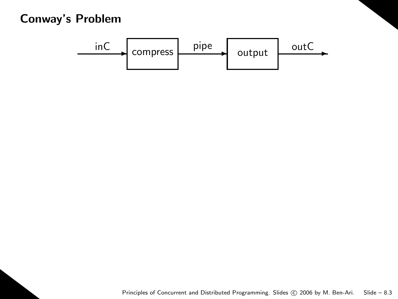Conway's Problem

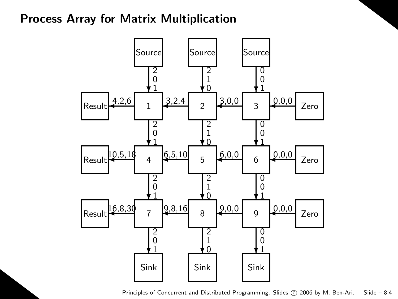#### Process Array for Matrix Multiplication



Principles of Concurrent and Distributed Programming. Slides  $\copyright$  2006 by M. Ben-Ari.  $\hspace{0.1cm}$  Slide – 8.4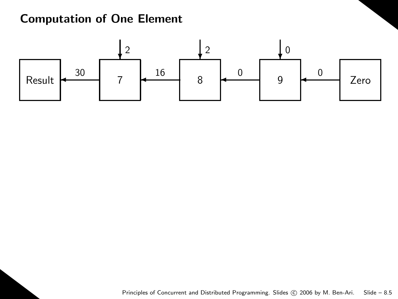#### Computation of One Element

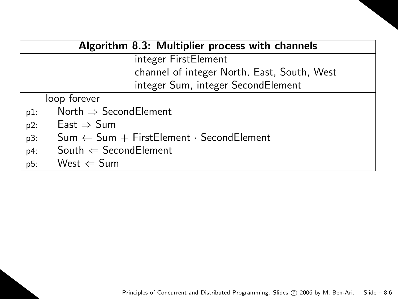| Algorithm 8.3: Multiplier process with channels |                                                         |  |
|-------------------------------------------------|---------------------------------------------------------|--|
|                                                 | integer FirstElement                                    |  |
|                                                 | channel of integer North, East, South, West             |  |
|                                                 | integer Sum, integer SecondElement                      |  |
|                                                 | loop forever                                            |  |
| $p1$ :                                          | North $\Rightarrow$ Second Element                      |  |
| $p2$ :                                          | East $\Rightarrow$ Sum                                  |  |
| p3:                                             | $Sum \leftarrow Sum + FirstElement \cdot SecondElement$ |  |
| $p4$ :                                          | South $\Leftarrow$ Second Element                       |  |
| $p5$ :                                          | West $\Leftarrow$ Sum                                   |  |
|                                                 |                                                         |  |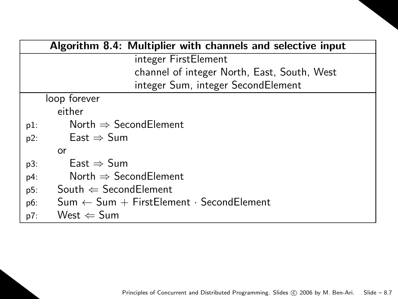|        | Algorithm 8.4: Multiplier with channels and selective input |
|--------|-------------------------------------------------------------|
|        | integer FirstElement                                        |
|        | channel of integer North, East, South, West                 |
|        | integer Sum, integer SecondElement                          |
|        | loop forever                                                |
|        | either                                                      |
| $p1$ : | North $\Rightarrow$ Second Element                          |
| $p2$ : | East $\Rightarrow$ Sum                                      |
|        | <b>or</b>                                                   |
| $p3$ : | East $\Rightarrow$ Sum                                      |
| $p4$ : | North $\Rightarrow$ Second Element                          |
| $p5$ : | South $\Leftarrow$ Second Element                           |
| $p6$ : | $Sum \leftarrow Sum + FirstElement \cdot SecondElement$     |
| p7:    | West $\Leftarrow$ Sum                                       |
|        |                                                             |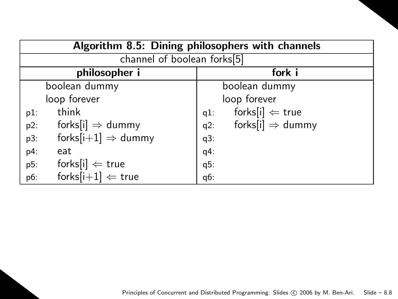| Algorithm 8.5: Dining philosophers with channels |                                        |
|--------------------------------------------------|----------------------------------------|
| channel of boolean forks[5]                      |                                        |
| philosopher i                                    | fork i                                 |
| boolean dummy                                    | boolean dummy                          |
| loop forever                                     | loop forever                           |
| think<br>$p1$ :                                  | forks[i] $\Leftarrow$ true<br>$q1$ :   |
| $p2$ :<br>forks $[i] \Rightarrow$ dummy          | forks[i] $\Rightarrow$ dummy<br>$q2$ : |
| p3:<br>forks $[i+1] \Rightarrow$ dummy           | $q3$ :                                 |
| p4:<br>eat                                       | $q4$ :                                 |
| p5:<br>forks[i] $\Leftarrow$ true                | q5:                                    |
| forks $[i+1] \Leftarrow$ true<br>p6:             | q6:                                    |
|                                                  |                                        |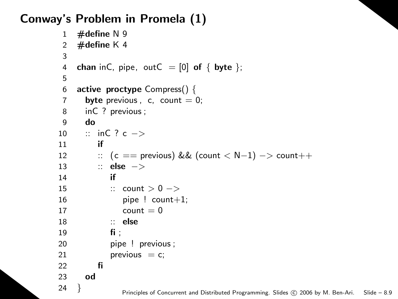# Conway's Problem in Promela (1)

```
Principles of Concurrent and Distributed Programming. Slides \copyright 2006 by M. Ben-Ari. \hspace{0.1cm} Slide - 8.9
 11 \#define N 9
 2 #define K 4
 2344 chan inC, pipe, outC =[0] of \{ byte \};566 \, active \, proctype \, Compress() \, \{byte previous, c, count = 0;
 78 inC ? previous ;
 9 do0 \therefore inC ? c \rightarrow1011 if
12 :: (c == previous) && (count
<N−1)-> count++133 :: else −>
144 if
155 \cdots count >0 ->\begin{aligned} 6 \quad \text{pipe} \quad ! \quad \text{count+1}; \end{aligned}1617count = 018 :: else19
20fi ;
               pipe ! previous ;
21previous = c;
22
23fi od24}
```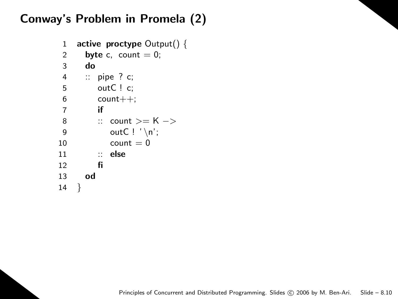# Conway's Problem in Promela (2)

```
11 active proctype Output() {
22 byte c, count = 0;
3 do
 :: pipe ? c;
45outC ! c;
6count++;7 if
88 \therefore count >= K -
 outC ! '
\n';910count = 011 :: else12
13fi od14}
```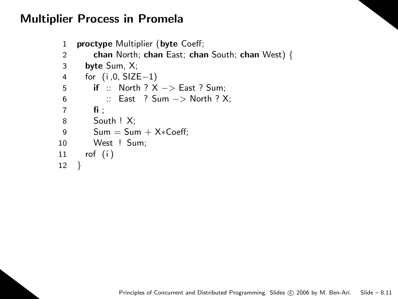### Multiplier Process in Promela

```
11 proctype Multiplier (byte Coeff;
22 chan North; chan East; chan South; chan West) {
33 byte Sum, X;
4 for (i ,0, SIZE−1)

 if :: North ? X−> East ? Sum;
5

 :: East ? Sum−> North ? X;
67
8fi ;
       South ! X;
99 Sum = Sum + X*Coeff;
10West ! Sum;
11 rof (i )
12}
```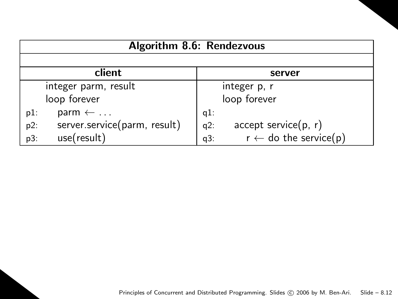| <b>Algorithm 8.6: Rendezvous</b> |                                            |
|----------------------------------|--------------------------------------------|
|                                  |                                            |
| client                           | server                                     |
| integer parm, result             | integer p, r                               |
| loop forever                     | loop forever                               |
| parm $\leftarrow \dots$          | $q1$ :                                     |
| server.service(parm, result)     | $accept$ service(p, r)<br>$q2$ :           |
| p1:<br>p2:<br>p3:<br>use(result) | $r \leftarrow$ do the service(p)<br>$q3$ : |
|                                  |                                            |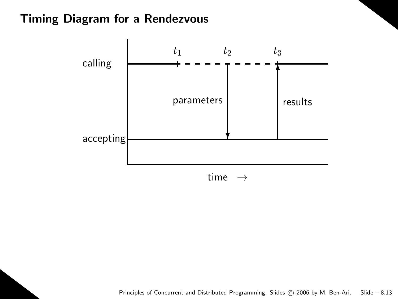#### Timing Diagram for <sup>a</sup> Rendezvous



Principles of Concurrent and Distributed Programming. Slides  $\copyright$  2006 by M. Ben-Ari.  $\hspace{0.1cm}$  Slide – 8.13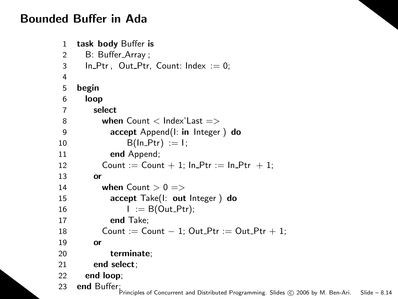# Bounded Buffer in Ada

```
Principles of Concurrent and Distributed Programming. Slides \odot 2006 by M. Ben-Ari. Slide – 8.14
1 task body Buffer is
2 B: Buffer Array ;
33 In Ptr, Out Ptr, Count: Index := 0;4
5 begin6 loop
67 select
788 when \text{Count} < \text{Index}' Last = >99 accept Append(I: in Integer ) do
100 B(ln_Ptr) := 1;111 end Append;
122   Count := Count + 1; ln_Ptr := ln_Ptr + 1;13 or
144 when Count > 0 =>15 accept Take(I: out Integer ) do16I := B(Out_Ptr);177 end Take;
18 Count := Count − 1; Out Ptr := Out Ptr + 1;
19 or
20 terminate;
21 end select;
22 end loop;
233 end Buffer;
```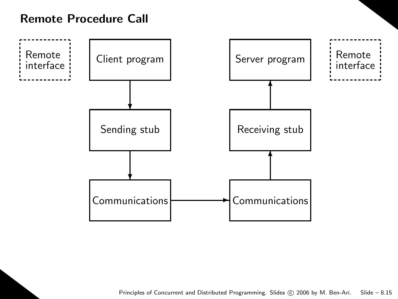### Remote Procedure Call

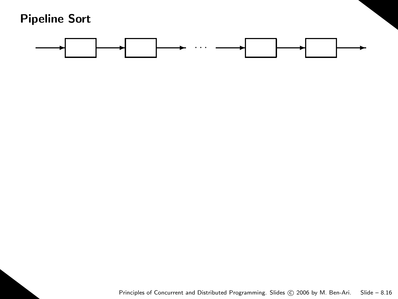Pipeline Sort

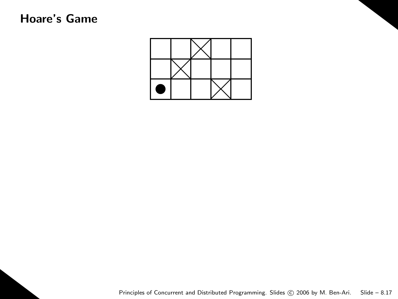#### Hoare's Game

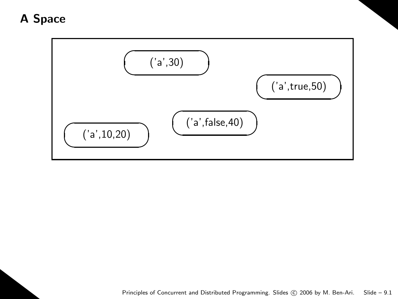<sup>A</sup> Space

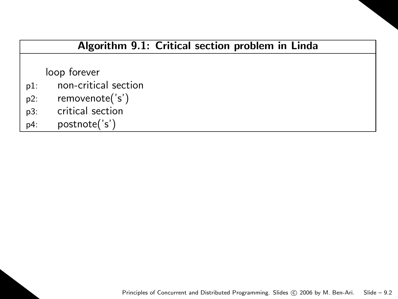#### Algorithm 9.1: Critical section problem in Linda

loop forever

- p1:non-critical section
- p2:removenote('s')
- p3:critical section

p4:postnote('s')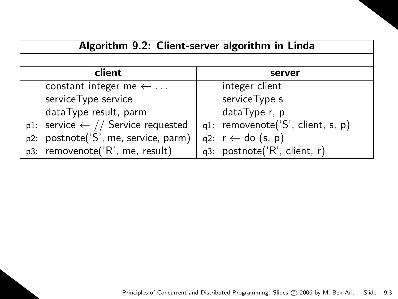| Algorithm 9.2: Client-server algorithm in Linda |                                   |
|-------------------------------------------------|-----------------------------------|
|                                                 |                                   |
| client                                          | server                            |
| constant integer me $\leftarrow \dots$          | integer client                    |
| serviceType service                             | serviceType s                     |
| dataType result, parm                           | dataType r, p                     |
| p1: service $\leftarrow$ // Service requested   | q1: removenote('S', client, s, p) |
| p2: postnote('S', me, service, parm)            | q2: $r \leftarrow$ do (s, p)      |
| p3: removenote('R', me, result)                 | q3: postnote('R', client, r)      |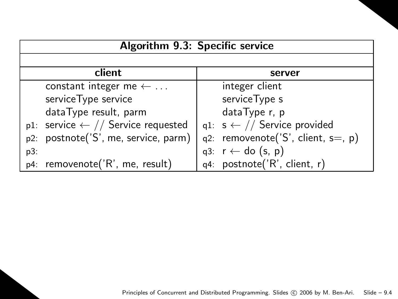| <b>Algorithm 9.3: Specific service</b>        |                                        |
|-----------------------------------------------|----------------------------------------|
|                                               |                                        |
| client                                        | server                                 |
| constant integer me $\leftarrow \dots$        | integer client                         |
| serviceType service                           | serviceType s                          |
| dataType result, parm                         | dataType r, p                          |
| p1: service $\leftarrow$ // Service requested | q1: $s \leftarrow //$ Service provided |
| p2: postnote('S', me, service, parm)          | $q2:$ removenote('S', client, s=, p)   |
| $p3$ :                                        | q3: $r \leftarrow do (s, p)$           |
| p4: removenote('R', me, result)               | q4: postnote('R', client, r)           |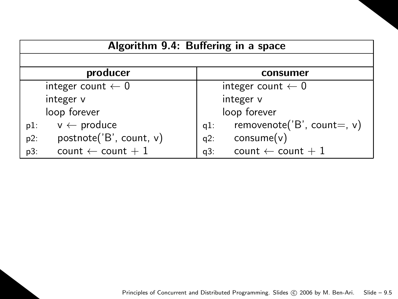| consumer                                 |
|------------------------------------------|
| integer count $\leftarrow 0$             |
| integer v                                |
| loop forever                             |
| removenote( $B'$ , count=, v)<br>$q1$ :  |
| consume(v)<br>$q2$ :                     |
| count $\leftarrow$ count $+$ 1<br>$q3$ : |
|                                          |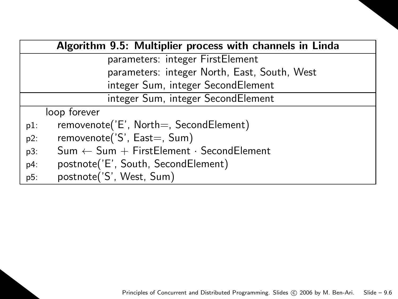| Algorithm 9.5: Multiplier process with channels in Linda |                                                         |  |
|----------------------------------------------------------|---------------------------------------------------------|--|
|                                                          | parameters: integer FirstElement                        |  |
|                                                          | parameters: integer North, East, South, West            |  |
|                                                          | integer Sum, integer SecondElement                      |  |
|                                                          | integer Sum, integer SecondElement                      |  |
|                                                          | loop forever                                            |  |
| $p1$ :                                                   | removenote('E', North=, SecondElement)                  |  |
| $p2$ :                                                   | removenote('S', $East=$ , Sum)                          |  |
| p3:                                                      | $Sum \leftarrow Sum + FirstElement \cdot SecondElement$ |  |
| p4:                                                      | postnote('E', South, SecondElement)                     |  |
| p5:                                                      | postnote('S', West, Sum)                                |  |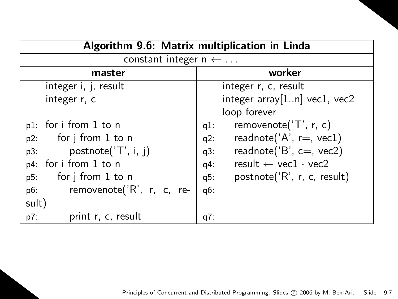| Algorithm 9.6: Matrix multiplication in Linda |                                                 |
|-----------------------------------------------|-------------------------------------------------|
| constant integer $n \leftarrow \dots$         |                                                 |
| master                                        | worker                                          |
| integer i, j, result                          | integer r, c, result                            |
| integer r, c                                  | integer $array[1.n]$ vec1, vec2                 |
|                                               | loop forever                                    |
| $p1:$ for i from 1 to n                       | removenote('T', r, c)<br>$q1$ :                 |
| for $j$ from $1$ to $n$<br>$p2$ :             | readnote('A', $r=$ , $vec1)$<br>$q2$ :          |
| postnote( $'T'$ , i, j)<br>p3:                | readnote(' $B'$ , c=, vec2)<br>$q3$ :           |
| for i from 1 to n<br>$p4$ :                   | result $\leftarrow$ vec1 $\cdot$ vec2<br>$q4$ : |
| for j from 1 to n<br>$p5$ :                   | postnote( $'R'$ , r, c, result)<br>q5:          |
| removenote( $'R'$ , r, c, re-<br>p6:          | $q6$ :                                          |
| sult)                                         |                                                 |
| print r, c, result<br>$p7$ :                  | $q7$ :                                          |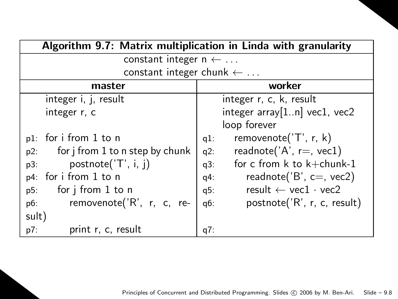| Algorithm 9.7: Matrix multiplication in Linda with granularity |                                                 |
|----------------------------------------------------------------|-------------------------------------------------|
| constant integer $n \leftarrow \dots$                          |                                                 |
| constant integer chunk $\leftarrow \dots$                      |                                                 |
| worker<br>master                                               |                                                 |
| integer i, j, result                                           | integer r, c, k, result                         |
| integer r, c                                                   | integer $array[1n]$ vec1, vec2                  |
|                                                                | loop forever                                    |
| p1: for i from 1 to n                                          | removenote( $'T'$ , r, k)<br>$q1$ :             |
| for j from 1 to n step by chunk<br>$p2$ :                      | readnote('A', $r=$ , $vec1)$<br>$q2$ :          |
| postnote( $'T'$ , i, j)<br>p3:                                 | for c from $k$ to $k+$ chunk-1<br>$q3$ :        |
| for i from 1 to n<br>$p4$ :                                    | readnote( $'B'$ , c=, vec2)<br>$q4$ :           |
| for $j$ from 1 to n<br>$p5$ :                                  | result $\leftarrow$ vec1 $\cdot$ vec2<br>$q5$ : |
| removenote('R', r, c, re-<br>p6:                               | postnote('R', r, c, result)<br>$q6$ :           |
| sult)                                                          |                                                 |
| print r, c, result<br>p7:                                      | q7:                                             |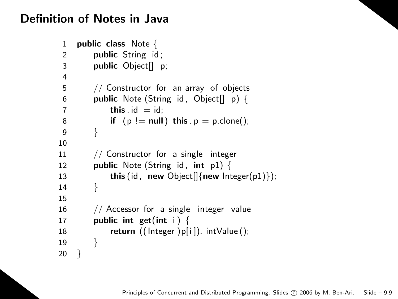## Definition of Notes in Java

```
11 public class Note {
 2 public String id;
233 public Object[] p;
4
5 // Constructor for an array of objects
66 public Note (String id, Object[] p) {
7this id = id;
8 if (p != null
) this . p = p.clone();
9
10}11 // Constructor for a single integer
122 public Note (String id, int p1) {
 3 this (id , new Object[]{new Integer(p1)});
1314
15}16 // Accessor for a single integer value
177 public int get(int i) {
 8 return ((Integer )p[i]). intValue ();
1819}20}
```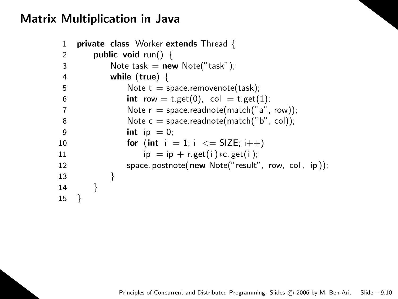### Matrix Multiplication in Java

```
11 private class Worker extends Thread {
22 public void run() \{3 Note task = new Note("task");
344 while (\mathsf{true}) {
 5 Note t = space.removenote(task);
56int row = t.get(0), col = t.get(1);
7Note r = space.readnote(match("a", row));8Note c = space.readnote(match("b", col));9int ip = 0;
100 for (int i = 1; i \le 5lZE; i++)
111 ip = ip + r.get(i)*c.get(i);12space. postnote(new Note("result", row, col, ip));<br>c
13
14}
15}}
```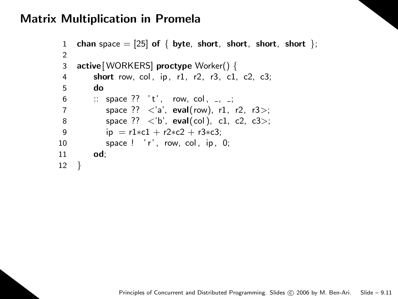### Matrix Multiplication in Promela

```
11 chan space = [25] of \{ byte, short, short, short, short \};2
33 active [WORKERS] proctype Worker() {
 4 short row, col, ip, r1, r2, r3, c1, c2, c3;
 45 do
 :: space ?? ' t' , row, col , , ;
 67\begin{aligned} 7 \qquad \qquad \text{space} \,\,\,? \,\,\, \langle a', \,\, \text{eval}(\text{row}), \,\, \text{r1}, \,\, \text{r2}, \,\, \text{r3} \rangle; \end{aligned}8 space ?? <'b', eval(col), c1, c2, c3>;
 899 ip = r1 * c1 + r2 * c2 + r3 * c3;0 space ! 'r', row, col, ip, 0;
1011 od;
12 }
```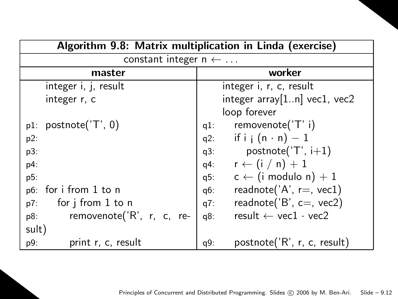| Algorithm 9.8: Matrix multiplication in Linda (exercise) |                                                 |
|----------------------------------------------------------|-------------------------------------------------|
| constant integer $n \leftarrow \dots$                    |                                                 |
| master                                                   | worker                                          |
| integer i, j, result                                     | integer i, r, c, result                         |
| integer r, c                                             | integer $array[1.n]$ vec1, vec2                 |
|                                                          | loop forever                                    |
| p1: postnote('T', 0)                                     | removenote $('T' i)$<br>$q1$ :                  |
| $p2$ :                                                   | if i $(n \cdot n) - 1$<br>$q2$ :                |
| p3:                                                      | postnote( $'T'$ , $i+1$ )<br>$q3$ :             |
| $p4$ :                                                   | $r \leftarrow (i / n) + 1$<br>q4:               |
| $p5$ :                                                   | $c \leftarrow (i \text{ modulo } n) + 1$<br>q5: |
| p6: for i from 1 to n                                    | readnote('A', $r=$ , $vec1)$<br>q6:             |
| for $j$ from 1 to n<br>p7:                               | readnote('B', $c=$ , $vec2)$ )<br>$q7$ :        |
| removenote('R', r, c, re-<br>p8:                         | result $\leftarrow$ vec1 $\cdot$ vec2<br>q8:    |
| sult)                                                    |                                                 |
| print r, c, result<br>p9:                                | postnote('R', r, c, result)<br>$q9$ :           |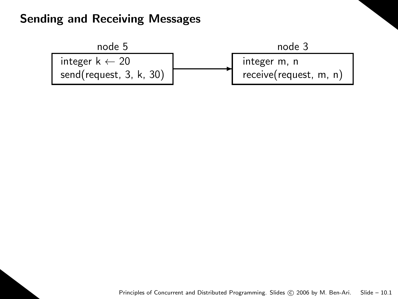### Sending and Receiving Messages

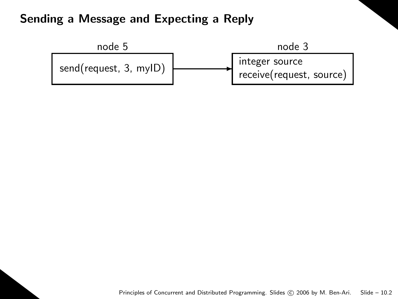#### Sending <sup>a</sup> Message and Expecting <sup>a</sup> Reply

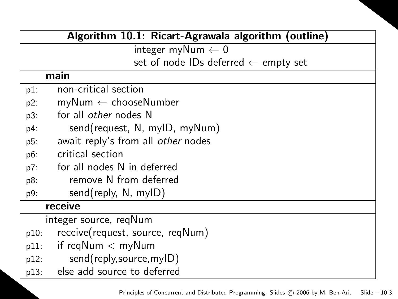|                                                 | Algorithm 10.1: Ricart-Agrawala algorithm (outline) |
|-------------------------------------------------|-----------------------------------------------------|
| integer myNum $\leftarrow$ 0                    |                                                     |
| set of node IDs deferred $\leftarrow$ empty set |                                                     |
|                                                 | main                                                |
| $p1$ :                                          | non-critical section                                |
| $p2$ :                                          | $myNum \leftarrow chooseNumber$                     |
| $p3$ :                                          | for all <i>other</i> nodes N                        |
| $p4$ :                                          | send(request, N, myID, myNum)                       |
| p5:                                             | await reply's from all other nodes                  |
| p6:                                             | critical section                                    |
| p7:                                             | for all nodes N in deferred                         |
| p8:                                             | remove N from deferred                              |
| p9:                                             | send(reply, N, myID)                                |
| receive                                         |                                                     |
| integer source, reqNum                          |                                                     |
| $p10$ :                                         | receive(request, source, reqNum)                    |
| $p11$ :                                         | if reqNum $<$ myNum                                 |
| p12:                                            | send(reply, source, myID)                           |
| $p13$ :                                         | else add source to deferred                         |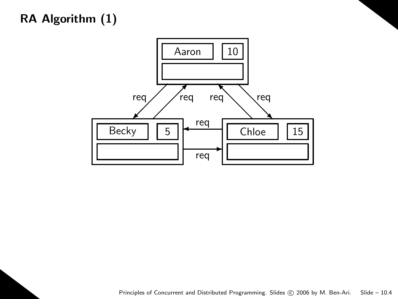RA Algorithm (1)

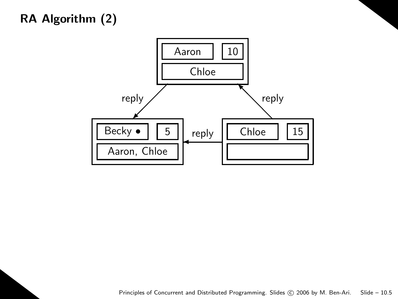RA Algorithm (2)

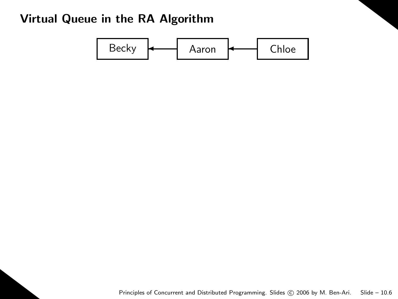# Virtual Queue in the RA Algorithm

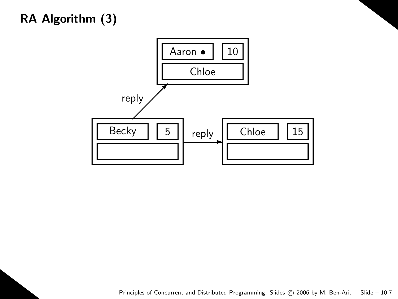RA Algorithm (3)

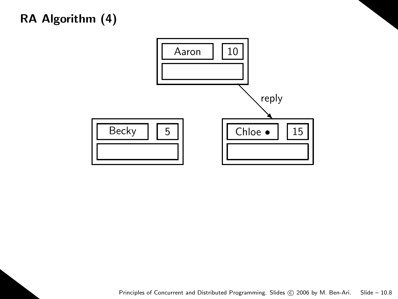RA Algorithm (4)

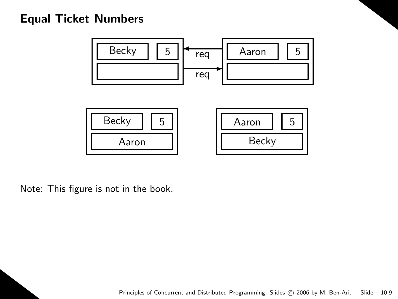## Equal Ticket Numbers



Note: This figure is not in the book.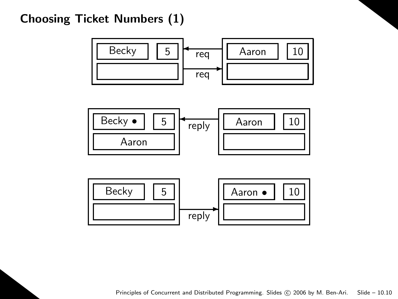# Choosing Ticket Numbers (1)

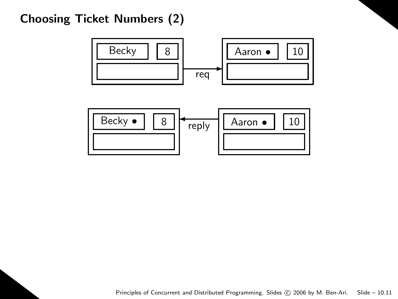# Choosing Ticket Numbers (2)



Principles of Concurrent and Distributed Programming. Slides  $\copyright$  2006 by M. Ben-Ari.  $\hspace{0.1cm}$  Slide  $-$  10.11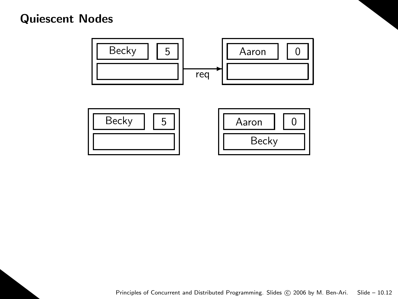### Quiescent Nodes

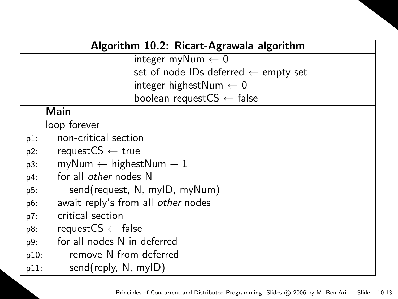| Algorithm 10.2: Ricart-Agrawala algorithm       |  |
|-------------------------------------------------|--|
| integer myNum $\leftarrow$ 0                    |  |
| set of node IDs deferred $\leftarrow$ empty set |  |
| integer highestNum $\leftarrow 0$               |  |
| boolean requestCS $\leftarrow$ false            |  |
| <b>Main</b>                                     |  |
| loop forever                                    |  |
| non-critical section<br>$p1$ :                  |  |
| requestCS $\leftarrow$ true<br>$p2$ :           |  |
| $myNum \leftarrow highestNum + 1$<br>$p3$ :     |  |
| for all <i>other</i> nodes N<br>$p4$ :          |  |
| send(request, N, myID, myNum)<br>$p5$ :         |  |
| await reply's from all other nodes<br>p6:       |  |
| critical section<br>p7:                         |  |
| requestCS $\leftarrow$ false<br>p8:             |  |
| for all nodes N in deferred<br>p9:              |  |
| remove N from deferred<br>$p10$ :               |  |
| send(reply, N, myID)<br>$p11$ :                 |  |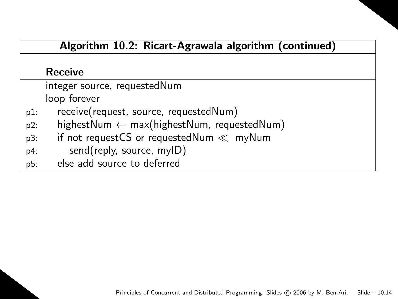| Algorithm 10.2: Ricart-Agrawala algorithm (continued) |                                                       |
|-------------------------------------------------------|-------------------------------------------------------|
|                                                       | <b>Receive</b>                                        |
|                                                       | integer source, requestedNum                          |
|                                                       | loop forever                                          |
| $p1$ :                                                | receive(request, source, requestedNum)                |
| $p2$ :                                                | highestNum $\leftarrow$ max(highestNum, requestedNum) |
| p3:                                                   | if not request CS or requested Num $\ll$ my Num       |
| p4:                                                   | send(reply, source, myID)                             |
| $p5$ :                                                | else add source to deferred                           |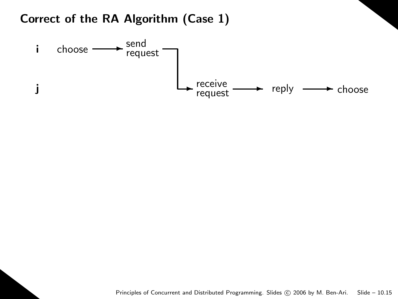## Correct of the RA Algorithm (Case 1)

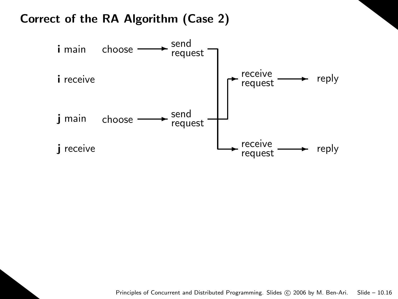Correct of the RA Algorithm (Case 2)

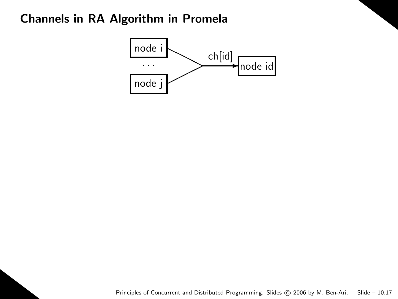## Channels in RA Algorithm in Promela

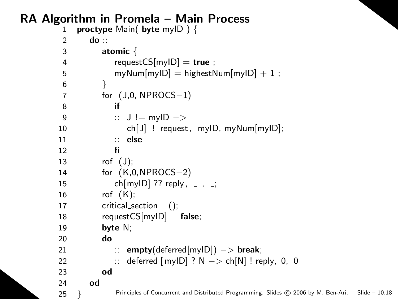## RA Algorithm in Promela – Main Process

```
Principles of Concurrent and Distributed Programming. Slides \copyright 2006 by M. Ben-Ari. \hspace{0.1cm} Slide - 10.18
 11 proctype Main( byte myID) {
 22 do ::
 33 atomic \{r = \frac{1}{2} \left[ \frac{1}{2} \left[ \frac{1}{2} \left[ \frac{1}{2} \left[ \frac{1}{2} \left[ \frac{1}{2} \left[ \frac{1}{2} \left[ \frac{1}{2} \right] \right] \right] \right] + \frac{1}{2} \left[ \frac{1}{2} \left[ \frac{1}{2} \left[ \frac{1}{2} \left[ \frac{1}{2} \right] \right] \right] \right] \right]45myNum[myID] = highestNum[myID] + 1;
 6
7}\begin{array}{cc} 7 & \quad \text{for} \quad (\textsf{J},\textsf{0}, \, \textsf{NPROCS}\!-\!1) \end{array}88 if
 9 :: J != myID−>

 ch[J] ! request , myID, myNum[myID];
1011 :: else12
13fi
 rof (J);
14 for (K,0,NPROCS−2)5 ch[myID] ?? reply, \overline{\phantom{a}}, \overline{\phantom{a}}1516rof (K);
17 critical section ();
18 requestCS[myID] = false;
199 byte N;
20 do211 \cdots empty(\text{deferred}[\text{myID}])−> break;<br>--<sup>+ [N] +</sup> --
  2 \therefore deferred [myID] ? N - >22−> ch[N] ! reply, 0, 0
23 od24 od25}
```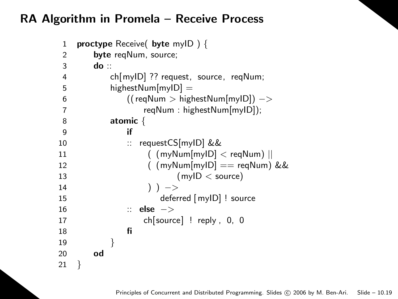# RA Algorithm in Promela – Receive Process

```
11 proctype Receive( byte myID) {
22 byte reqNum, source;
33 \qquad \qquad \mathbf{do} ::4 ch[myID] ?? request, source, reqNum;
5highestNum[myID] =
 (( reqNum> highestNum[myID])
6

 reqNum : highestNum[myID]);
                                       −>788 atomic {
99 if
10 :: requestCS[myID] &&1 ( (myNum[myID] < reqNum) ||<br>( (myNum[myID] < reqNum) ||
1112( (myNum[myID] == reqNum) &&
13\left( \text{myID} < \text{source} \right)14 ) )
                     −>

 deferred [ myID] ! source
15166 :: else −>

 ch[ source] ! reply , 0, 01718
19fi}20 od21}
```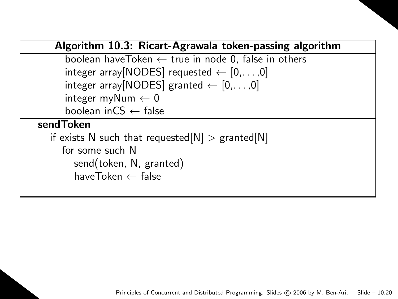| Algorithm 10.3: Ricart-Agrawala token-passing algorithm         |
|-----------------------------------------------------------------|
| boolean have Token $\leftarrow$ true in node 0, false in others |
| integer array [NODES] requested $\leftarrow$ [0, ,0]            |
| integer array [NODES] granted $\leftarrow$ [0, , 0]             |
| integer myNum $\leftarrow$ 0                                    |
| boolean inCS $\leftarrow$ false                                 |
| <b>sendToken</b>                                                |
| if exists N such that requested $[N] >$ granted $[N]$           |
| for some such N                                                 |
| send(token, N, granted)                                         |
| haveToken $\leftarrow$ false                                    |
|                                                                 |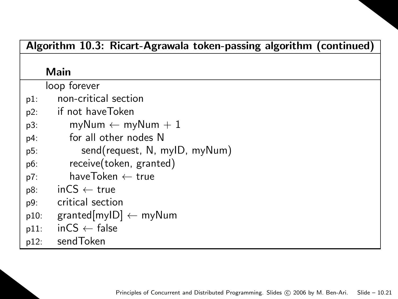|         | Algorithm 10.3: Ricart-Agrawala token-passing algorithm (continued) |
|---------|---------------------------------------------------------------------|
|         | <b>Main</b>                                                         |
|         | loop forever                                                        |
|         |                                                                     |
| $p1$ :  | non-critical section                                                |
| $p2$ :  | if not haveToken                                                    |
| $p3$ :  | $myNum \leftarrow myNum + 1$                                        |
| $p4$ :  | for all other nodes N                                               |
| p5:     | send(request, N, myID, myNum)                                       |
| p6:     | receive(token, granted)                                             |
| p7:     | haveToken $\leftarrow$ true                                         |
| p8:     | $\mathsf{incS} \leftarrow \mathsf{true}$                            |
| p9:     | critical section                                                    |
| $p10$ : | $granted[myID] \leftarrow myNum$                                    |
| $p11$ : | $\mathsf{incS} \leftarrow \mathsf{false}$                           |
| $p12$ : | sendToken                                                           |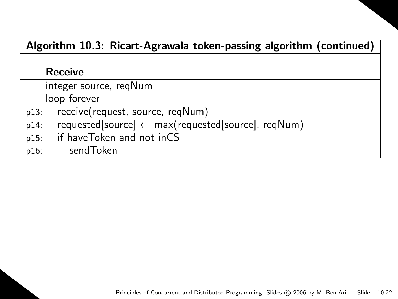### Algorithm 10.3: Ricart-Agrawala token-passing algorithm (continued) Receive integer source, reqNumloop forever p13: receive(request, source, reqNum) p14:requested[source] ← max(requested[source], reqNum)<br>· if haveToken and not inCS p15: if haveToken and not inCS p16:sendToken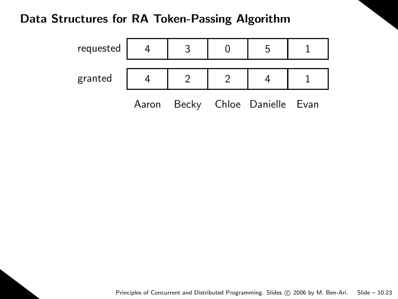## Data Structures for RA Token-Passing Algorithm

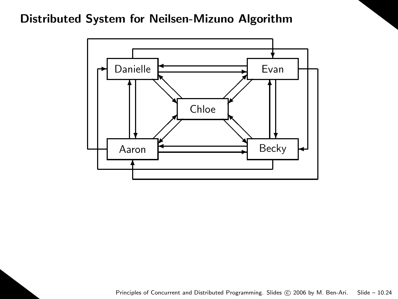### Distributed System for Neilsen-Mizuno Algorithm

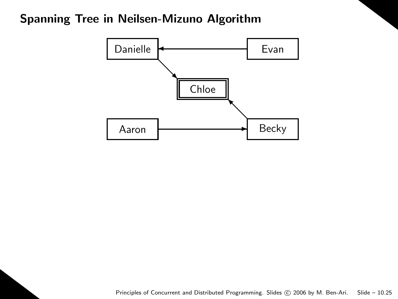## Spanning Tree in Neilsen-Mizuno Algorithm

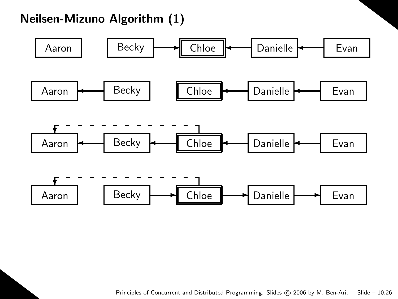Neilsen-Mizuno Algorithm (1)

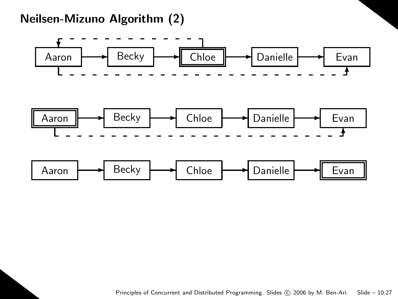Neilsen-Mizuno Algorithm (2)

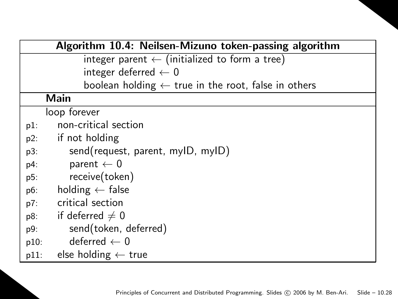| Algorithm 10.4: Neilsen-Mizuno token-passing algorithm         |  |  |  |  |  |  |  |
|----------------------------------------------------------------|--|--|--|--|--|--|--|
| integer parent $\leftarrow$ (initialized to form a tree)       |  |  |  |  |  |  |  |
| integer deferred $\leftarrow 0$                                |  |  |  |  |  |  |  |
| boolean holding $\leftarrow$ true in the root, false in others |  |  |  |  |  |  |  |
| <b>Main</b>                                                    |  |  |  |  |  |  |  |
| loop forever                                                   |  |  |  |  |  |  |  |
| non-critical section<br>$p1$ :                                 |  |  |  |  |  |  |  |
| if not holding<br>$p2$ :                                       |  |  |  |  |  |  |  |
| send(request, parent, myID, myID)<br>$p3$ :                    |  |  |  |  |  |  |  |
| parent $\leftarrow 0$<br>$p4$ :                                |  |  |  |  |  |  |  |
| receive(token)<br>p5:                                          |  |  |  |  |  |  |  |
| holding $\leftarrow$ false<br>p6:                              |  |  |  |  |  |  |  |
| critical section<br>p7:                                        |  |  |  |  |  |  |  |
| if deferred $\neq 0$<br>$p8$ :                                 |  |  |  |  |  |  |  |
| send(token, deferred)<br>p9:                                   |  |  |  |  |  |  |  |
| deferred $\leftarrow 0$<br>$p10$ :                             |  |  |  |  |  |  |  |
| else holding $\leftarrow$ true<br>$p11$ :                      |  |  |  |  |  |  |  |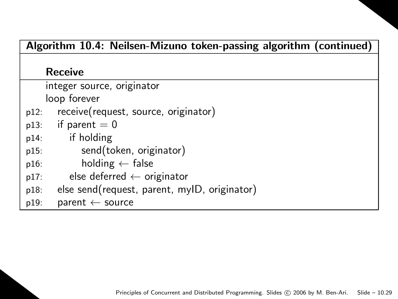| Algorithm 10.4: Neilsen-Mizuno token-passing algorithm (continued) |
|--------------------------------------------------------------------|
|                                                                    |
| <b>Receive</b>                                                     |
| integer source, originator                                         |
| loop forever                                                       |
| receive(request, source, originator)<br>$p12$ :                    |
| if parent $= 0$<br>$p13$ :                                         |
| if holding<br>$p14$ :                                              |
| send(token, originator)<br>$p15$ :                                 |
| holding $\leftarrow$ false<br>$p16$ :                              |
| else deferred $\leftarrow$ originator<br>$p17$ :                   |
| else send(request, parent, myID, originator)<br>$p18$ :            |
| parent $\leftarrow$ source<br>$p19$ :                              |
|                                                                    |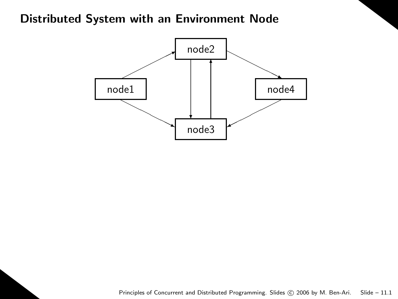### Distributed System with an Environment Node

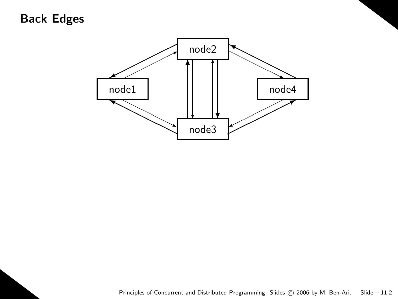# Back Edges

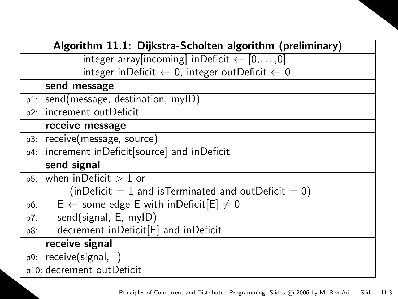|        | Algorithm 11.1: Dijkstra-Scholten algorithm (preliminary)                                 |
|--------|-------------------------------------------------------------------------------------------|
|        | integer array [incoming] in Deficit $\leftarrow [0, \ldots, 0]$                           |
|        | integer in Deficit $\leftarrow 0$ , integer out Deficit $\leftarrow 0$                    |
|        | send message                                                                              |
|        | $p1:$ send(message, destination, myID)                                                    |
| $p2$ : | increment outDeficit                                                                      |
|        | receive message                                                                           |
|        | p3: receive(message, source)                                                              |
| $p4$ : | increment inDeficit[source] and inDeficit                                                 |
|        | send signal                                                                               |
|        | p5: when inDeficit $> 1$ or                                                               |
|        | (inDeficit $= 1$ and isTerminated and outDeficit $= 0$ )                                  |
| p6:    | $\mathsf{E}\leftarrow$ some edge $\mathsf E$ with in $\mathsf{Deficit}[\mathsf{E}]\neq 0$ |
| p7:    | send(signal, E, myID)                                                                     |
| p8:    | decrement in Deficit <sup>[E]</sup> and in Deficit                                        |
|        | receive signal                                                                            |
|        | $p9:$ receive(signal, $-$ )                                                               |
|        | p10: decrement outDeficit                                                                 |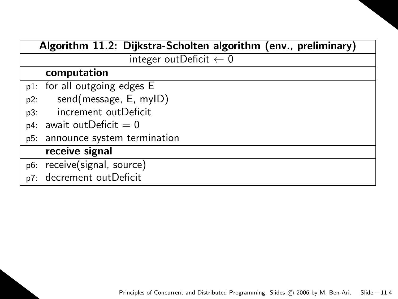|        | Algorithm 11.2: Dijkstra-Scholten algorithm (env., preliminary) |  |  |  |  |  |  |
|--------|-----------------------------------------------------------------|--|--|--|--|--|--|
|        | integer outDeficit $\leftarrow 0$                               |  |  |  |  |  |  |
|        | computation                                                     |  |  |  |  |  |  |
|        | p1: for all outgoing edges $\overline{E}$                       |  |  |  |  |  |  |
| $p2$ : | send(message, E, myID)                                          |  |  |  |  |  |  |
| p3:    | increment outDeficit                                            |  |  |  |  |  |  |
|        | $p4$ : await out Deficit = 0                                    |  |  |  |  |  |  |
|        | p5: announce system termination                                 |  |  |  |  |  |  |
|        | receive signal                                                  |  |  |  |  |  |  |
|        | p6: receive(signal, source)                                     |  |  |  |  |  |  |
|        | p7: decrement outDeficit                                        |  |  |  |  |  |  |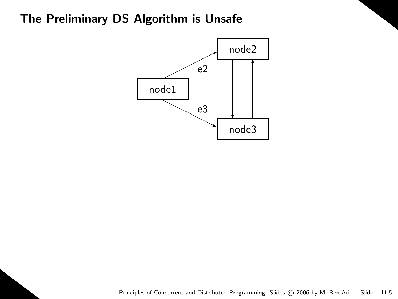## The Preliminary DS Algorithm is Unsafe

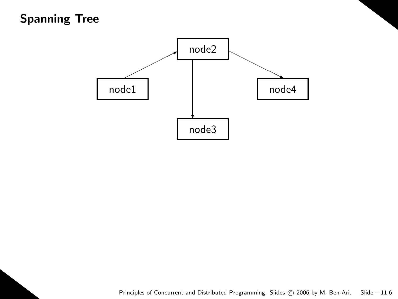# Spanning Tree

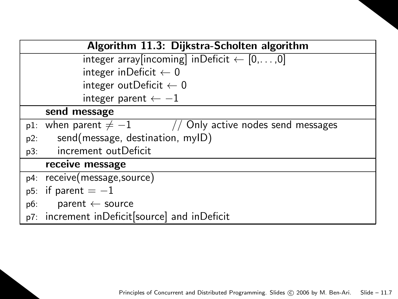| Algorithm 11.3: Dijkstra-Scholten algorithm                                 |
|-----------------------------------------------------------------------------|
| integer array [incoming] in Deficit $\leftarrow$ [0, , 0]                   |
| integer in Deficit $\leftarrow 0$                                           |
| integer outDeficit $\leftarrow 0$                                           |
| integer parent $\leftarrow -1$                                              |
| send message                                                                |
| $\prime$ Only active nodes send messages<br>when parent $\neq -1$<br>$p1$ : |
| send(message, destination, myID)<br>$p2$ :                                  |
| increment outDeficit<br>$p3$ :                                              |
| receive message                                                             |
| p4: receive(message, source)                                                |
| p5: if parent $=-1$                                                         |
| parent $\leftarrow$ source<br>p6:                                           |
| p7: increment inDeficit[source] and inDeficit                               |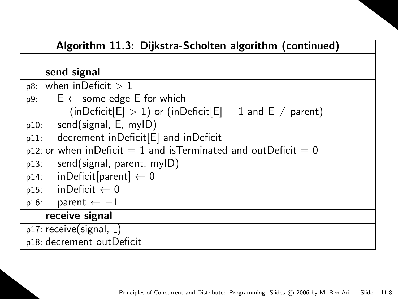#### Algorithm 11.3: Dijkstra-Scholten algorithm (continued) send signal p8: $:$  when in $\textsf{Deficit}>1$  $\mathsf{E}\leftarrow$  some edge  $\mathsf E$  for which<br>inDeficit[E]  $>$  1) or (inD p9: $(\mathsf{inDeficit}[\mathsf{E}]>1)$  or  $(\mathsf{inDeficit}[\mathsf{E}])$  $= 1$  and  $\mathsf{E} \neq \mathsf{parent}$ ) p10: send(signal, E, myID) p11: decrement inDeficit[E] and inDeficit <code>p12</code>: or when inDeficit  $= 1$  and isTerminated and outDeficit  $= 0$ p13: send(signal, parent, myID) p14:  $\quad$  in $\textsf{Deficit}[\textsf{parent}] \leftarrow 0$ p15:  $\quad$  in $\textsf{Deficit}\leftarrow\textsf{0}$ p16: parent ←  $-1$ receive signal p17: receive(signal, <sub>-</sub>) p18: decrement outDeficit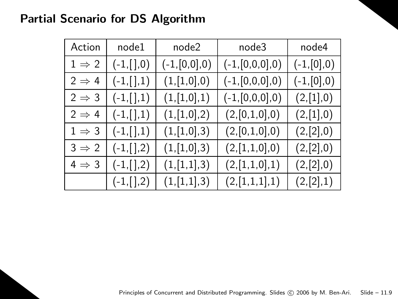# Partial Scenario for DS Algorithm

| Action<br>node1   |                | node2             | node3                | node4          |  |
|-------------------|----------------|-------------------|----------------------|----------------|--|
| $1 \Rightarrow 2$ | $(-1, [], 0)$  | $(-1, [0, 0], 0)$ | $(-1, [0, 0, 0], 0)$ | $(-1, [0], 0)$ |  |
| $2 \Rightarrow 4$ | $(-1, [], 1)$  | (1,[1,0],0)       | $(-1, [0, 0, 0], 0)$ |                |  |
| $2 \Rightarrow 3$ | $(-1, [], 1)$  | (1,[1,0],1)       | $(-1, [0, 0, 0], 0)$ | (2,[1],0)      |  |
| $2 \Rightarrow 4$ | $(-1, [], 1)$  | (1,[1,0],2)       | (2,[0,1,0],0)        | (2,[1],0)      |  |
| $1 \Rightarrow 3$ | $(-1, [], 1)$  | (1,[1,0],3)       | (2,[0,1,0],0)        | (2,[2],0)      |  |
| $3 \Rightarrow 2$ | $(-1, [], 2)$  | (1,[1,0],3)       | (2,[1,1,0],0)        | (2,[2],0)      |  |
| $4 \Rightarrow 3$ | $(-1, [], 2)$  | (1,[1,1],3)       | (2,[1,1,0],1)        | (2,[2],0)      |  |
|                   | $(-1, []$ , 2) | (1,[1,1],3)       | (2,[1,1,1],1)        | (2,[2],1)      |  |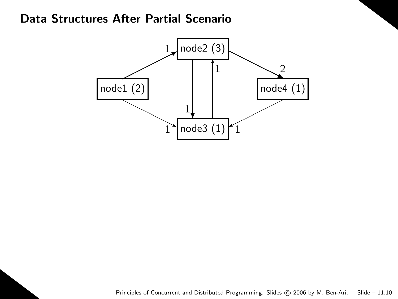### Data Structures After Partial Scenario

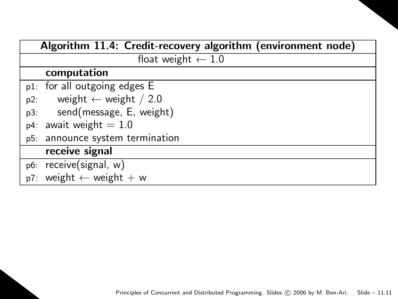|        | Algorithm 11.4: Credit-recovery algorithm (environment node) |  |  |  |  |  |  |  |
|--------|--------------------------------------------------------------|--|--|--|--|--|--|--|
|        | float weight $\leftarrow$ 1.0                                |  |  |  |  |  |  |  |
|        | computation                                                  |  |  |  |  |  |  |  |
|        | p1: for all outgoing edges $\overline{E}$                    |  |  |  |  |  |  |  |
| $p2$ : | weight $\leftarrow$ weight / 2.0                             |  |  |  |  |  |  |  |
|        | p3: send(message, E, weight)                                 |  |  |  |  |  |  |  |
| $p4$ : | await weight $= 1.0$                                         |  |  |  |  |  |  |  |
|        | p5: announce system termination                              |  |  |  |  |  |  |  |
|        | receive signal                                               |  |  |  |  |  |  |  |
|        | p6: receive(signal, w)                                       |  |  |  |  |  |  |  |
|        | p7: weight $\leftarrow$ weight $+$ w                         |  |  |  |  |  |  |  |
|        |                                                              |  |  |  |  |  |  |  |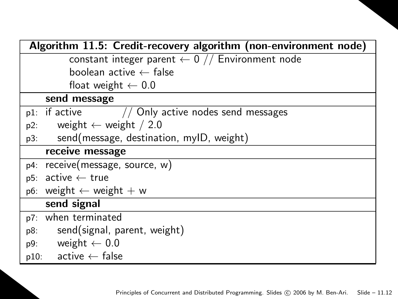| Algorithm 11.5: Credit-recovery algorithm (non-environment node) |
|------------------------------------------------------------------|
| constant integer parent $\leftarrow$ 0 // Environment node       |
| boolean active $\leftarrow$ false                                |
| float weight $\leftarrow 0.0$                                    |
| send message                                                     |
| // Only active nodes send messages<br>p1: if active              |
| weight $\leftarrow$ weight / 2.0<br>$p2$ :                       |
| send(message, destination, myID, weight)<br>$p3$ :               |
| receive message                                                  |
| p4: receive(message, source, w)                                  |
| $p5:$ active $\leftarrow$ true                                   |
| p6: weight $\leftarrow$ weight $+$ w                             |
| send signal                                                      |
| when terminated<br>p7:                                           |
| send(signal, parent, weight)<br>p8:                              |
| weight $\leftarrow 0.0$<br>p9:                                   |
| $\mathsf{active} \leftarrow \mathsf{false}$<br>$p10$ :           |
|                                                                  |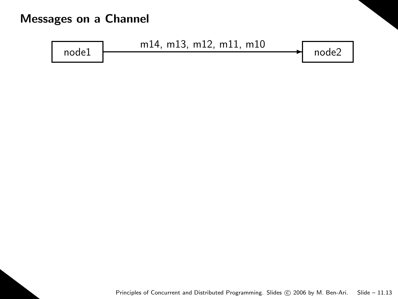### Messages on <sup>a</sup> Channel

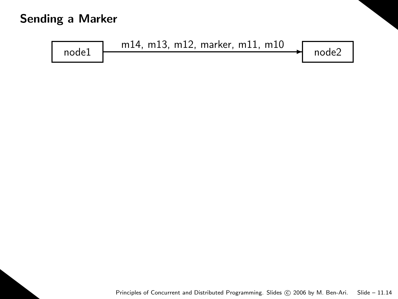### Sending <sup>a</sup> Marker

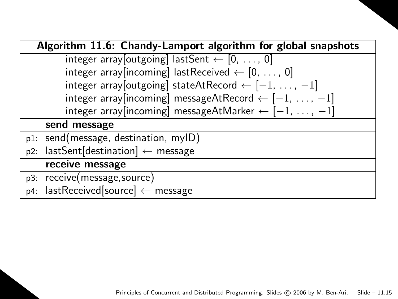| integer array [outgoing] lastSent $\leftarrow$ [0, , 0]<br>integer array [incoming] last Received $\leftarrow$ [0, , 0]<br>integer array [outgoing] stateAtRecord $\leftarrow$ [-1, , -1]<br>integer array[incoming] messageAtRecord $\leftarrow$ [-1, , -1]<br>integer array [incoming] messageAtMarker $\leftarrow$ [-1, , -1]<br>send message<br>p1: send(message, destination, myID)<br>$p2:$ lastSent[destination] $\leftarrow$ message<br>receive message<br>p3: receive(message, source) | Algorithm 11.6: Chandy-Lamport algorithm for global snapshots |                                                  |  |  |  |  |  |
|-------------------------------------------------------------------------------------------------------------------------------------------------------------------------------------------------------------------------------------------------------------------------------------------------------------------------------------------------------------------------------------------------------------------------------------------------------------------------------------------------|---------------------------------------------------------------|--------------------------------------------------|--|--|--|--|--|
|                                                                                                                                                                                                                                                                                                                                                                                                                                                                                                 |                                                               |                                                  |  |  |  |  |  |
|                                                                                                                                                                                                                                                                                                                                                                                                                                                                                                 |                                                               |                                                  |  |  |  |  |  |
|                                                                                                                                                                                                                                                                                                                                                                                                                                                                                                 |                                                               |                                                  |  |  |  |  |  |
|                                                                                                                                                                                                                                                                                                                                                                                                                                                                                                 |                                                               |                                                  |  |  |  |  |  |
|                                                                                                                                                                                                                                                                                                                                                                                                                                                                                                 |                                                               |                                                  |  |  |  |  |  |
|                                                                                                                                                                                                                                                                                                                                                                                                                                                                                                 |                                                               |                                                  |  |  |  |  |  |
|                                                                                                                                                                                                                                                                                                                                                                                                                                                                                                 |                                                               |                                                  |  |  |  |  |  |
|                                                                                                                                                                                                                                                                                                                                                                                                                                                                                                 |                                                               |                                                  |  |  |  |  |  |
|                                                                                                                                                                                                                                                                                                                                                                                                                                                                                                 |                                                               |                                                  |  |  |  |  |  |
|                                                                                                                                                                                                                                                                                                                                                                                                                                                                                                 |                                                               |                                                  |  |  |  |  |  |
|                                                                                                                                                                                                                                                                                                                                                                                                                                                                                                 |                                                               | $p4$ : lastReceived[source] $\leftarrow$ message |  |  |  |  |  |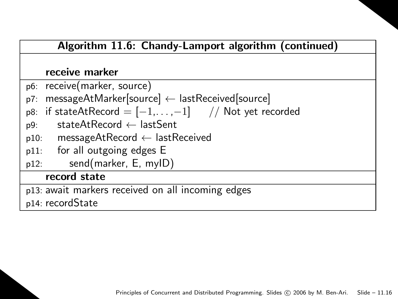### Algorithm 11.6: Chandy-Lamport algorithm (continued) receive marker p6: receive(marker, source) p7: messageAtMarker[source]← lastReceived[source]  $p8:$  if state $\mathsf{AtRecord} = [-$  stateAtRecord← lastSent  $1, \ldots, 1]$   $\quad$   $\,/$   $\,$  Not yet recorded p9:p10: messageAtRecord ← lastReceived<br>p11: for all outgoing edges F p11: for all outgoing edges <sup>E</sup>p12: send(marker, E, myID) record state p13: await markers received on all incoming edges p14: recordState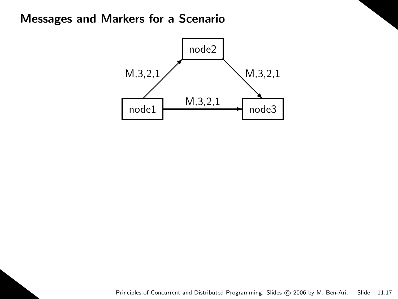## Messages and Markers for <sup>a</sup> Scenario

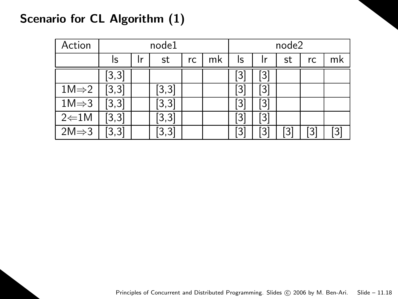# Scenario for CL Algorithm (1)

| Action             | node1 |                        |       |    | node2 |                |                |                   |     |                  |
|--------------------|-------|------------------------|-------|----|-------|----------------|----------------|-------------------|-----|------------------|
|                    | ls    | $\mathsf{I}\mathsf{r}$ | st    | rc | mk    | ls.            | <u>Ir</u>      | st                | rc  | mk               |
|                    | [3,3] |                        |       |    |       | ΓЗ,            | [3]            |                   |     |                  |
| $1M \Rightarrow 2$ | [3,3] |                        | [3,3] |    |       | [3]            | 3              |                   |     |                  |
| $1M \Rightarrow 3$ | [3,3] |                        | [3,3] |    |       | '3)            | [3]            |                   |     |                  |
| $2 \leftarrow 1$ M | [3,3] |                        | [3,3] |    |       | [3]            | [3]            |                   |     |                  |
| $2M \Rightarrow 3$ | [3,3] |                        | [3,3] |    |       | <sup>[3]</sup> | <sup>[3]</sup> | $\lceil 3 \rceil$ | [3] | $\left[3\right]$ |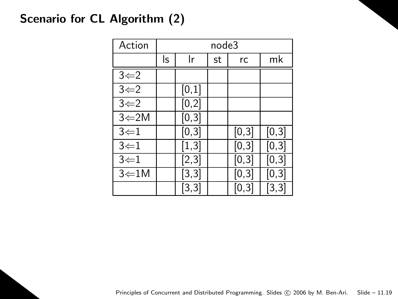# Scenario for CL Algorithm (2)

| Action                   | node3 |                    |    |       |       |
|--------------------------|-------|--------------------|----|-------|-------|
|                          | ls    | Ir                 | st | rc    | mk    |
| $3 \leftarrow 2$         |       |                    |    |       |       |
| $3 \rightleftharpoons 2$ |       | [0,1]              |    |       |       |
| $3 \rightleftharpoons 2$ |       | [0,2]              |    |       |       |
| $3 \leftarrow 2M$        |       | [0,3]              |    |       |       |
| $3\rightleftarrows 1$    |       | [0,3]              |    | [0,3] | [0,3] |
| $3\rightleftarrows 1$    |       | $\left[1,3\right]$ |    | [0,3] | [0,3] |
| $3 \leftarrow 1$         |       | [2,3]              |    | [0,3] | [0,3] |
| $3 \leftarrow 1$ M       |       | [3,3]              |    | [0,3] | [0,3] |
|                          |       | [3,3]              |    | [0,3] | [3,3] |

Principles of Concurrent and Distributed Programming. Slides  $\copyright$  2006 by M. Ben-Ari.  $\hspace{0.1cm}$  Slide  $-$  11.19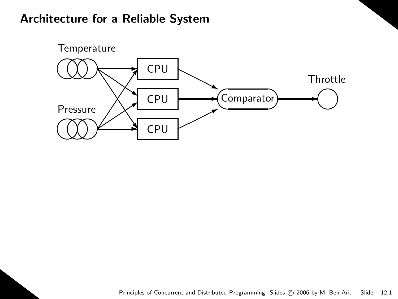## Architecture for <sup>a</sup> Reliable System

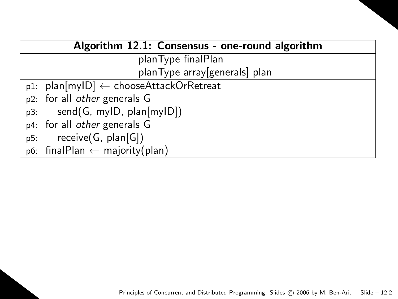| Algorithm 12.1: Consensus - one-round algorithm |                                                     |  |  |  |
|-------------------------------------------------|-----------------------------------------------------|--|--|--|
|                                                 | planType finalPlan                                  |  |  |  |
|                                                 | planType array[generals] plan                       |  |  |  |
|                                                 | $p1:$ plan[myID] $\leftarrow$ chooseAttackOrRetreat |  |  |  |
|                                                 | p2: for all <i>other</i> generals G                 |  |  |  |
|                                                 | p3: send(G, myID, plan[myID])                       |  |  |  |
|                                                 | p4: for all other generals G                        |  |  |  |
|                                                 | $p5:$ receive(G, plan[G])                           |  |  |  |
|                                                 | p6: finalPlan $\leftarrow$ majority(plan)           |  |  |  |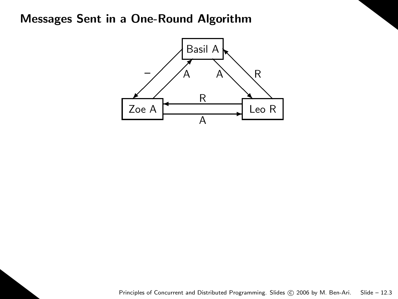#### Messages Sent in <sup>a</sup> One-Round Algorithm

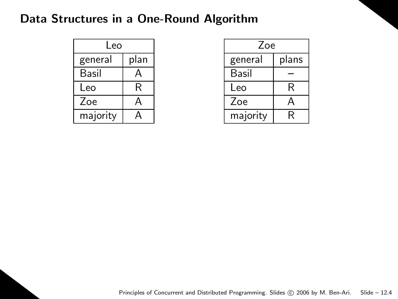## Data Structures in <sup>a</sup> One-Round Algorithm

| Leo      |      |  |  |
|----------|------|--|--|
| general  | plan |  |  |
| Basil    |      |  |  |
| Leo      | R    |  |  |
| Zoe      |      |  |  |
| majority |      |  |  |

| Zoe      |       |  |  |
|----------|-------|--|--|
| general  | plans |  |  |
| Basil    |       |  |  |
| Leo      | R     |  |  |
| Zoe      |       |  |  |
| majority | K     |  |  |

Principles of Concurrent and Distributed Programming. Slides  $\copyright$  2006 by M. Ben-Ari.  $\hspace{0.1cm}$  Slide  $-$  12.4  $\hspace{0.1cm}$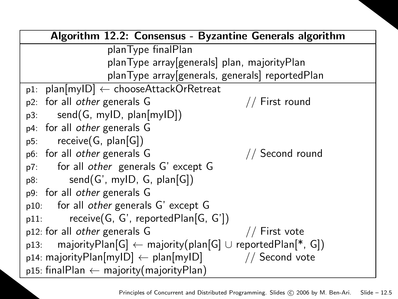| Algorithm 12.2: Consensus - Byzantine Generals algorithm                                                      |  |  |  |  |
|---------------------------------------------------------------------------------------------------------------|--|--|--|--|
| planType finalPlan                                                                                            |  |  |  |  |
| planType array [generals] plan, majority Plan                                                                 |  |  |  |  |
| planType array [generals, generals] reported Plan                                                             |  |  |  |  |
| $p1:$ plan[myID] $\leftarrow$ chooseAttackOrRetreat                                                           |  |  |  |  |
| for all <i>other</i> generals G<br>$//$ First round<br>$p2$ :                                                 |  |  |  |  |
| send(G, myID, plan(myID])<br>$p3$ :                                                                           |  |  |  |  |
| p4: for all <i>other</i> generals G                                                                           |  |  |  |  |
| $\mathsf{receive}(G, \mathsf{plan}[G])$<br>p5:                                                                |  |  |  |  |
| for all <i>other</i> generals G<br>$//$ Second round<br>p6:                                                   |  |  |  |  |
| for all <i>other</i> generals G' except G<br>$p7$ :                                                           |  |  |  |  |
| send(G', myID, G, plan[G])<br>p8:                                                                             |  |  |  |  |
| p9: for all <i>other</i> generals G                                                                           |  |  |  |  |
| p10: for all <i>other</i> generals G' except G                                                                |  |  |  |  |
| receive(G, G', reportedPlan $[G, G']$ )<br>$p11$ :                                                            |  |  |  |  |
| p12: for all <i>other</i> generals G<br>$//$ First vote                                                       |  |  |  |  |
| $\mathsf{majorityPlan[G]} \leftarrow \mathsf{majority(plan[G]} \cup \mathsf{reportedPlan[*},\,G])$<br>$p13$ : |  |  |  |  |
| $p14$ : majorityPlan[myID] $\leftarrow$ plan[myID]<br>// Second vote                                          |  |  |  |  |
| $p15$ : finalPlan $\leftarrow$ majority(majorityPlan)                                                         |  |  |  |  |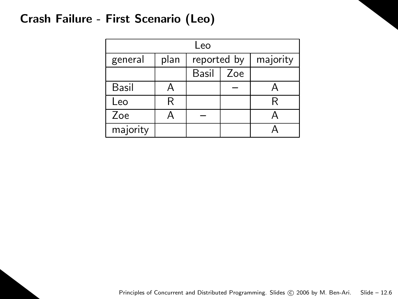# Crash Failure - First Scenario (Leo)

| Leo          |      |              |     |              |  |
|--------------|------|--------------|-----|--------------|--|
| general      | plan | reported by  |     | majority     |  |
|              |      | <b>Basil</b> | Zoe |              |  |
| <b>Basil</b> |      |              |     |              |  |
| Leo          | R    |              |     | $\mathbf{R}$ |  |
| Zoe          |      |              |     |              |  |
| majority     |      |              |     |              |  |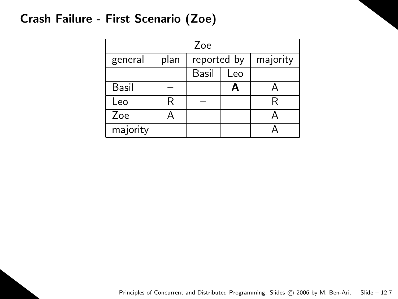# Crash Failure - First Scenario (Zoe)

| Zoe          |      |              |     |          |  |
|--------------|------|--------------|-----|----------|--|
| general      | plan | reported by  |     | majority |  |
|              |      | <b>Basil</b> | Leo |          |  |
| <b>Basil</b> |      |              |     |          |  |
| Leo          | R    |              |     | К        |  |
| Zoe          |      |              |     |          |  |
| majority     |      |              |     |          |  |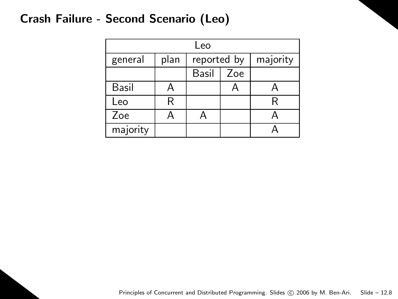## Crash Failure - Second Scenario (Leo)

| Leo          |      |              |     |          |  |
|--------------|------|--------------|-----|----------|--|
| general      | plan | reported by  |     | majority |  |
|              |      | <b>Basil</b> | Zoe |          |  |
| <b>Basil</b> |      |              |     |          |  |
| Leo          | R    |              |     | R        |  |
| Zoe          |      |              |     |          |  |
| majority     |      |              |     |          |  |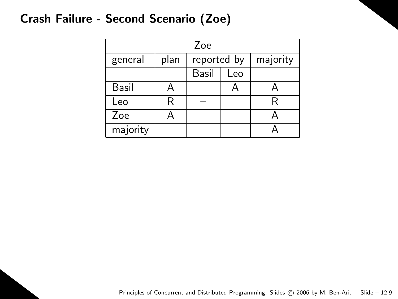## Crash Failure - Second Scenario (Zoe)

| Zoe          |      |              |     |          |  |
|--------------|------|--------------|-----|----------|--|
| general      | plan | reported by  |     | majority |  |
|              |      | <b>Basil</b> | Leo |          |  |
| <b>Basil</b> |      |              |     |          |  |
| Leo          | R    |              |     |          |  |
| Zoe          |      |              |     |          |  |
| majority     |      |              |     |          |  |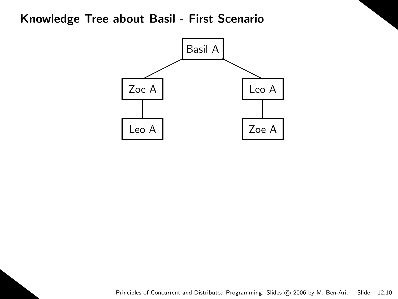Knowledge Tree about Basil - First Scenario

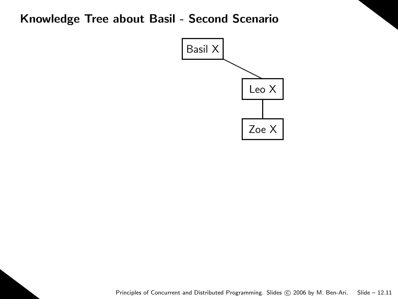Knowledge Tree about Basil - Second Scenario



Principles of Concurrent and Distributed Programming. Slides © 2006 by M. Ben-Ari. Slide - 12.11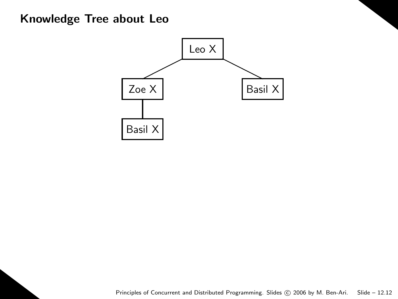## Knowledge Tree about Leo

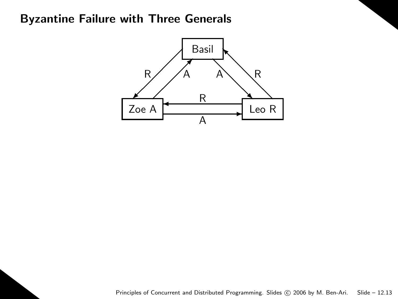Byzantine Failure with Three Generals

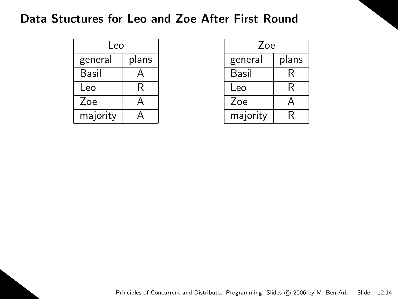## Data Stuctures for Leo and Zoe After First Round

| Leo      |             |  |  |
|----------|-------------|--|--|
| general  | plans       |  |  |
| Basil    |             |  |  |
| Leo      | $\mathsf R$ |  |  |
| Zoe      |             |  |  |
| majority |             |  |  |

| Zoe      |       |  |  |
|----------|-------|--|--|
| general  | plans |  |  |
| Basil    | R     |  |  |
| Leo      | R     |  |  |
| Zoe      |       |  |  |
| majority | R     |  |  |

Principles of Concurrent and Distributed Programming. Slides  $\copyright$  2006 by M. Ben-Ari.  $\hspace{0.1cm}$  Slide  $-$  12.14  $\hspace{0.1cm}$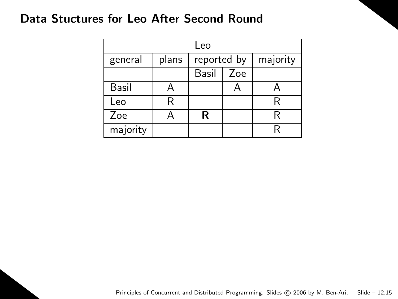## Data Stuctures for Leo After Second Round

| Leo          |       |              |     |          |  |
|--------------|-------|--------------|-----|----------|--|
| general      | plans | reported by  |     | majority |  |
|              |       | <b>Basil</b> | Zoe |          |  |
| <b>Basil</b> |       |              |     |          |  |
| Leo          | R     |              |     | R        |  |
| Zoe          |       | R            |     |          |  |
| majority     |       |              |     |          |  |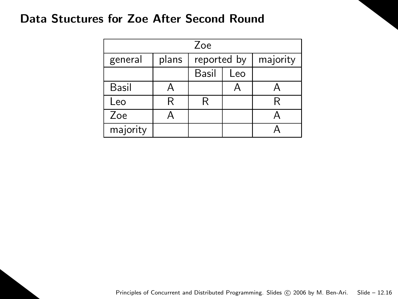## Data Stuctures for Zoe After Second Round

| Zoe          |       |              |     |          |  |
|--------------|-------|--------------|-----|----------|--|
| general      | plans | reported by  |     | majority |  |
|              |       | <b>Basil</b> | Leo |          |  |
| <b>Basil</b> |       |              |     |          |  |
| Leo          | R     | R            |     | R        |  |
| Zoe          |       |              |     |          |  |
| majority     |       |              |     |          |  |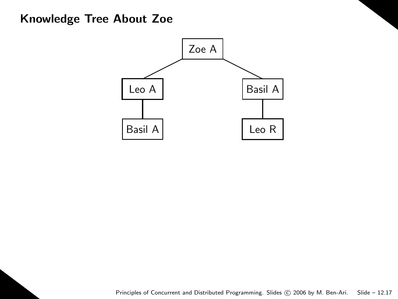#### Knowledge Tree About Zoe

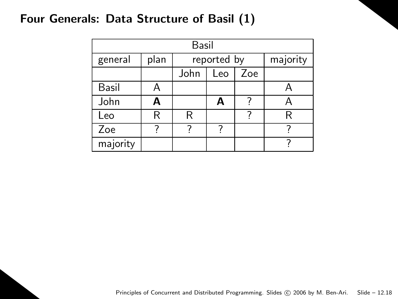### Four Generals: Data Structure of Basil (1)

| <b>Basil</b> |      |      |             |   |          |
|--------------|------|------|-------------|---|----------|
| general      | plan |      | reported by |   | majority |
|              |      | John | Zoe<br>Leo  |   |          |
| <b>Basil</b> |      |      |             |   |          |
| John         | A    |      | Д           | ? |          |
| Leo          | R    | R    |             | 7 | R        |
| Zoe          | 7    | 7    |             |   |          |
| majority     |      |      |             |   |          |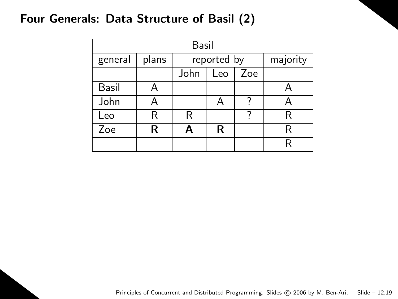## Four Generals: Data Structure of Basil (2)

|              |              | Basil       |          |     |   |
|--------------|--------------|-------------|----------|-----|---|
| general      | plans        | reported by | majority |     |   |
|              |              | John        | Leo      | Zoe |   |
| <b>Basil</b> | А            |             |          |     |   |
| John         | А            |             |          |     |   |
| Leo          | $\mathsf{R}$ | R           |          | 7   | R |
| Zoe          | R            | Д           | R        |     | R |
|              |              |             |          |     |   |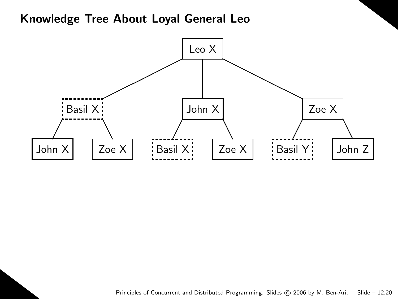Knowledge Tree About Loyal General Leo

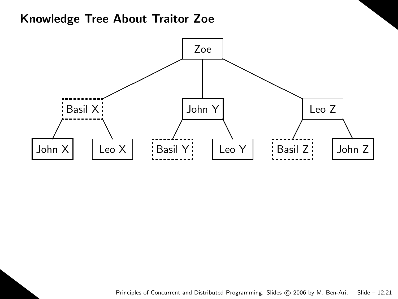## Knowledge Tree About Traitor Zoe

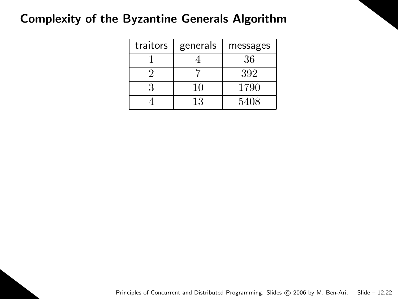## Complexity of the Byzantine Generals Algorithm

| traitors | generals | messages |
|----------|----------|----------|
|          |          | 36       |
|          |          | 392      |
| '-2      | 10       | 1790     |
|          | 13       | 5408     |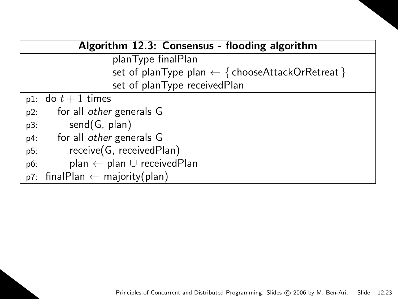|        | Algorithm 12.3: Consensus - flooding algorithm                  |
|--------|-----------------------------------------------------------------|
|        | planType finalPlan                                              |
|        | set of planType plan $\leftarrow \{$ chooseAttackOrRetreat $\}$ |
|        | set of planType receivedPlan                                    |
|        | p1: do $t+1$ times                                              |
| $p2$ : | for all <i>other</i> generals G                                 |
| p3:    | send(G, plan)                                                   |
| p4:    | for all other generals G                                        |
| p5:    | receive(G, receivedPlan)                                        |
| p6:    | plan $\leftarrow$ plan $\cup$ receivedPlan                      |
|        | $p7:$ finalPlan $\leftarrow$ majority(plan)                     |
|        |                                                                 |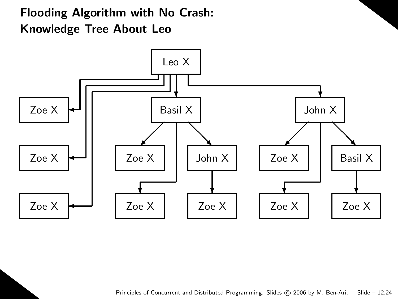# Flooding Algorithm with No Crash: Knowledge Tree About Leo

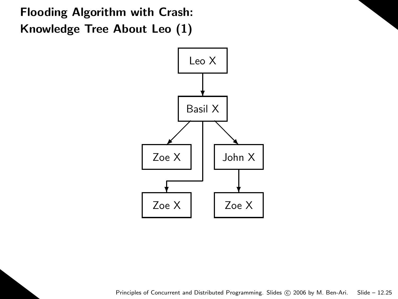**Flooding Algorithm with Crash:** Knowledge Tree About Leo (1)

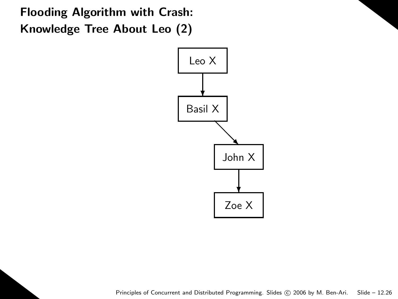**Flooding Algorithm with Crash:** Knowledge Tree About Leo (2)

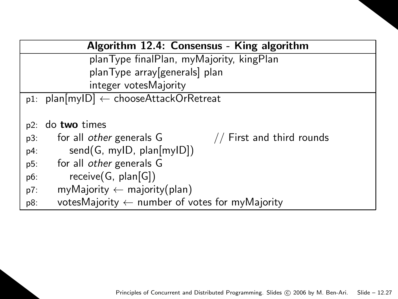| $//$ First and third rounds |
|-----------------------------|
|                             |
|                             |
|                             |
|                             |
|                             |
|                             |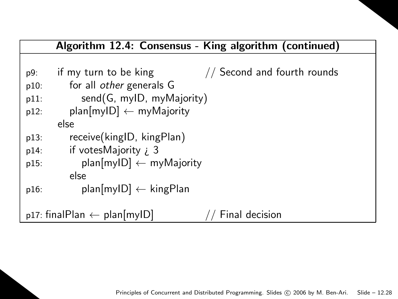|         | Algorithm 12.4: Consensus - King algorithm (continued) |                          |
|---------|--------------------------------------------------------|--------------------------|
|         |                                                        |                          |
| p9:     | if my turn to be king                                  | Second and fourth rounds |
| p10:    | for all other generals G                               |                          |
| $p11$ : | send(G, myID, myMajority)                              |                          |
| $p12$ : | $plan[myID] \leftarrow myMajority$                     |                          |
|         | else                                                   |                          |
| $p13$ : | receive(kingID, kingPlan)                              |                          |
| $p14$ : | if votes Majority $\mu$ 3                              |                          |
| p15:    | $plan[myID] \leftarrow myMajority$                     |                          |
|         | else                                                   |                          |
| $p16$ : | $plan[myID] \leftarrow kingPlan$                       |                          |
|         |                                                        |                          |
|         | $p17: final Plan \leftarrow plan[myID]$                | Final decision           |
|         |                                                        |                          |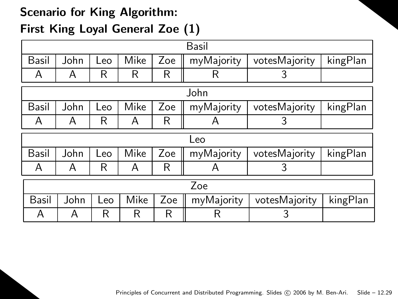## Scenario for King Algorithm:

# First King Loyal General Zoe (1)

|              |              |        |             |     | <b>Basil</b> |               |          |  |  |  |  |
|--------------|--------------|--------|-------------|-----|--------------|---------------|----------|--|--|--|--|
| <b>Basil</b> | John         | .eo    | <b>Mike</b> | Zoe | myMajority   | votesMajority | kingPlan |  |  |  |  |
| A            | $\mathsf{A}$ | R      | R           | R   | R            | 3             |          |  |  |  |  |
|              | John         |        |             |     |              |               |          |  |  |  |  |
| <b>Basil</b> | John         | $E$ eo | <b>Mike</b> | Zoe | myMajority   | votesMajority | kingPlan |  |  |  |  |
| $\mathsf{A}$ | A            | R      | A           | R   | A            | 3             |          |  |  |  |  |
|              |              |        |             |     | Leo          |               |          |  |  |  |  |
| <b>Basil</b> | John         | $E$ eo | <b>Mike</b> | Zoe | myMajority   | votesMajority | kingPlan |  |  |  |  |
| A            | A            | R      | A           | R   | A            | 3             |          |  |  |  |  |
|              |              |        |             |     | Zoe          |               |          |  |  |  |  |
| <b>Basil</b> | John         | Leo    | <b>Mike</b> | Zoe | myMajority   | votesMajority | kingPlan |  |  |  |  |
| $\mathsf{A}$ | A            | R      | R           | R   | R            | 3             |          |  |  |  |  |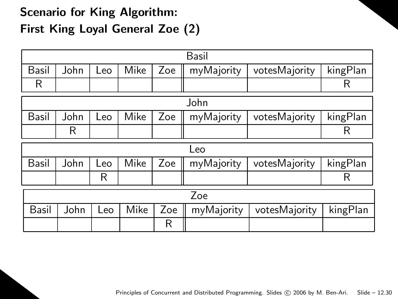# Scenario for King Algorithm:

# First King Loyal General Zoe (2)

|              |      |     |             |     | <b>Basil</b> |               |          |
|--------------|------|-----|-------------|-----|--------------|---------------|----------|
| <b>Basil</b> | John | Leo | <b>Mike</b> | Zoe | myMajority   | votesMajority | kingPlan |
| R            |      |     |             |     |              |               | R        |
|              |      |     |             |     | John         |               |          |
| <b>Basil</b> | John | Leo | <b>Mike</b> | Zoe | myMajority   | votesMajority | kingPlan |
|              | R    |     |             |     |              |               | R        |
|              |      |     |             |     | Leo          |               |          |
| <b>Basil</b> | John | Leo | <b>Mike</b> | Zoe | myMajority   | votesMajority | kingPlan |
|              |      | R   |             |     |              |               | R        |

|       |  |  | Zoe |                                                                  |  |
|-------|--|--|-----|------------------------------------------------------------------|--|
| Basil |  |  |     | John   Leo   Mike   Zoe    myMajority   votesMajority   kingPlan |  |
|       |  |  |     |                                                                  |  |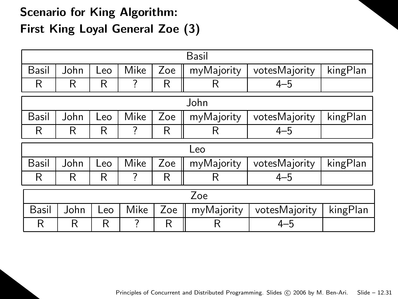# Scenario for King Algorithm:

# First King Loyal General Zoe (3)

|              |      |     |                          |     | Basil      |               |          |  |  |  |  |
|--------------|------|-----|--------------------------|-----|------------|---------------|----------|--|--|--|--|
| <b>Basil</b> | John | Leo | <b>Mike</b>              | Zoe | myMajority | votesMajority | kingPlan |  |  |  |  |
| R            | R    | R   | 7                        | R   | R          | $4 - 5$       |          |  |  |  |  |
|              | John |     |                          |     |            |               |          |  |  |  |  |
| <b>Basil</b> | John | Leo | <b>Mike</b>              | Zoe | myMajority | votesMajority | kingPlan |  |  |  |  |
| R            | R    | R   | 7                        | R   | R          | $4 - 5$       |          |  |  |  |  |
|              |      |     |                          |     | Leo        |               |          |  |  |  |  |
| <b>Basil</b> | John | Leo | <b>Mike</b>              | Zoe | myMajority | votesMajority | kingPlan |  |  |  |  |
| R            | R    | R   | ?                        | R   | R          | $4 - 5$       |          |  |  |  |  |
|              |      |     |                          |     | Zoe        |               |          |  |  |  |  |
| Basil        | John | .eo | <b>Mike</b>              | Zoe | myMajority | votesMajority | kingPlan |  |  |  |  |
| R            | R    | R   | $\overline{\mathcal{C}}$ | R   | R          | $4 - 5$       |          |  |  |  |  |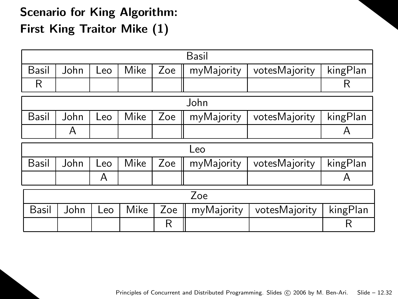# Scenario for King Algorithm: First King Traitor Mike (1)

|              |              |                           |             |     | <b>Basil</b> |               |              |
|--------------|--------------|---------------------------|-------------|-----|--------------|---------------|--------------|
| <b>Basil</b> | John         | Leo                       | Mike        | Zoe | myMajority   | votesMajority | kingPlan     |
| R            |              |                           |             |     |              |               | R            |
|              |              |                           |             |     | John         |               |              |
| <b>Basil</b> | John         | .eo                       | <b>Mike</b> | Zoe | myMajority   | votesMajority | kingPlan     |
|              | $\mathsf{A}$ |                           |             |     |              |               | $\mathsf{A}$ |
|              |              |                           |             |     |              |               |              |
|              |              |                           |             |     | Leo          |               |              |
| <b>Basil</b> | John         | Leo                       | <b>Mike</b> | Zoe | myMajority   | votesMajority | kingPlan     |
|              |              | $\boldsymbol{\mathsf{A}}$ |             |     |              |               | $\mathsf{A}$ |
|              |              |                           |             |     | Zoe          |               |              |
| <b>Basil</b> | John         | -eo                       | <b>Mike</b> | Zoe | myMajority   | votesMajority | kingPlan     |

 $\mathbf{\mathsf{I}}$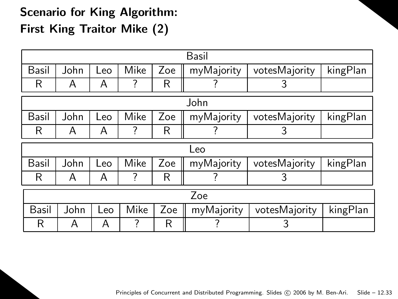# Scenario for King Algorithm: First King Traitor Mike (2)

|              |              |              |             |     | Basil      |               |          |  |  |  |  |  |
|--------------|--------------|--------------|-------------|-----|------------|---------------|----------|--|--|--|--|--|
| <b>Basil</b> | John         | Leo          | <b>Mike</b> | Zoe | myMajority | votesMajority | kingPlan |  |  |  |  |  |
| R            | $\mathsf{A}$ | $\mathsf{A}$ | 7           | R   |            | 3             |          |  |  |  |  |  |
|              | John         |              |             |     |            |               |          |  |  |  |  |  |
| Basil        | John         | Leo          | <b>Mike</b> | Zoe | myMajority | votesMajority | kingPlan |  |  |  |  |  |
| R            | A            | A            | ?           | R   |            | 3             |          |  |  |  |  |  |
|              |              |              |             |     | Leo        |               |          |  |  |  |  |  |
| <b>Basil</b> | John         | Leo          | <b>Mike</b> | Zoe | myMajority | votesMajority | kingPlan |  |  |  |  |  |
| R            | $\mathsf{A}$ | $\mathsf{A}$ | 7           | R   |            | 3             |          |  |  |  |  |  |
|              |              |              |             |     | Zoe        |               |          |  |  |  |  |  |
| <b>Basil</b> | John         | Leo          | <b>Mike</b> | Zoe | myMajority | votesMajority | kingPlan |  |  |  |  |  |
| R            | A            | A            | 7           | R   |            | 3             |          |  |  |  |  |  |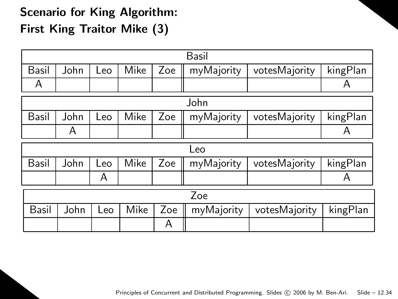# Scenario for King Algorithm: First King Traitor Mike (3)

|              |              |                           |             |     | <b>Basil</b> |               |              |
|--------------|--------------|---------------------------|-------------|-----|--------------|---------------|--------------|
| <b>Basil</b> | John         | Leo                       | <b>Mike</b> | Zoe | myMajority   | votesMajority | kingPlan     |
| A            |              |                           |             |     |              |               | $\mathsf{A}$ |
|              |              |                           |             |     | John         |               |              |
| <b>Basil</b> | John         | Leo                       | <b>Mike</b> | Zoe | myMajority   | votesMajority | kingPlan     |
|              | $\mathsf{A}$ |                           |             |     |              |               | $\mathsf{A}$ |
|              |              |                           |             |     |              |               |              |
|              |              |                           |             |     | Leo          |               |              |
| <b>Basil</b> | John         | .eo                       | <b>Mike</b> | Zoe | myMajority   | votesMajority | kingPlan     |
|              |              | $\boldsymbol{\mathsf{A}}$ |             |     |              |               | A            |
|              |              |                           |             |     | Zoe          |               |              |
| <b>Basil</b> | John         | .eo                       | <b>Mike</b> | Zoe | myMajority   | votesMajority | kingPlan     |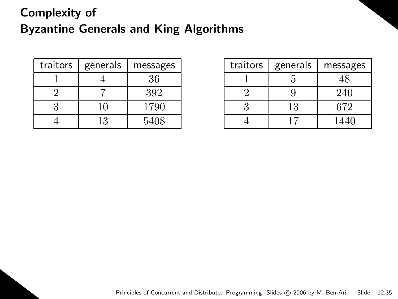# Complexity of Byzantine Generals and King Algorithms

| traitors | generals | messages |  |  |
|----------|----------|----------|--|--|
|          |          | 36       |  |  |
|          |          | 392      |  |  |
|          | 10       | 1790     |  |  |
|          | 13       | 5408     |  |  |

| traitors | generals | messages |  |  |
|----------|----------|----------|--|--|
|          |          | 48       |  |  |
|          |          | 240      |  |  |
| 3        | 13       | 672      |  |  |
|          | 17       | 1440     |  |  |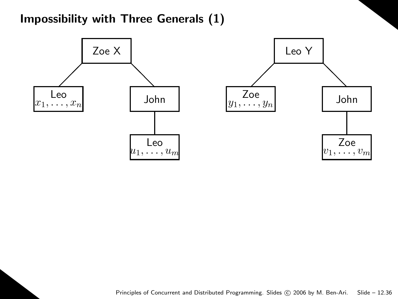## Impossibility with Three Generals (1)

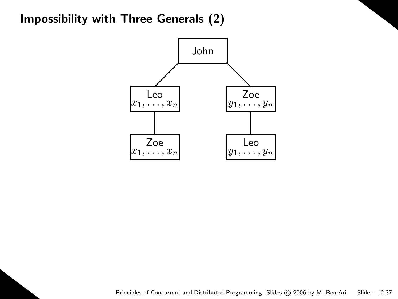## Impossibility with Three Generals (2)

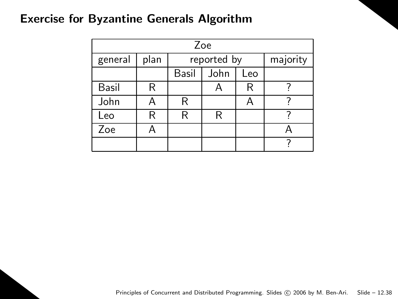#### Exercise for Byzantine Generals Algorithm

| Zoe          |      |              |      |     |          |  |  |
|--------------|------|--------------|------|-----|----------|--|--|
| general      | plan | reported by  |      |     | majority |  |  |
|              |      | <b>Basil</b> | John | Leo |          |  |  |
| <b>Basil</b> | R    |              |      | R   |          |  |  |
| John         | А    | R            |      |     |          |  |  |
| Leo          | R    |              |      |     |          |  |  |
| Zoe          | Д    |              |      |     |          |  |  |
|              |      |              |      |     |          |  |  |

Principles of Concurrent and Distributed Programming. Slides  $\copyright$  2006 by M. Ben-Ari.  $\hspace{0.1cm}$  Slide  $-$  12.38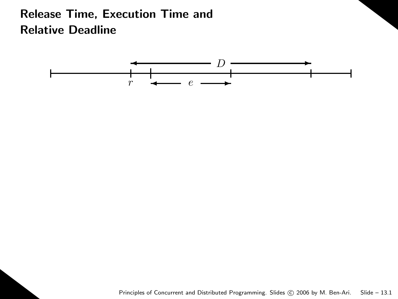# Release Time, Execution Time andRelative Deadline

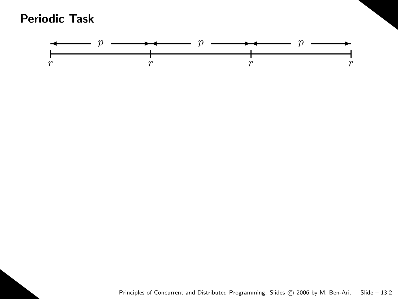### Periodic Task

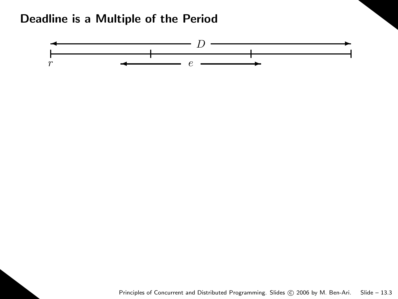#### Deadline is <sup>a</sup> Multiple of the Period

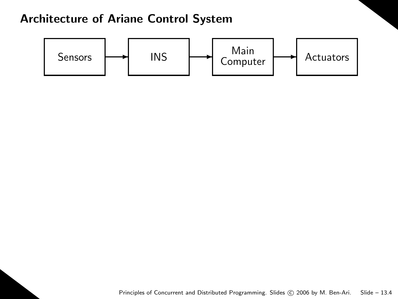### Architecture of Ariane Control System

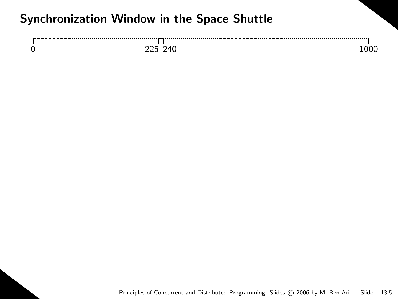### Synchronization Window in the Space Shuttle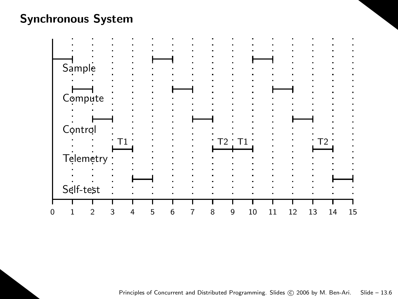### Synchronous System

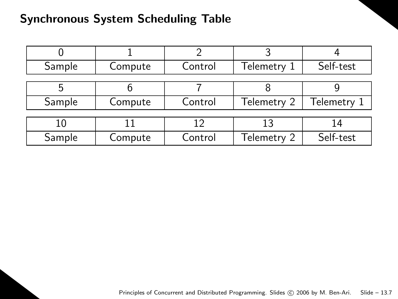## Synchronous System Scheduling Table

| Sample | Compute | Control | Telemetry $1$ | Self-test     |
|--------|---------|---------|---------------|---------------|
|        |         |         |               |               |
| 5      |         |         |               |               |
| Sample | Compute | Control | Telemetry 2   | Telemetry $1$ |
|        |         |         |               |               |
| 10     |         | 12      | 13            | 14            |
| Sample | Compute | Control | Telemetry 2   | Self-test     |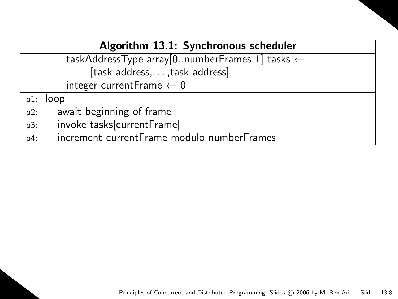|        | Algorithm 13.1: Synchronous scheduler                     |  |  |
|--------|-----------------------------------------------------------|--|--|
|        | taskAddressType array[0numberFrames-1] tasks $\leftarrow$ |  |  |
|        | [task address, , task address]                            |  |  |
|        | integer currentFrame $\leftarrow 0$                       |  |  |
|        | $p1:$ loop                                                |  |  |
| $p2$ : | await beginning of frame                                  |  |  |
| p3:    | invoke tasks[currentFrame]                                |  |  |
| $p4$ : | increment currentFrame modulo numberFrames                |  |  |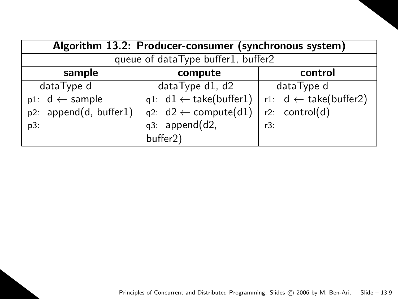| Algorithm 13.2: Producer-consumer (synchronous system) |                                    |                                  |  |
|--------------------------------------------------------|------------------------------------|----------------------------------|--|
|                                                        | queue of dataType buffer1, buffer2 |                                  |  |
| sample                                                 | control<br>compute                 |                                  |  |
| dataType d                                             | dataType d1, d2                    | dataType d                       |  |
| $p1: d \leftarrow$ sample                              | q1: $d1 \leftarrow$ take(buffer1)  | r1: $d \leftarrow$ take(buffer2) |  |
| p2: append(d, buffer1)                                 | q2: $d2 \leftarrow compute(d1)$    | $r2:$ control(d)                 |  |
| $p3$ :                                                 | $q3:$ append $(d2,$                | r3:                              |  |
|                                                        | buffer2)                           |                                  |  |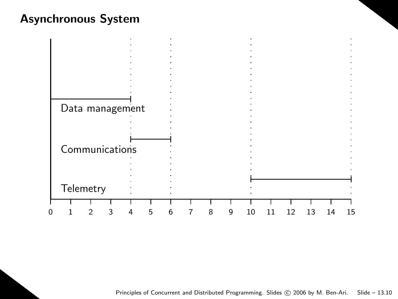#### Asynchronous System

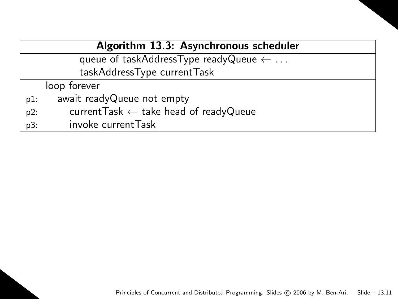| Algorithm 13.3: Asynchronous scheduler                 |                                                    |  |
|--------------------------------------------------------|----------------------------------------------------|--|
| queue of taskAddressType readyQueue $\leftarrow \dots$ |                                                    |  |
|                                                        | taskAddressType currentTask                        |  |
|                                                        | loop forever                                       |  |
| $p1$ :                                                 | await readyQueue not empty                         |  |
| $p2:$<br>$p3:$                                         | current Task $\leftarrow$ take head of ready Queue |  |
|                                                        | invoke current Task                                |  |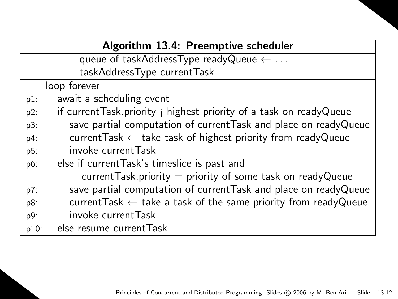| Algorithm 13.4: Preemptive scheduler |                                                                             |  |  |
|--------------------------------------|-----------------------------------------------------------------------------|--|--|
|                                      | queue of taskAddressType readyQueue $\leftarrow \dots$                      |  |  |
|                                      | taskAddressType currentTask                                                 |  |  |
|                                      | loop forever                                                                |  |  |
| $p1$ :                               | await a scheduling event                                                    |  |  |
| $p2$ :                               | if current Task priority ; highest priority of a task on ready Queue        |  |  |
| $p3$ :                               | save partial computation of current Task and place on ready Queue           |  |  |
| $p4$ :                               | current Task $\leftarrow$ take task of highest priority from ready Queue    |  |  |
| $p5$ :                               | invoke current Task                                                         |  |  |
| p6:                                  | else if current Task's timeslice is past and                                |  |  |
|                                      | current Task priority $=$ priority of some task on ready Queue              |  |  |
| p7:                                  | save partial computation of current Task and place on ready Queue           |  |  |
| $p8$ :                               | current Task $\leftarrow$ take a task of the same priority from ready Queue |  |  |
| p9:                                  | invoke current Task                                                         |  |  |
| $p10$ :                              | else resume currentTask                                                     |  |  |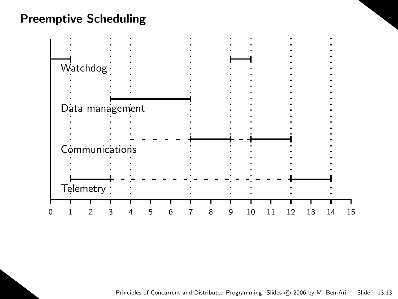## Preemptive Scheduling

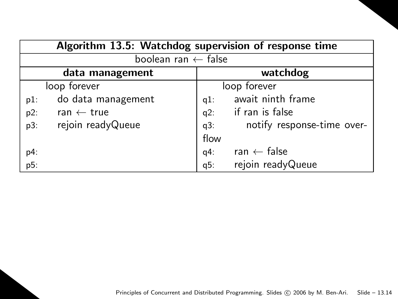|                                | Algorithm 13.5: Watchdog supervision of response time |        |                            |
|--------------------------------|-------------------------------------------------------|--------|----------------------------|
| boolean ran $\leftarrow$ false |                                                       |        |                            |
| data management                |                                                       |        | watchdog                   |
|                                | loop forever                                          |        | loop forever               |
| $p1$ :                         | do data management                                    | $q1$ : | await ninth frame          |
| $p2$ :                         | ran $\leftarrow$ true                                 |        | q2: if ran is false        |
| $p3$ :                         | rejoin readyQueue                                     | $q3$ : | notify response-time over- |
|                                |                                                       | flow   |                            |
|                                |                                                       | $q4$ : | $ran \leftarrow false$     |
| p4:<br>p5:                     |                                                       | $q5$ : | rejoin readyQueue          |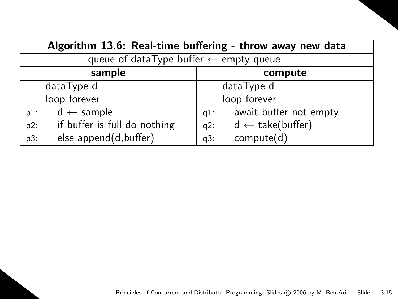|        | Algorithm 13.6: Real-time buffering - throw away new data |        |                             |
|--------|-----------------------------------------------------------|--------|-----------------------------|
|        | queue of dataType buffer $\leftarrow$ empty queue         |        |                             |
|        | sample<br>compute                                         |        |                             |
|        | dataType d                                                |        | dataType d                  |
|        | loop forever                                              |        | loop forever                |
| $p1$ : | $d \leftarrow$ sample                                     | $q1$ : | await buffer not empty      |
| $p2$ : | if buffer is full do nothing                              | $q2$ : | $d \leftarrow$ take(buffer) |
| p3:    | else append(d, buffer)                                    | $q3$ : | compute(d)                  |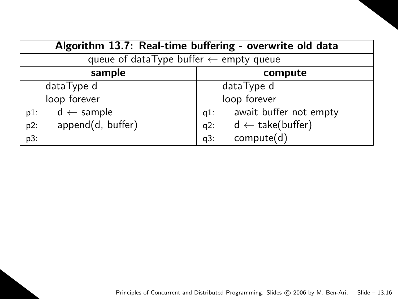| Algorithm 13.7: Real-time buffering - overwrite old data |                                       |  |
|----------------------------------------------------------|---------------------------------------|--|
| queue of dataType buffer $\leftarrow$ empty queue        |                                       |  |
| sample<br>compute                                        |                                       |  |
| dataType d                                               | dataType d                            |  |
| loop forever                                             | loop forever                          |  |
| $d \leftarrow$ sample<br>$p1$ :                          | await buffer not empty<br>$q1$ :      |  |
| $p2$ :<br>append(d, buffer)                              | $d \leftarrow$ take(buffer)<br>$q2$ : |  |
| p3:                                                      | compute(d)<br>$q3$ :                  |  |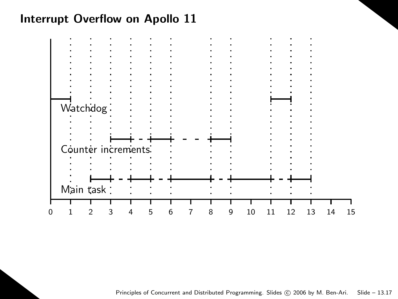### Interrupt Overflow on Apollo <sup>11</sup>

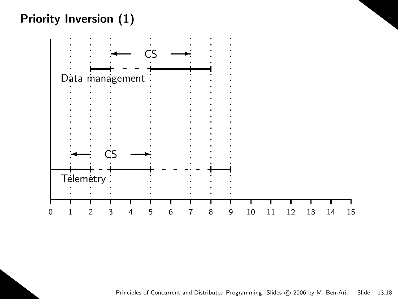# Priority Inversion (1)

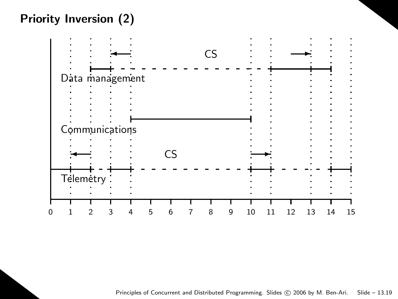# Priority Inversion (2)

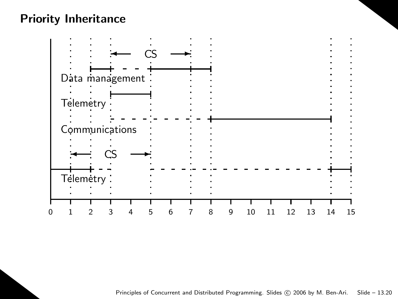### Priority Inheritance

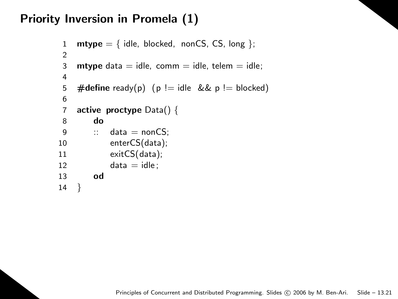# Priority Inversion in Promela (1)

```
11 mtype = \{ idle, blocked, nonCS, CS, long \};2
33 \, mtype data = idle, comm = idle, telem = idle;
4
55 \, \#define ready(p) \, (p != idle \, && p != blocked)
6
77 active proctype Data() \{8 do9 \therefore data = nonCS;
910 enterCS(data);
11 exitCS(data);
12data = idle;13 od14}
```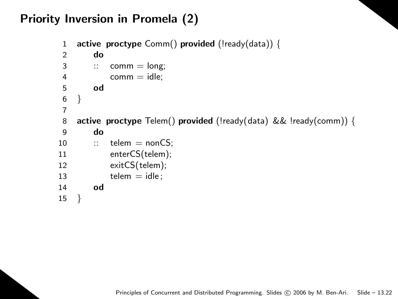# Priority Inversion in Promela (2)

```
11 active proctype Comm() provided (!ready(data)) {
 2 do\mathbb{R}^23comm = long;4comm = idle;5 od6
7}
8 active proctype Telem() provided (!ready(data) && !ready(comm))
{9 do\mathbb{R}^+10telem = nonCS;
11 enterCS(telem);
12 exitCS(telem);
13telem = idle;
14 od15}
```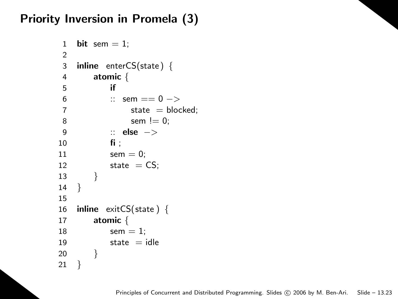## Priority Inversion in Promela (3)

```
1bit sem = 1;
2
33 inline enterCS(state) {
44 atomic \{if
55 if
66 \therefore sem == 0 ->
 7 state = blocked;
78sem != 0;
99 :: else −>
10
11fi ;
      sem = 0;12state = CS;
13
14}
15}166 inline ext{\text{CS}}(\text{state}) {
177 atomic \{8 sem = 1;
1819state = idle
20
21}}
```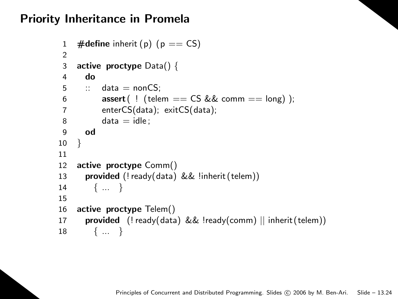## Priority Inheritance in Promela

```
11 \# define inherit (p) (p == CS)
2
33 active proctype Data() \{4 do5 \therefore data = nonCS;
56assert ( ! (telem == CS && comm == long) );
7 enterCS(data); exitCS(data);
8data = idle;9 od10}11
122 active proctype Comm()
13 provided (! ready(data) && !inherit (telem))
14
15{ ...
}166 active proctype \mathsf{Telem}()17 provided (! ready(data) && !ready(comm) || inherit (telem))
18{ ...
}
```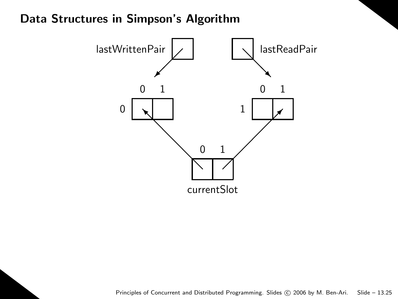# Data Structures in Simpson's Algorithm



Principles of Concurrent and Distributed Programming. Slides  $\copyright$  2006 by M. Ben-Ari.  $\hspace{0.1cm}$  Slide  $-$  13.25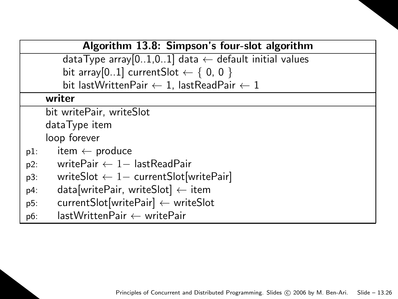| Algorithm 13.8: Simpson's four-slot algorithm                   |
|-----------------------------------------------------------------|
| dataType array [01,01] data $\leftarrow$ default initial values |
| bit array [01] current Slot $\leftarrow \{ 0, 0 \}$             |
| bit lastWrittenPair $\leftarrow$ 1, lastReadPair $\leftarrow$ 1 |
| writer                                                          |
| bit writePair, writeSlot                                        |
| dataType item                                                   |
| loop forever                                                    |
| item $\leftarrow$ produce<br>$p1$ :                             |
| writePair $\leftarrow$ 1- lastReadPair<br>$p2$ :                |
| writeSlot $\leftarrow 1$ – currentSlot[writePair]<br>$p3$ :     |
| $data[writePair, writeSlot] \leftarrow item$<br>$p4$ :          |
| currentSlot[writePair] ← writeSlot<br>$p5$ :                    |
| lastWrittenPair ← writePair<br>p6:                              |
|                                                                 |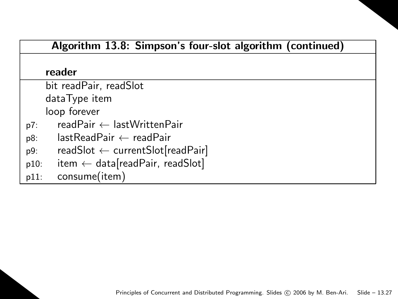| Algorithm 13.8: Simpson's four-slot algorithm (continued) |                                             |  |
|-----------------------------------------------------------|---------------------------------------------|--|
|                                                           |                                             |  |
|                                                           | reader                                      |  |
|                                                           | bit readPair, readSlot                      |  |
|                                                           | dataType item                               |  |
|                                                           | loop forever                                |  |
| $p7$ :                                                    | readPair ← lastWrittenPair                  |  |
| p8:                                                       | $lastReadPair \leftarrow readPair$          |  |
| p9:                                                       | readSlot $\leftarrow$ currentSlot[readPair] |  |
| $p10$ :                                                   | item $\leftarrow$ data[readPair, readSlot]  |  |
| $p11$ :                                                   | consume(item)                               |  |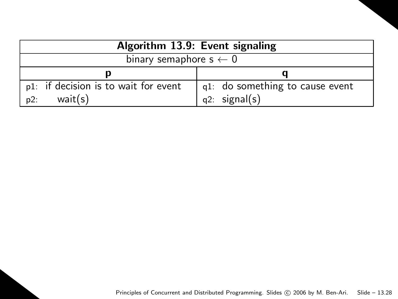| Algorithm 13.9: Event signaling      |                                 |  |
|--------------------------------------|---------------------------------|--|
| binary semaphore $s \leftarrow 0$    |                                 |  |
| D                                    |                                 |  |
| p1: if decision is to wait for event | q1: do something to cause event |  |
| $p2$ :<br>wait(s)                    | $q2:$ signal(s)                 |  |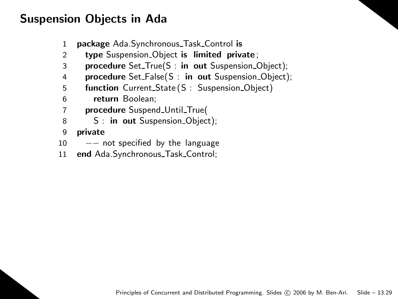## Suspension Objects in Ada

- 1 package Ada.Synchronous\_Task\_Control is
- 2 type Suspension Object is limited private;
- **procedure** Set\_True(S: in out Suspension\_Object);
- **procedure** Set\_False(S : **in out** Suspension\_Object);
- **function** Current\_State (S : Suspension\_Object)
- return Boolean;
- **procedure** Suspend\_Until\_True(
- 8 S : **in out** Suspension\_Object);
- private
- 0 −− not specified by the language<br>1 and Ade Sunshuancus Task Centurk
- 1 end Ada.Synchronous\_Task\_Control;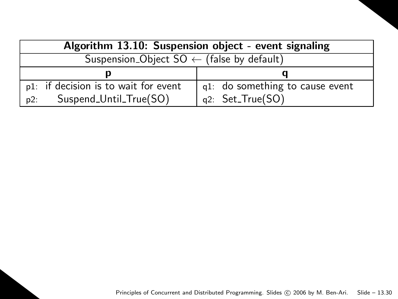| Algorithm 13.10: Suspension object - event signaling |                                 |  |  |  |
|------------------------------------------------------|---------------------------------|--|--|--|
| Suspension_Object $SO \leftarrow$ (false by default) |                                 |  |  |  |
|                                                      |                                 |  |  |  |
| p1: if decision is to wait for event                 | q1: do something to cause event |  |  |  |
| p2: Suspend_Until_True(SO)                           | $q2: Set=True(SO)$              |  |  |  |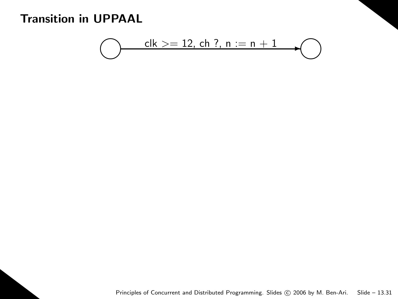### Transition in UPPAAL

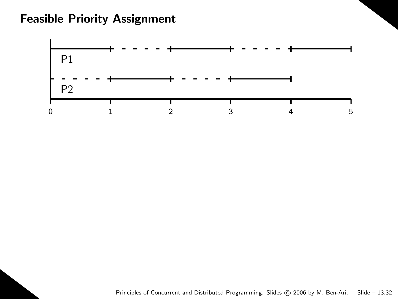## Feasible Priority Assignment

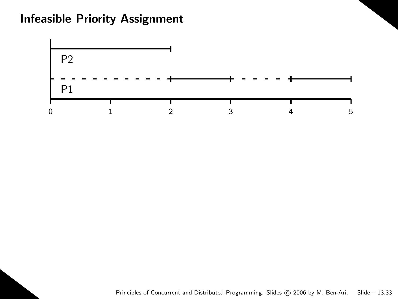## Infeasible Priority Assignment

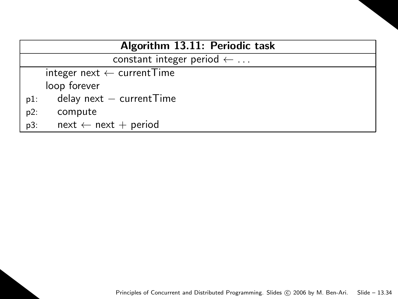| Algorithm 13.11: Periodic task             |                                 |  |  |  |
|--------------------------------------------|---------------------------------|--|--|--|
| constant integer period $\leftarrow \dots$ |                                 |  |  |  |
| integer next $\leftarrow$ current Time     |                                 |  |  |  |
|                                            | loop forever                    |  |  |  |
| $p1$ :                                     | delay $next - currentTime$      |  |  |  |
| $p2$ :                                     | compute                         |  |  |  |
| $p3$ :                                     | $next \leftarrow next + period$ |  |  |  |
|                                            |                                 |  |  |  |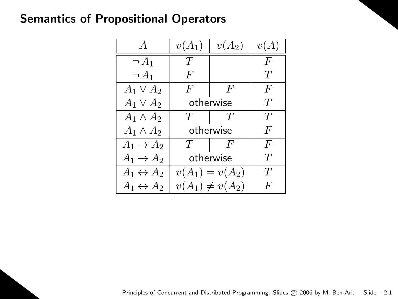## Semantics of Propositional Operators

| A                         | $v(A_1)$             | $v(A_2)$             | v(A)     |
|---------------------------|----------------------|----------------------|----------|
| $\neg A_1$                | $\top$               |                      | $\bm{F}$ |
| $\neg A_1$                | $\bm{F}$             |                      | T        |
| $A_1 \vee A_2$            | $F^-$                | $\perp$ F            | $\bm{F}$ |
| $A_1 \vee A_2$            | otherwise            |                      | T        |
| $A_1 \wedge A_2$          |                      | $\overline{T}$   $T$ | T        |
| $A_1 \wedge A_2$          | otherwise            |                      | $\,F$    |
| $A_1 \rightarrow A_2$     |                      | $T \quad   \quad F$  | $\,F$    |
| $A_1 \rightarrow A_2$     | otherwise            |                      | $T \$    |
| $A_1 \leftrightarrow A_2$ | $v(A_1) = v(A_2)$    |                      | T        |
| $A_1 \leftrightarrow A_2$ | $v(A_1) \neq v(A_2)$ |                      | $\,F$    |

Principles of Concurrent and Distributed Programming. Slides  $\copyright$  2006 by M. Ben-Ari.  $\hspace{0.1cm}$  Slide  $-$  2.1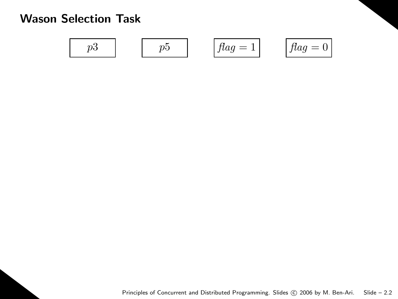#### Wason Selection Task

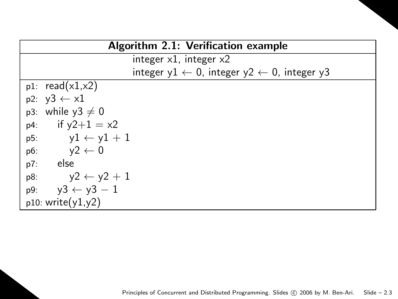| <b>Algorithm 2.1: Verification example</b>                       |
|------------------------------------------------------------------|
| integer $x1$ , integer $x2$                                      |
| integer y1 $\leftarrow$ 0, integer y2 $\leftarrow$ 0, integer y3 |
| p1: read $(x1,x2)$                                               |
| $p2: y3 \leftarrow x1$                                           |
| p3: while $y3 \neq 0$                                            |
| p4: if $y2+1 = x2$                                               |
| p5: $y1 \leftarrow y1 + 1$                                       |
| p6: $y2 \leftarrow 0$                                            |
| p7: else                                                         |
| $p8:$ $y2 \leftarrow y2 + 1$                                     |
| p9: $y3 \leftarrow y3 - 1$                                       |
| p10: write $(y1,y2)$                                             |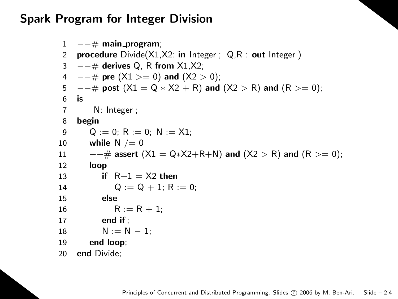# Spark Program for Integer Division

```
1 −−# main_program;<br>2     rueseduue Divide(M1
  2 procedure Divide(X1,X2: in Integer; Q,R: out Integer)
  \begin{array}{ll} 3 & - - \# \end{array} derives Q, R from X1,X2;<br>4 \begin{array}{ll} 4 & \# \end{array} are (X1 \geq -0) and (X2 \geq 0)\begin{array}{cc} 4 & - - \# \textbf{ pre (} & \times 1 > = 0 \textbf{) and (} & \times 2 > 0 \textbf{);} \\ & \text{if} & \# \textbf{ post (} & \times 1 & = 0 & \textbf{.} \end{array}\begin{align} 5 & \quad --\#\textbf{ post (X1 = Q * X2 + R) and (X2 > R) and (R >= 0);} \end{align}6 is
 67 N: Integer ;
 8 begin\mathsf{Q}\, \mathsf{\, :=\, } \mathsf{0}; \ \mathsf{R}\, \mathsf{:=}\, \mathsf{0}; \ \mathsf{N}\, \mathsf{:=}\, \mathsf{X}\mathsf{1};9100 while N \neq 01 -−# assert (X1 = Q*X2 + R+N) and (X2 > R) and (R ≥ = 0);
112 loop
123 if R+1 = X2 then
134 Q := Q + 1; R := 0;1415 else6 R := R + 1;1617end if ;
188 N := N - 1;9 end loop;
19200 end Divide;
```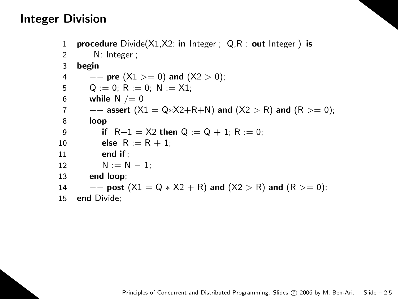### Integer Division

```
11 procedure Divide(X1,X2: in Integer ; Q,R : out Integer ) is
2 N: Integer ;
3 begin- pre (X1 > = 0) and (X2 > 0);
45Q := 0; R := 0; N := X1;
66 while N \neq 0\hbox{--} −− assert (\hbox{X1}= \hbox{Q}*\hbox{X2+R+N}) and (\hbox{X2}> \hbox{R}) and (\hbox{R}>=0);78 loop9 if R+1 = X2 then Q := Q + 1; R := 0;
9100 else R := R + 1;11 end if ;
122 N := N - 1;13 end loop;
14- −− post (X1 = Q * X2 + R) and (X2 > R) and (R > = 0);
155 end Divide;
```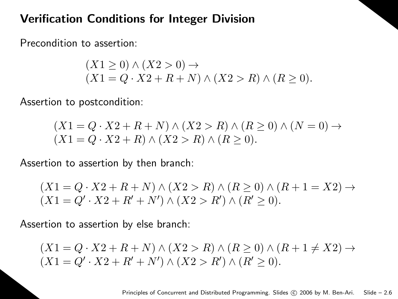#### Verification Conditions for Integer Division

Precondition to assertion:

$$
(X1 \ge 0) \land (X2 > 0) \rightarrow
$$
  

$$
(X1 = Q \cdot X2 + R + N) \land (X2 > R) \land (R \ge 0).
$$

Assertion to postcondition:

$$
(X1 = Q \cdot X2 + R + N) \wedge (X2 > R) \wedge (R \ge 0) \wedge (N = 0) \rightarrow
$$
  

$$
(X1 = Q \cdot X2 + R) \wedge (X2 > R) \wedge (R \ge 0).
$$

Assertion to assertion by then branch:

$$
(X1 = Q \cdot X2 + R + N) \land (X2 > R) \land (R \ge 0) \land (R + 1 = X2) \rightarrow
$$
  

$$
(X1 = Q' \cdot X2 + R' + N') \land (X2 > R') \land (R' \ge 0).
$$

Assertion to assertion by else branch:

$$
(X1 = Q \cdot X2 + R + N) \land (X2 > R) \land (R \ge 0) \land (R + 1 \ne X2) \rightarrow
$$
  

$$
(X1 = Q' \cdot X2 + R' + N') \land (X2 > R') \land (R' \ge 0).
$$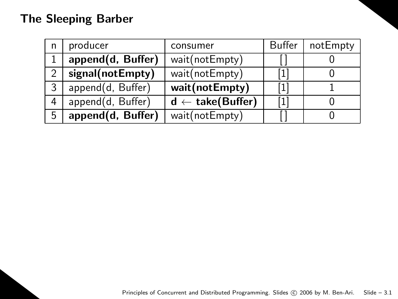### The Sleeping Barber

| n            | producer          | consumer                    | <b>Buffer</b> | notEmpty |
|--------------|-------------------|-----------------------------|---------------|----------|
|              | append(d, Buffer) | wait(notEmpty)              |               |          |
|              | signal(notEmpty)  | wait(notEmpty)              |               |          |
| $\mathbf{R}$ | append(d, Buffer) | wait(notEmpty)              |               |          |
|              | append(d, Buffer) | $d \leftarrow$ take(Buffer) |               |          |
| 一            | append(d, Buffer) | wait(notEmpty)              |               |          |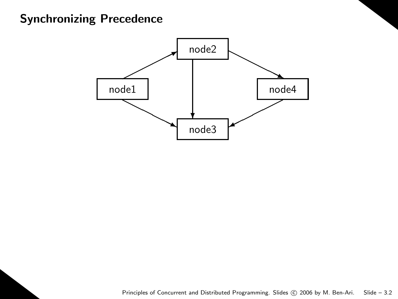# Synchronizing Precedence

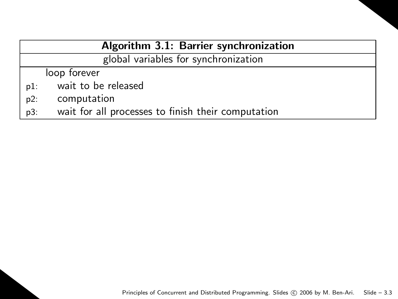|        | Algorithm 3.1: Barrier synchronization             |
|--------|----------------------------------------------------|
|        | global variables for synchronization               |
|        | loop forever                                       |
| $p1$ : | wait to be released                                |
| $p2$ : | computation                                        |
| p3:    | wait for all processes to finish their computation |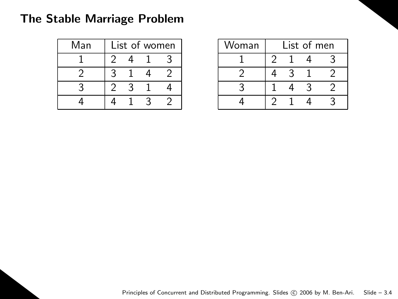### The Stable Marriage Problem

| Man |               | List of women |  |
|-----|---------------|---------------|--|
|     |               |               |  |
|     | $\mathcal{L}$ |               |  |
|     |               |               |  |
|     |               |               |  |

| Woman |               | List of men |  |
|-------|---------------|-------------|--|
|       | $\mathcal{D}$ |             |  |
|       |               |             |  |
|       |               |             |  |
|       |               |             |  |

Principles of Concurrent and Distributed Programming. Slides  $\copyright$  2006 by M. Ben-Ari.  $\hspace{0.1cm}$  Slide  $-$  3.4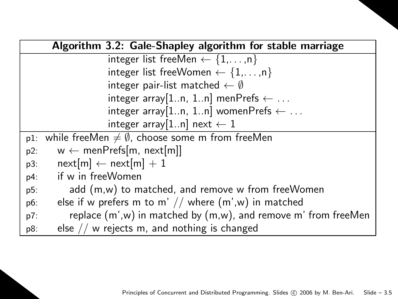|        | Algorithm 3.2: Gale-Shapley algorithm for stable marriage             |
|--------|-----------------------------------------------------------------------|
|        | integer list freeMen $\leftarrow \{1,\ldots,n\}$                      |
|        | integer list freeWomen $\leftarrow \{1, \ldots, n\}$                  |
|        | integer pair-list matched $\leftarrow \emptyset$                      |
|        | integer array $[1n, 1n]$ menPrefs $\leftarrow \dots$                  |
|        | integer array [1n, 1n] women Prefs $\leftarrow$                       |
|        | integer array [1. n] next $\leftarrow$ 1                              |
| $p1$ : | while freeMen $\neq$ $\emptyset$ , choose some m from freeMen         |
| $p2$ : | $w \leftarrow$ menPrefs[m, next[m]]                                   |
| $p3$ : | $next[m] \leftarrow next[m] + 1$                                      |
| $p4$ : | if w in freeWomen                                                     |
| p5:    | add (m,w) to matched, and remove w from freeWomen                     |
| p6:    | else if w prefers m to m' $//$ where $(m', w)$ in matched             |
| p7:    | replace $(m', w)$ in matched by $(m, w)$ , and remove m' from freeMen |
| p8:    | else $//$ w rejects m, and nothing is changed                         |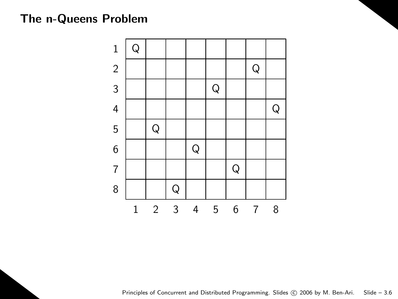# The n-Queens Problem

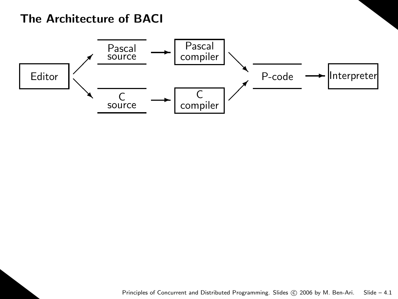# The Architecture of BACI

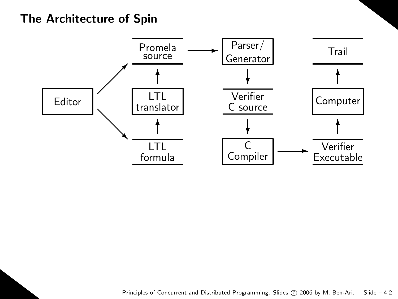# The Architecture of Spin